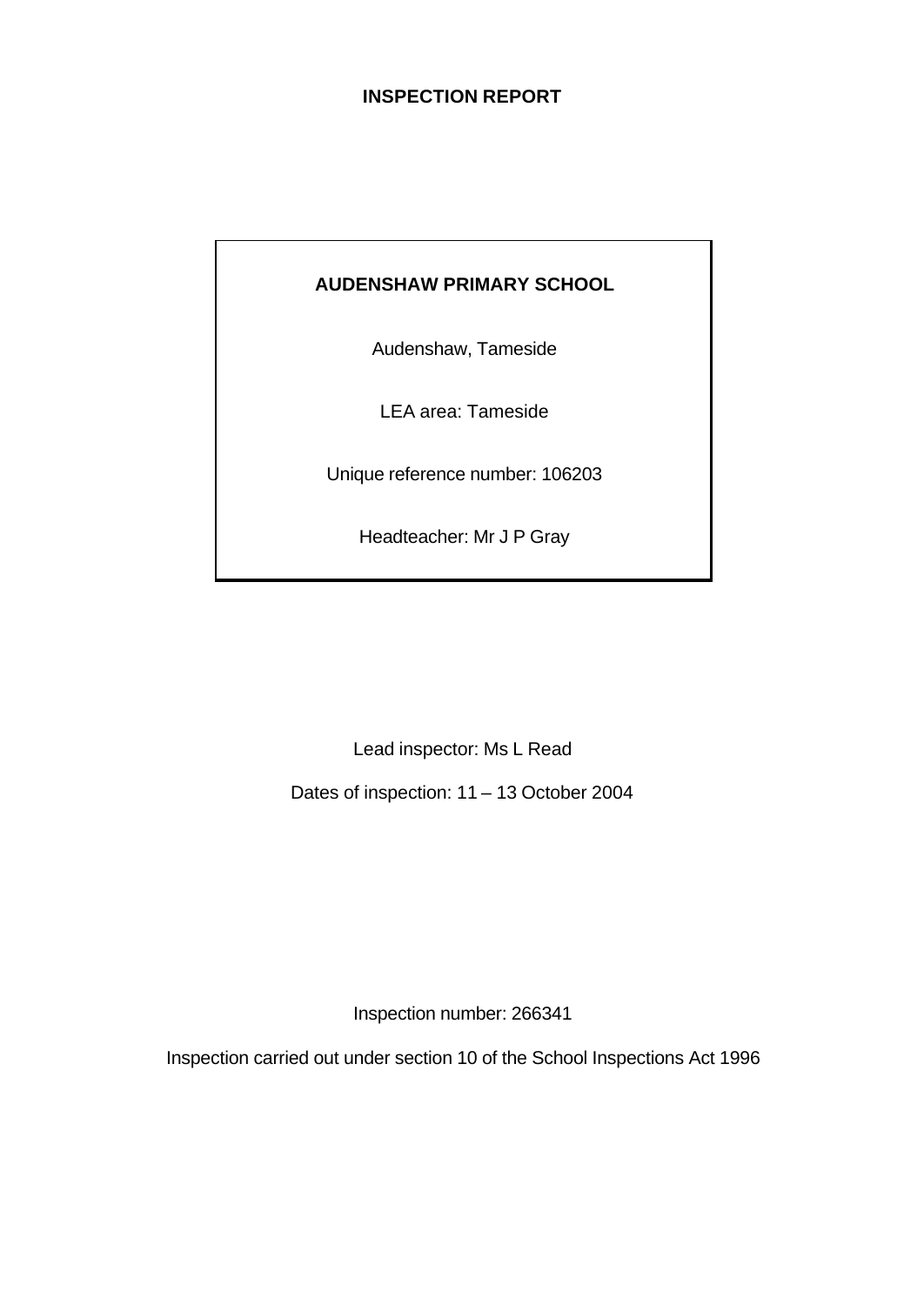### **INSPECTION REPORT**

## **AUDENSHAW PRIMARY SCHOOL**

Audenshaw, Tameside

LEA area: Tameside

Unique reference number: 106203

Headteacher: Mr J P Gray

Lead inspector: Ms L Read

Dates of inspection: 11 – 13 October 2004

Inspection number: 266341

Inspection carried out under section 10 of the School Inspections Act 1996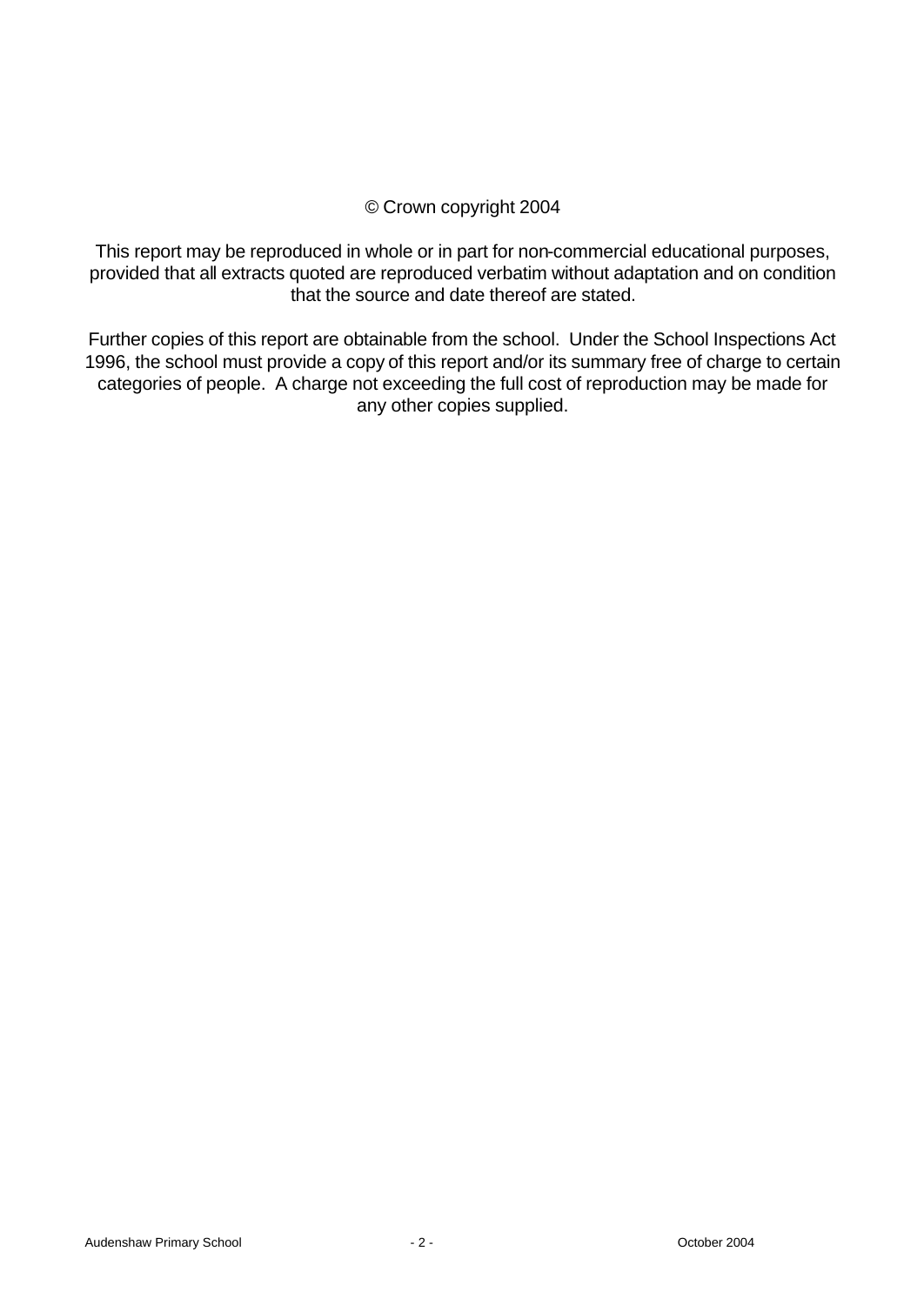### © Crown copyright 2004

This report may be reproduced in whole or in part for non-commercial educational purposes, provided that all extracts quoted are reproduced verbatim without adaptation and on condition that the source and date thereof are stated.

Further copies of this report are obtainable from the school. Under the School Inspections Act 1996, the school must provide a copy of this report and/or its summary free of charge to certain categories of people. A charge not exceeding the full cost of reproduction may be made for any other copies supplied.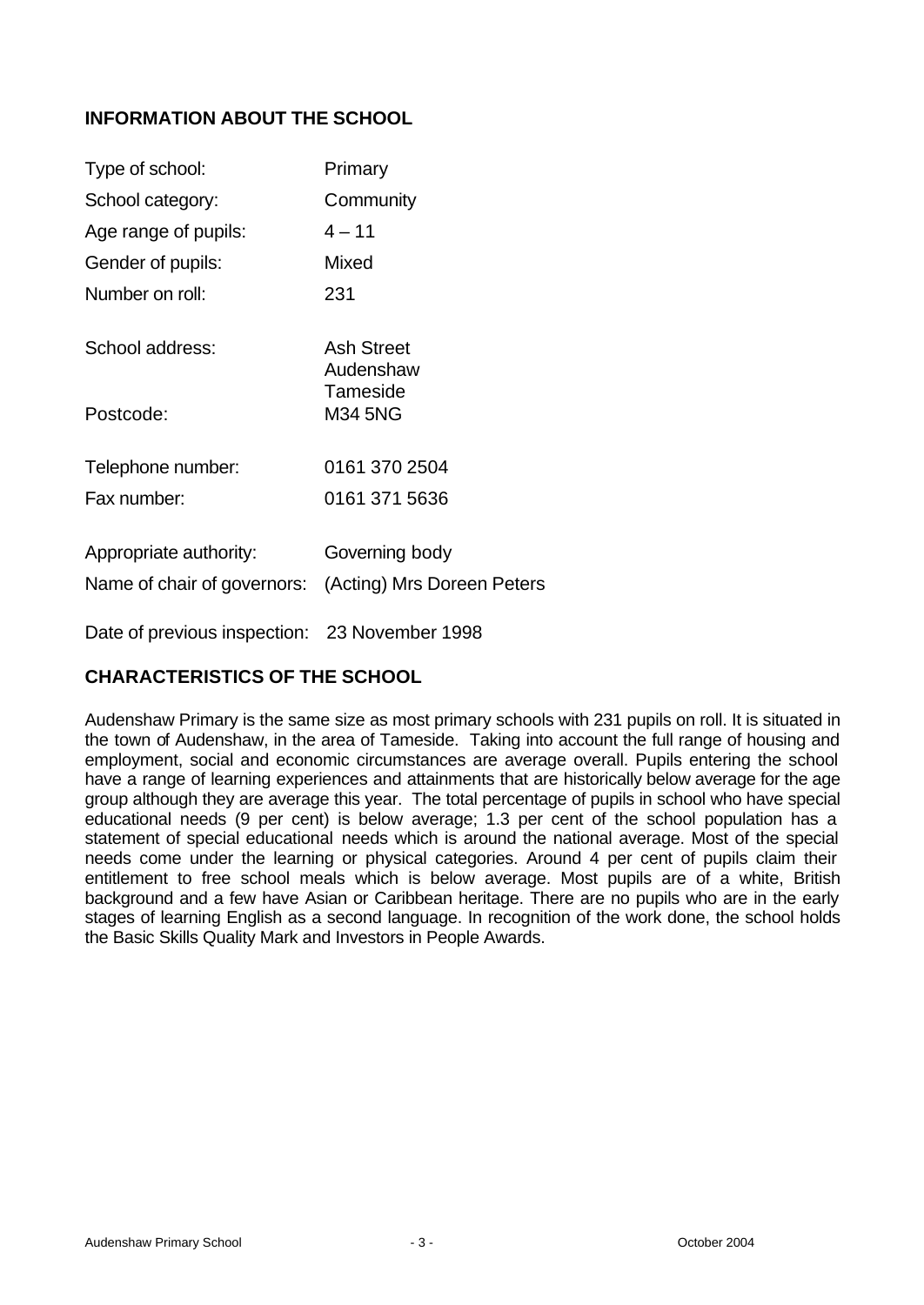## **INFORMATION ABOUT THE SCHOOL**

| Type of school:                                       | Primary                                      |
|-------------------------------------------------------|----------------------------------------------|
| School category:                                      | Community                                    |
| Age range of pupils:                                  | $4 - 11$                                     |
| Gender of pupils:                                     | Mixed                                        |
| Number on roll:                                       | 231                                          |
| School address:                                       | <b>Ash Street</b><br>Audenshaw<br>Tameside   |
| Postcode:                                             | <b>M34 5NG</b>                               |
| Telephone number:<br>Fax number:                      | 0161 370 2504<br>0161 371 5636               |
| Appropriate authority:<br>Name of chair of governors: | Governing body<br>(Acting) Mrs Doreen Peters |
| Date of previous inspection: 23 November 1998         |                                              |

### **CHARACTERISTICS OF THE SCHOOL**

Audenshaw Primary is the same size as most primary schools with 231 pupils on roll. It is situated in the town of Audenshaw, in the area of Tameside. Taking into account the full range of housing and employment, social and economic circumstances are average overall. Pupils entering the school have a range of learning experiences and attainments that are historically below average for the age group although they are average this year. The total percentage of pupils in school who have special educational needs (9 per cent) is below average; 1.3 per cent of the school population has a statement of special educational needs which is around the national average. Most of the special needs come under the learning or physical categories. Around 4 per cent of pupils claim their entitlement to free school meals which is below average. Most pupils are of a white, British background and a few have Asian or Caribbean heritage. There are no pupils who are in the early stages of learning English as a second language. In recognition of the work done, the school holds the Basic Skills Quality Mark and Investors in People Awards.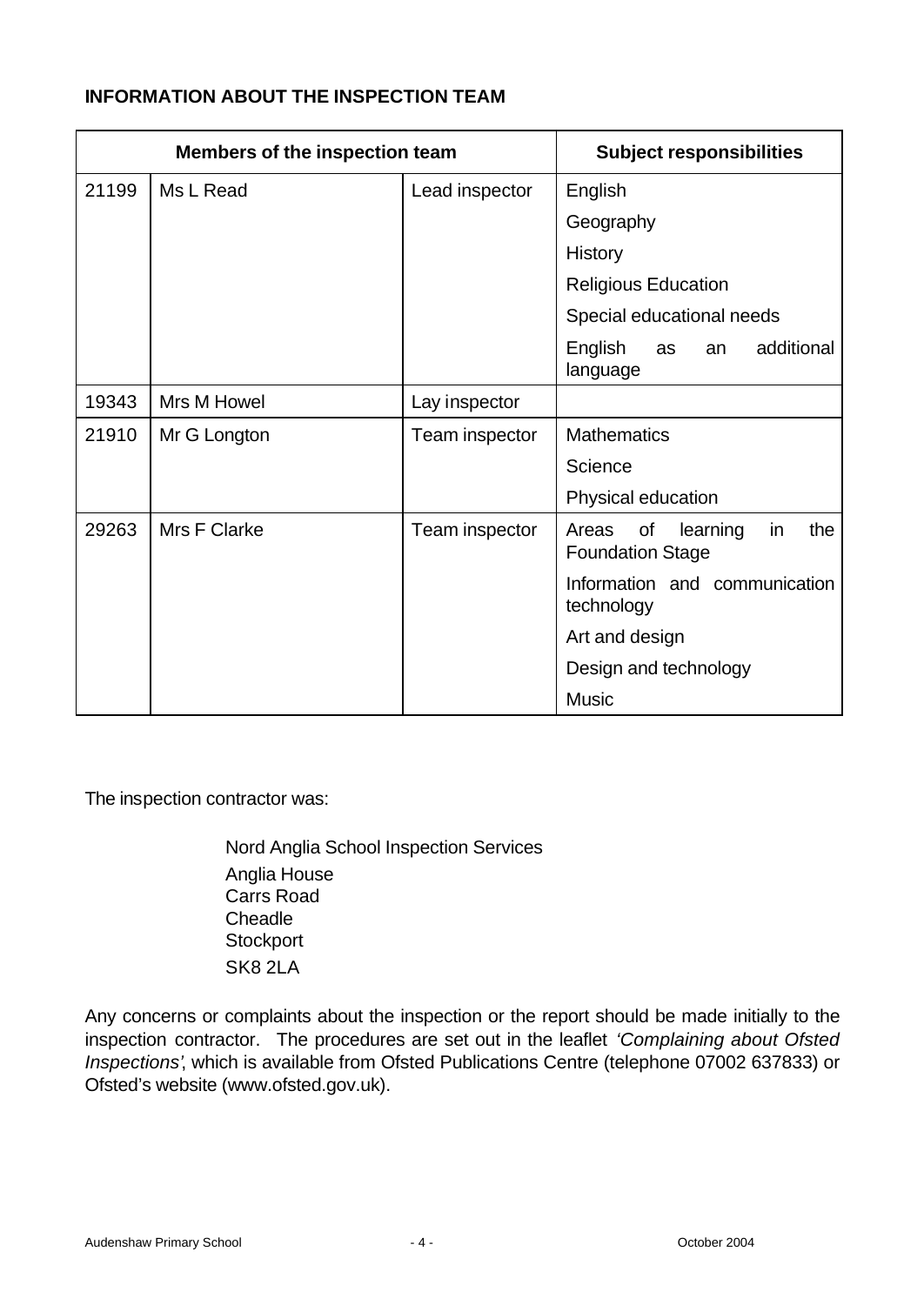### **INFORMATION ABOUT THE INSPECTION TEAM**

| Members of the inspection team |              | <b>Subject responsibilities</b> |                                                                 |  |  |
|--------------------------------|--------------|---------------------------------|-----------------------------------------------------------------|--|--|
| 21199                          | Ms L Read    | Lead inspector                  | English                                                         |  |  |
|                                |              |                                 | Geography                                                       |  |  |
|                                |              |                                 | <b>History</b>                                                  |  |  |
|                                |              |                                 | <b>Religious Education</b>                                      |  |  |
|                                |              |                                 | Special educational needs                                       |  |  |
|                                |              |                                 | additional<br>English<br>as<br>an<br>language                   |  |  |
| 19343                          | Mrs M Howel  | Lay inspector                   |                                                                 |  |  |
| 21910                          | Mr G Longton | Team inspector                  | <b>Mathematics</b>                                              |  |  |
|                                |              |                                 | Science                                                         |  |  |
|                                |              |                                 | Physical education                                              |  |  |
| 29263                          | Mrs F Clarke | Team inspector                  | the<br>of<br>learning<br>in<br>Areas<br><b>Foundation Stage</b> |  |  |
|                                |              |                                 | Information and communication<br>technology                     |  |  |
|                                |              |                                 | Art and design                                                  |  |  |
|                                |              |                                 | Design and technology                                           |  |  |
|                                |              |                                 | <b>Music</b>                                                    |  |  |

The inspection contractor was:

Nord Anglia School Inspection Services Anglia House Carrs Road **Cheadle Stockport** SK8 2LA

Any concerns or complaints about the inspection or the report should be made initially to the inspection contractor. The procedures are set out in the leaflet *'Complaining about Ofsted Inspections'*, which is available from Ofsted Publications Centre (telephone 07002 637833) or Ofsted's website (www.ofsted.gov.uk).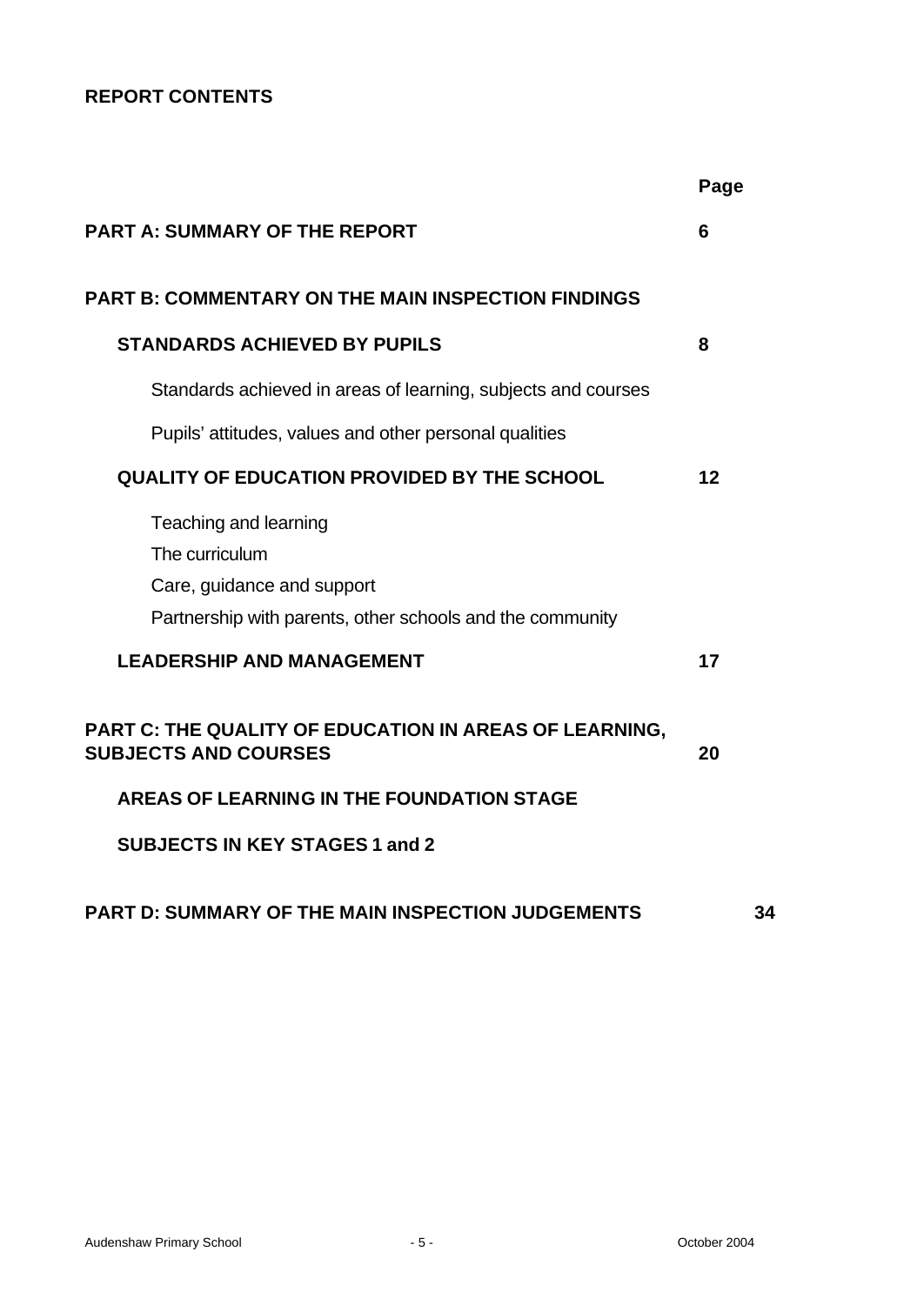# **REPORT CONTENTS**

|                                                                                                                                    | Page |  |  |  |  |  |
|------------------------------------------------------------------------------------------------------------------------------------|------|--|--|--|--|--|
| <b>PART A: SUMMARY OF THE REPORT</b>                                                                                               |      |  |  |  |  |  |
| <b>PART B: COMMENTARY ON THE MAIN INSPECTION FINDINGS</b>                                                                          |      |  |  |  |  |  |
| <b>STANDARDS ACHIEVED BY PUPILS</b>                                                                                                | 8    |  |  |  |  |  |
| Standards achieved in areas of learning, subjects and courses                                                                      |      |  |  |  |  |  |
| Pupils' attitudes, values and other personal qualities                                                                             |      |  |  |  |  |  |
| <b>QUALITY OF EDUCATION PROVIDED BY THE SCHOOL</b>                                                                                 | 12   |  |  |  |  |  |
| Teaching and learning<br>The curriculum<br>Care, guidance and support<br>Partnership with parents, other schools and the community |      |  |  |  |  |  |
| <b>LEADERSHIP AND MANAGEMENT</b>                                                                                                   | 17   |  |  |  |  |  |
| PART C: THE QUALITY OF EDUCATION IN AREAS OF LEARNING,<br><b>SUBJECTS AND COURSES</b>                                              | 20   |  |  |  |  |  |
| AREAS OF LEARNING IN THE FOUNDATION STAGE                                                                                          |      |  |  |  |  |  |
| <b>SUBJECTS IN KEY STAGES 1 and 2</b>                                                                                              |      |  |  |  |  |  |
| <b>PART D: SUMMARY OF THE MAIN INSPECTION JUDGEMENTS</b>                                                                           | 34   |  |  |  |  |  |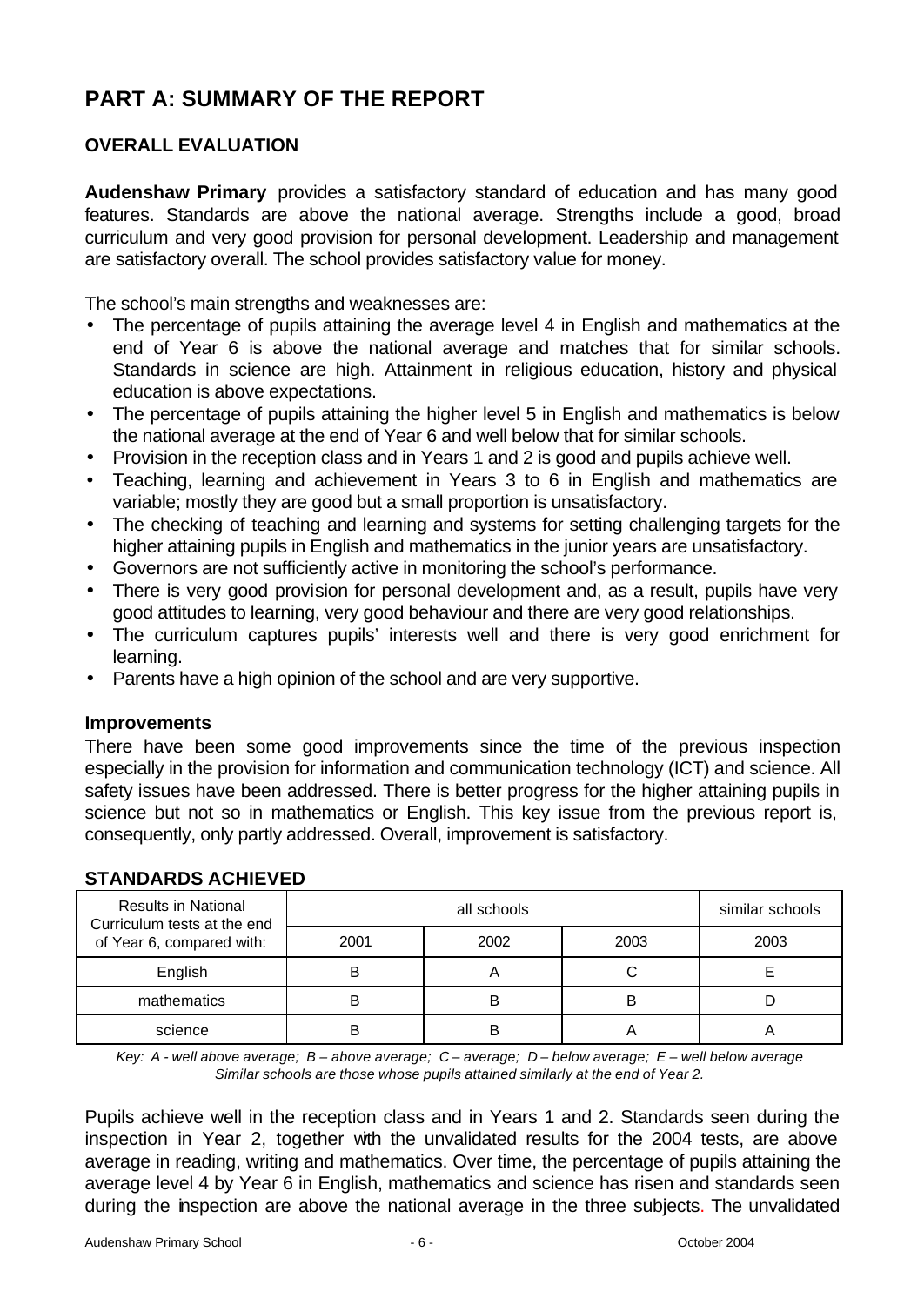# **PART A: SUMMARY OF THE REPORT**

# **OVERALL EVALUATION**

**Audenshaw Primary** provides a satisfactory standard of education and has many good features. Standards are above the national average. Strengths include a good, broad curriculum and very good provision for personal development. Leadership and management are satisfactory overall. The school provides satisfactory value for money.

The school's main strengths and weaknesses are:

- The percentage of pupils attaining the average level 4 in English and mathematics at the end of Year 6 is above the national average and matches that for similar schools. Standards in science are high. Attainment in religious education, history and physical education is above expectations.
- The percentage of pupils attaining the higher level 5 in English and mathematics is below the national average at the end of Year 6 and well below that for similar schools.
- Provision in the reception class and in Years 1 and 2 is good and pupils achieve well.
- Teaching, learning and achievement in Years 3 to 6 in English and mathematics are variable; mostly they are good but a small proportion is unsatisfactory.
- The checking of teaching and learning and systems for setting challenging targets for the higher attaining pupils in English and mathematics in the junior years are unsatisfactory.
- Governors are not sufficiently active in monitoring the school's performance.
- There is very good provision for personal development and, as a result, pupils have very good attitudes to learning, very good behaviour and there are very good relationships.
- The curriculum captures pupils' interests well and there is very good enrichment for learning.
- Parents have a high opinion of the school and are very supportive.

#### **Improvements**

There have been some good improvements since the time of the previous inspection especially in the provision for information and communication technology (ICT) and science. All safety issues have been addressed. There is better progress for the higher attaining pupils in science but not so in mathematics or English. This key issue from the previous report is, consequently, only partly addressed. Overall, improvement is satisfactory.

| <b>Results in National</b><br>Curriculum tests at the end |      | similar schools |      |      |
|-----------------------------------------------------------|------|-----------------|------|------|
| of Year 6, compared with:                                 | 2001 | 2002            | 2003 | 2003 |
| English                                                   |      |                 |      |      |
| mathematics                                               |      |                 | В    |      |
| science                                                   |      |                 |      |      |

### **STANDARDS ACHIEVED**

*Key: A - well above average; B – above average; C – average; D – below average; E – well below average Similar schools are those whose pupils attained similarly at the end of Year 2.*

Pupils achieve well in the reception class and in Years 1 and 2. Standards seen during the inspection in Year 2, together with the unvalidated results for the 2004 tests, are above average in reading, writing and mathematics. Over time, the percentage of pupils attaining the average level 4 by Year 6 in English, mathematics and science has risen and standards seen during the inspection are above the national average in the three subjects. The unvalidated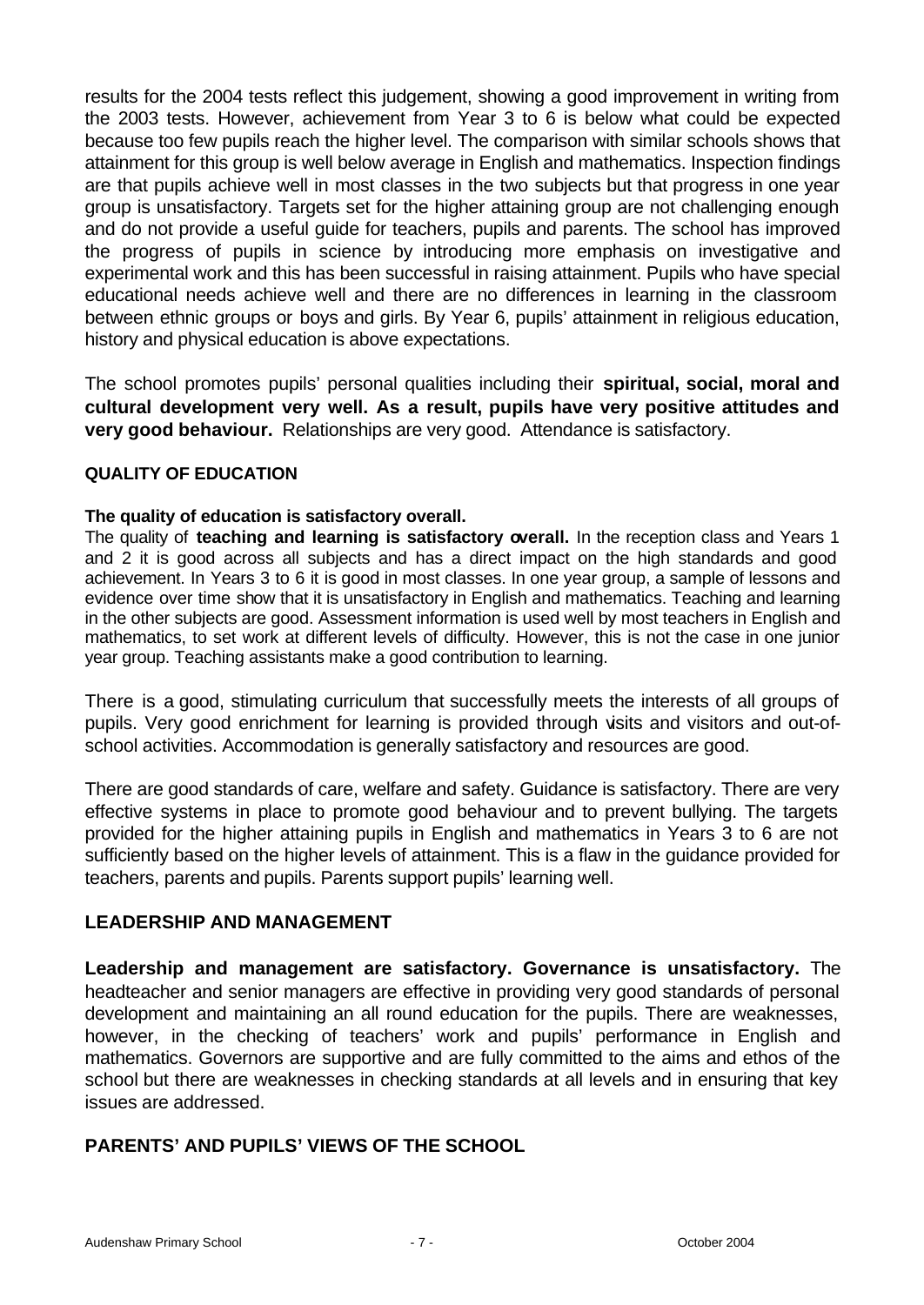results for the 2004 tests reflect this judgement, showing a good improvement in writing from the 2003 tests. However, achievement from Year 3 to 6 is below what could be expected because too few pupils reach the higher level. The comparison with similar schools shows that attainment for this group is well below average in English and mathematics. Inspection findings are that pupils achieve well in most classes in the two subjects but that progress in one year group is unsatisfactory. Targets set for the higher attaining group are not challenging enough and do not provide a useful guide for teachers, pupils and parents. The school has improved the progress of pupils in science by introducing more emphasis on investigative and experimental work and this has been successful in raising attainment. Pupils who have special educational needs achieve well and there are no differences in learning in the classroom between ethnic groups or boys and girls. By Year 6, pupils' attainment in religious education, history and physical education is above expectations.

The school promotes pupils' personal qualities including their **spiritual, social, moral and cultural development very well. As a result, pupils have very positive attitudes and very good behaviour.** Relationships are very good. Attendance is satisfactory.

### **QUALITY OF EDUCATION**

#### **The quality of education is satisfactory overall.**

The quality of **teaching and learning is satisfactory overall.** In the reception class and Years 1 and 2 it is good across all subjects and has a direct impact on the high standards and good achievement. In Years 3 to 6 it is good in most classes. In one year group, a sample of lessons and evidence over time show that it is unsatisfactory in English and mathematics. Teaching and learning in the other subjects are good. Assessment information is used well by most teachers in English and mathematics, to set work at different levels of difficulty. However, this is not the case in one junior year group. Teaching assistants make a good contribution to learning.

There is a good, stimulating curriculum that successfully meets the interests of all groups of pupils. Very good enrichment for learning is provided through visits and visitors and out-ofschool activities. Accommodation is generally satisfactory and resources are good.

There are good standards of care, welfare and safety. Guidance is satisfactory. There are very effective systems in place to promote good behaviour and to prevent bullying. The targets provided for the higher attaining pupils in English and mathematics in Years 3 to 6 are not sufficiently based on the higher levels of attainment. This is a flaw in the guidance provided for teachers, parents and pupils. Parents support pupils' learning well.

### **LEADERSHIP AND MANAGEMENT**

**Leadership and management are satisfactory. Governance is unsatisfactory.** The headteacher and senior managers are effective in providing very good standards of personal development and maintaining an all round education for the pupils. There are weaknesses, however, in the checking of teachers' work and pupils' performance in English and mathematics. Governors are supportive and are fully committed to the aims and ethos of the school but there are weaknesses in checking standards at all levels and in ensuring that key issues are addressed.

### **PARENTS' AND PUPILS' VIEWS OF THE SCHOOL**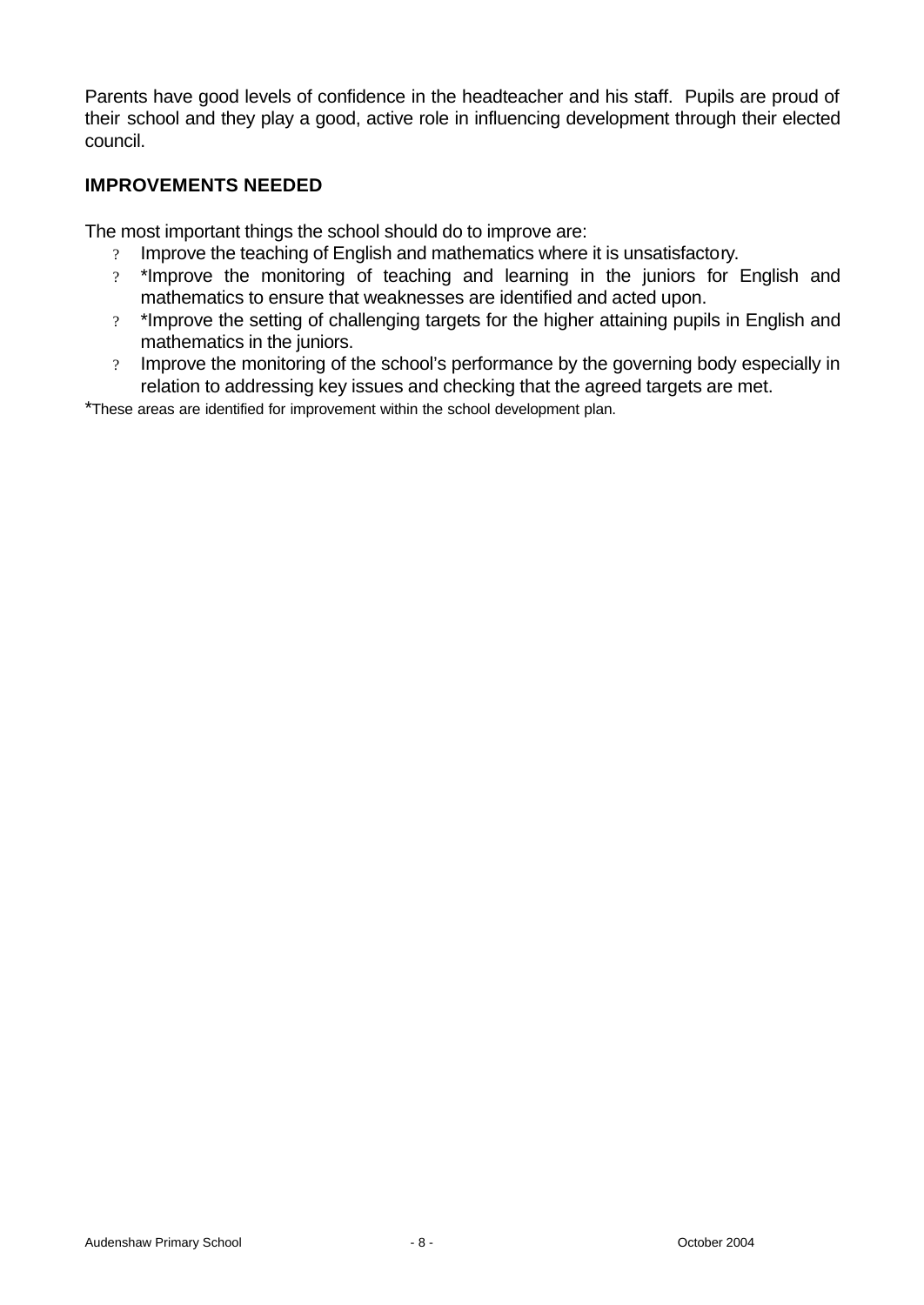Parents have good levels of confidence in the headteacher and his staff. Pupils are proud of their school and they play a good, active role in influencing development through their elected council.

### **IMPROVEMENTS NEEDED**

The most important things the school should do to improve are:

- ? Improve the teaching of English and mathematics where it is unsatisfactory.
- ? \*Improve the monitoring of teaching and learning in the juniors for English and mathematics to ensure that weaknesses are identified and acted upon.
- ? \*Improve the setting of challenging targets for the higher attaining pupils in English and mathematics in the juniors.
- ? Improve the monitoring of the school's performance by the governing body especially in relation to addressing key issues and checking that the agreed targets are met.

\*These areas are identified for improvement within the school development plan.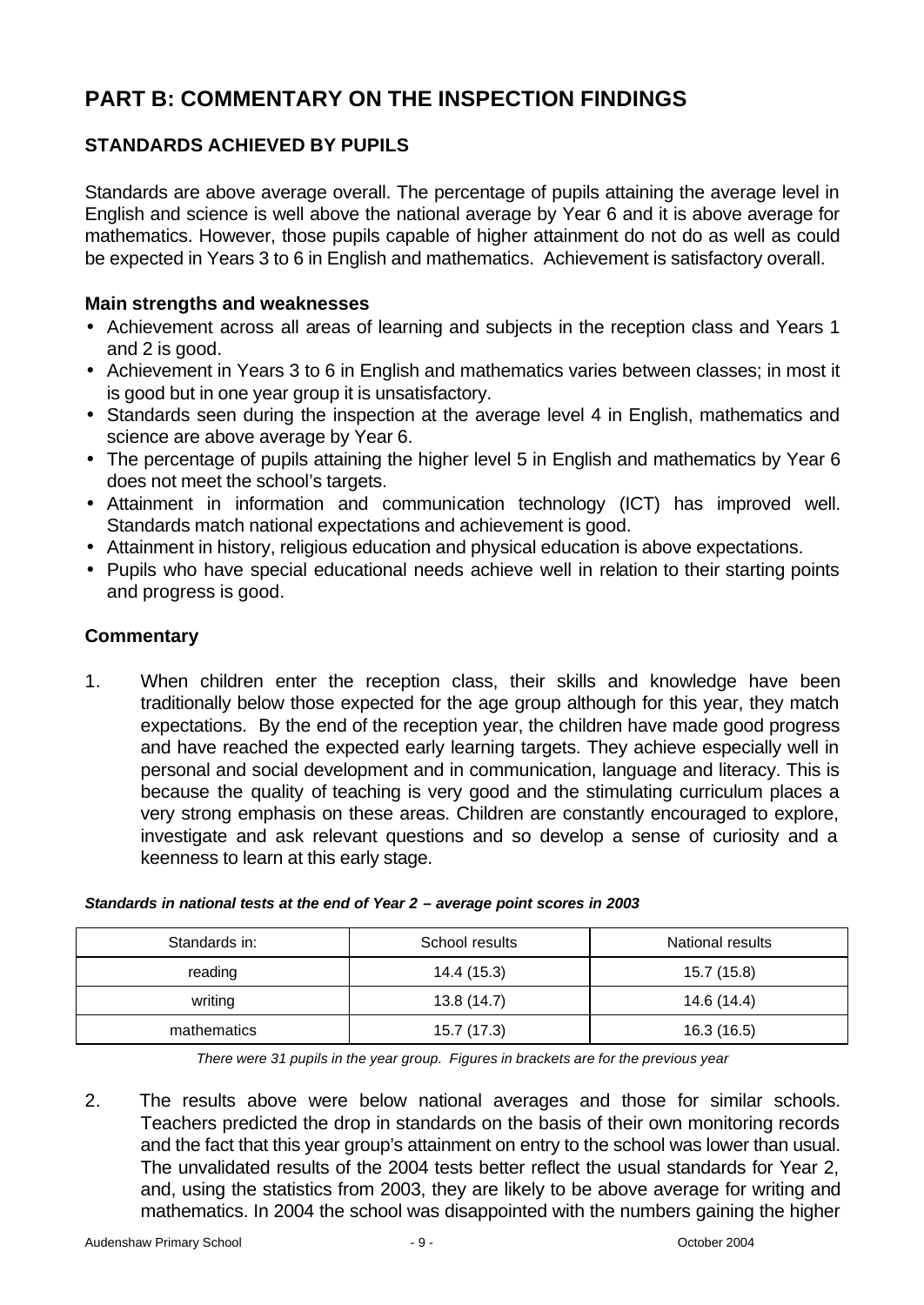# **PART B: COMMENTARY ON THE INSPECTION FINDINGS**

# **STANDARDS ACHIEVED BY PUPILS**

Standards are above average overall. The percentage of pupils attaining the average level in English and science is well above the national average by Year 6 and it is above average for mathematics. However, those pupils capable of higher attainment do not do as well as could be expected in Years 3 to 6 in English and mathematics. Achievement is satisfactory overall.

### **Main strengths and weaknesses**

- Achievement across all areas of learning and subjects in the reception class and Years 1 and 2 is good.
- Achievement in Years 3 to 6 in English and mathematics varies between classes; in most it is good but in one year group it is unsatisfactory.
- Standards seen during the inspection at the average level 4 in English, mathematics and science are above average by Year 6.
- The percentage of pupils attaining the higher level 5 in English and mathematics by Year 6 does not meet the school's targets.
- Attainment in information and communication technology (ICT) has improved well. Standards match national expectations and achievement is good.
- Attainment in history, religious education and physical education is above expectations.
- Pupils who have special educational needs achieve well in relation to their starting points and progress is good.

### **Commentary**

1. When children enter the reception class, their skills and knowledge have been traditionally below those expected for the age group although for this year, they match expectations. By the end of the reception year, the children have made good progress and have reached the expected early learning targets. They achieve especially well in personal and social development and in communication, language and literacy. This is because the quality of teaching is very good and the stimulating curriculum places a very strong emphasis on these areas. Children are constantly encouraged to explore, investigate and ask relevant questions and so develop a sense of curiosity and a keenness to learn at this early stage.

| Standards in: | School results | National results |
|---------------|----------------|------------------|
| reading       | 14.4 (15.3)    | 15.7 (15.8)      |
| writing       | 13.8(14.7)     | 14.6 (14.4)      |
| mathematics   | 15.7 (17.3)    | 16.3 (16.5)      |

#### *Standards in national tests at the end of Year 2 – average point scores in 2003*

*There were 31 pupils in the year group. Figures in brackets are for the previous year* 

2. The results above were below national averages and those for similar schools. Teachers predicted the drop in standards on the basis of their own monitoring records and the fact that this year group's attainment on entry to the school was lower than usual. The unvalidated results of the 2004 tests better reflect the usual standards for Year 2, and, using the statistics from 2003, they are likely to be above average for writing and mathematics. In 2004 the school was disappointed with the numbers gaining the higher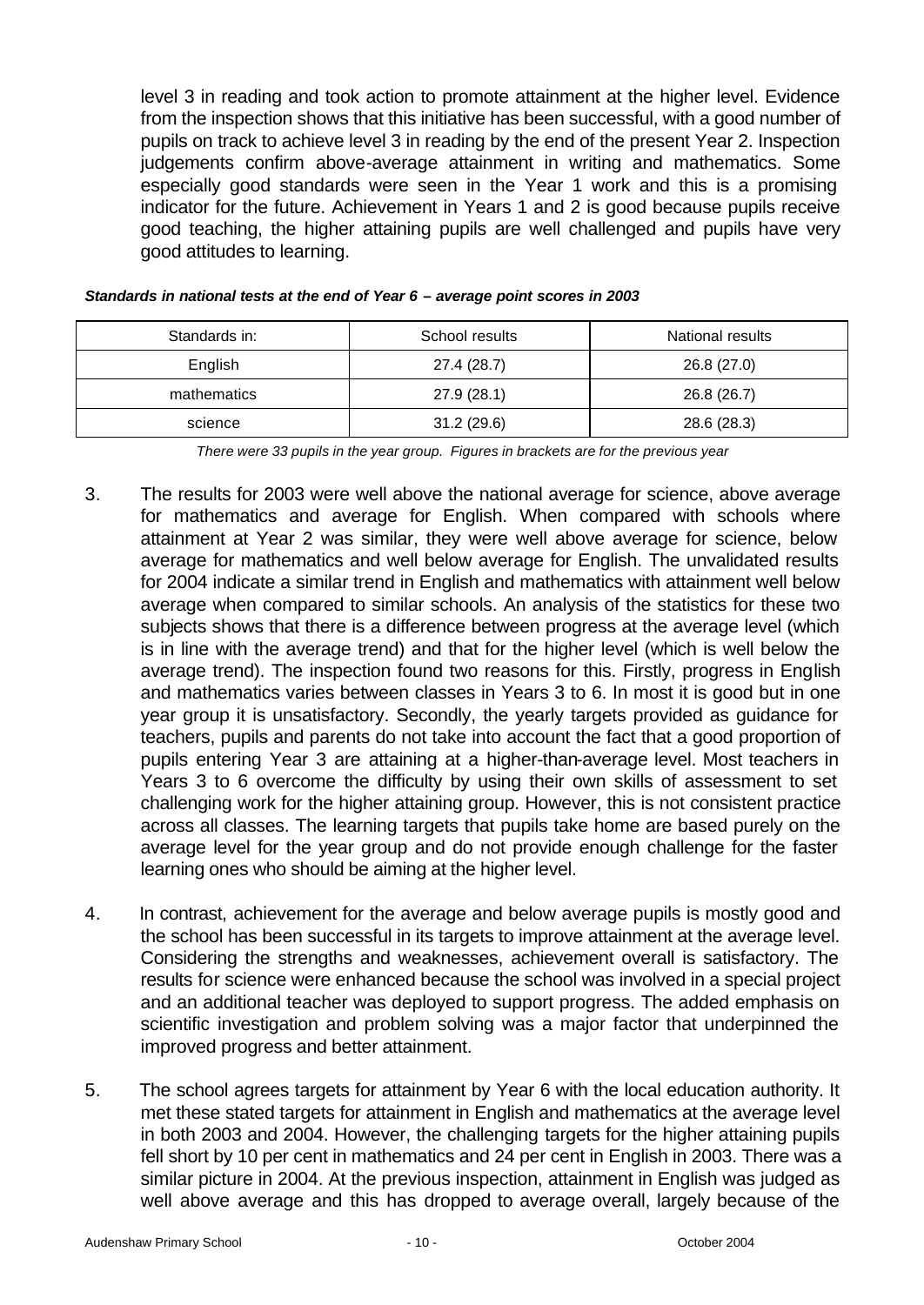level 3 in reading and took action to promote attainment at the higher level. Evidence from the inspection shows that this initiative has been successful, with a good number of pupils on track to achieve level 3 in reading by the end of the present Year 2. Inspection judgements confirm above-average attainment in writing and mathematics. Some especially good standards were seen in the Year 1 work and this is a promising indicator for the future. Achievement in Years 1 and 2 is good because pupils receive good teaching, the higher attaining pupils are well challenged and pupils have very good attitudes to learning.

| Standards in: | School results | National results |
|---------------|----------------|------------------|
| English       | 27.4 (28.7)    | 26.8 (27.0)      |
| mathematics   | 27.9 (28.1)    | 26.8 (26.7)      |
| science       | 31.2(29.6)     | 28.6 (28.3)      |

| Standards in national tests at the end of Year 6 - average point scores in 2003 |  |
|---------------------------------------------------------------------------------|--|
|---------------------------------------------------------------------------------|--|

*There were 33 pupils in the year group. Figures in brackets are for the previous year*

- 3. The results for 2003 were well above the national average for science, above average for mathematics and average for English. When compared with schools where attainment at Year 2 was similar, they were well above average for science, below average for mathematics and well below average for English. The unvalidated results for 2004 indicate a similar trend in English and mathematics with attainment well below average when compared to similar schools. An analysis of the statistics for these two subjects shows that there is a difference between progress at the average level (which is in line with the average trend) and that for the higher level (which is well below the average trend). The inspection found two reasons for this. Firstly, progress in English and mathematics varies between classes in Years 3 to 6. In most it is good but in one year group it is unsatisfactory. Secondly, the yearly targets provided as guidance for teachers, pupils and parents do not take into account the fact that a good proportion of pupils entering Year 3 are attaining at a higher-than-average level. Most teachers in Years 3 to 6 overcome the difficulty by using their own skills of assessment to set challenging work for the higher attaining group. However, this is not consistent practice across all classes. The learning targets that pupils take home are based purely on the average level for the year group and do not provide enough challenge for the faster learning ones who should be aiming at the higher level.
- 4. In contrast, achievement for the average and below average pupils is mostly good and the school has been successful in its targets to improve attainment at the average level. Considering the strengths and weaknesses, achievement overall is satisfactory. The results for science were enhanced because the school was involved in a special project and an additional teacher was deployed to support progress. The added emphasis on scientific investigation and problem solving was a major factor that underpinned the improved progress and better attainment.
- 5. The school agrees targets for attainment by Year 6 with the local education authority. It met these stated targets for attainment in English and mathematics at the average level in both 2003 and 2004. However, the challenging targets for the higher attaining pupils fell short by 10 per cent in mathematics and 24 per cent in English in 2003. There was a similar picture in 2004. At the previous inspection, attainment in English was judged as well above average and this has dropped to average overall, largely because of the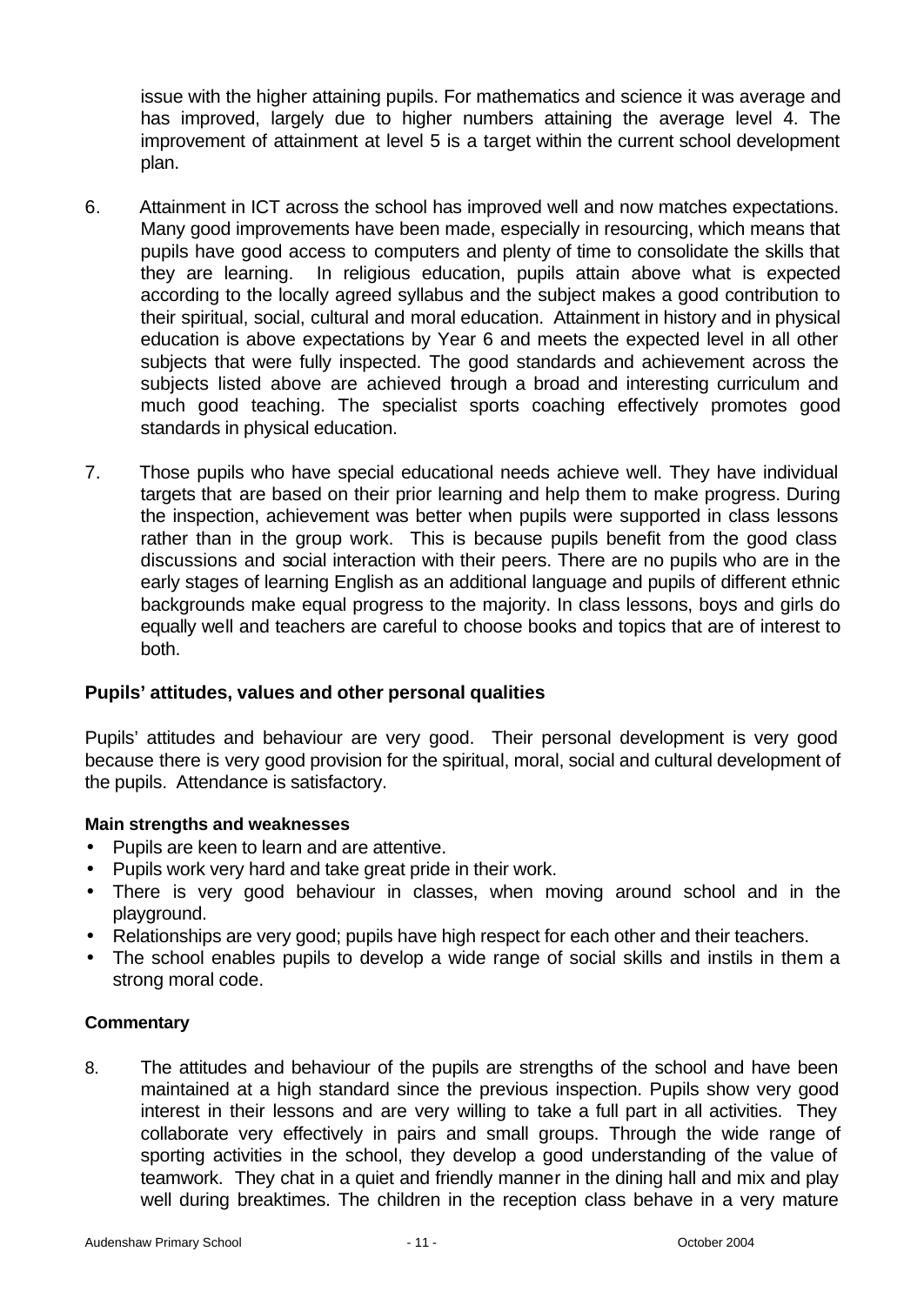issue with the higher attaining pupils. For mathematics and science it was average and has improved, largely due to higher numbers attaining the average level 4. The improvement of attainment at level 5 is a target within the current school development plan.

- 6. Attainment in ICT across the school has improved well and now matches expectations. Many good improvements have been made, especially in resourcing, which means that pupils have good access to computers and plenty of time to consolidate the skills that they are learning. In religious education, pupils attain above what is expected according to the locally agreed syllabus and the subject makes a good contribution to their spiritual, social, cultural and moral education. Attainment in history and in physical education is above expectations by Year 6 and meets the expected level in all other subjects that were fully inspected. The good standards and achievement across the subjects listed above are achieved hrough a broad and interesting curriculum and much good teaching. The specialist sports coaching effectively promotes good standards in physical education.
- 7. Those pupils who have special educational needs achieve well. They have individual targets that are based on their prior learning and help them to make progress. During the inspection, achievement was better when pupils were supported in class lessons rather than in the group work. This is because pupils benefit from the good class discussions and social interaction with their peers. There are no pupils who are in the early stages of learning English as an additional language and pupils of different ethnic backgrounds make equal progress to the majority. In class lessons, boys and girls do equally well and teachers are careful to choose books and topics that are of interest to both.

### **Pupils' attitudes, values and other personal qualities**

Pupils' attitudes and behaviour are very good. Their personal development is very good because there is very good provision for the spiritual, moral, social and cultural development of the pupils. Attendance is satisfactory.

### **Main strengths and weaknesses**

- Pupils are keen to learn and are attentive.
- Pupils work very hard and take great pride in their work.
- There is very good behaviour in classes, when moving around school and in the playground.
- Relationships are very good; pupils have high respect for each other and their teachers.
- The school enables pupils to develop a wide range of social skills and instils in them a strong moral code.

### **Commentary**

8. The attitudes and behaviour of the pupils are strengths of the school and have been maintained at a high standard since the previous inspection. Pupils show very good interest in their lessons and are very willing to take a full part in all activities. They collaborate very effectively in pairs and small groups. Through the wide range of sporting activities in the school, they develop a good understanding of the value of teamwork. They chat in a quiet and friendly manner in the dining hall and mix and play well during breaktimes. The children in the reception class behave in a very mature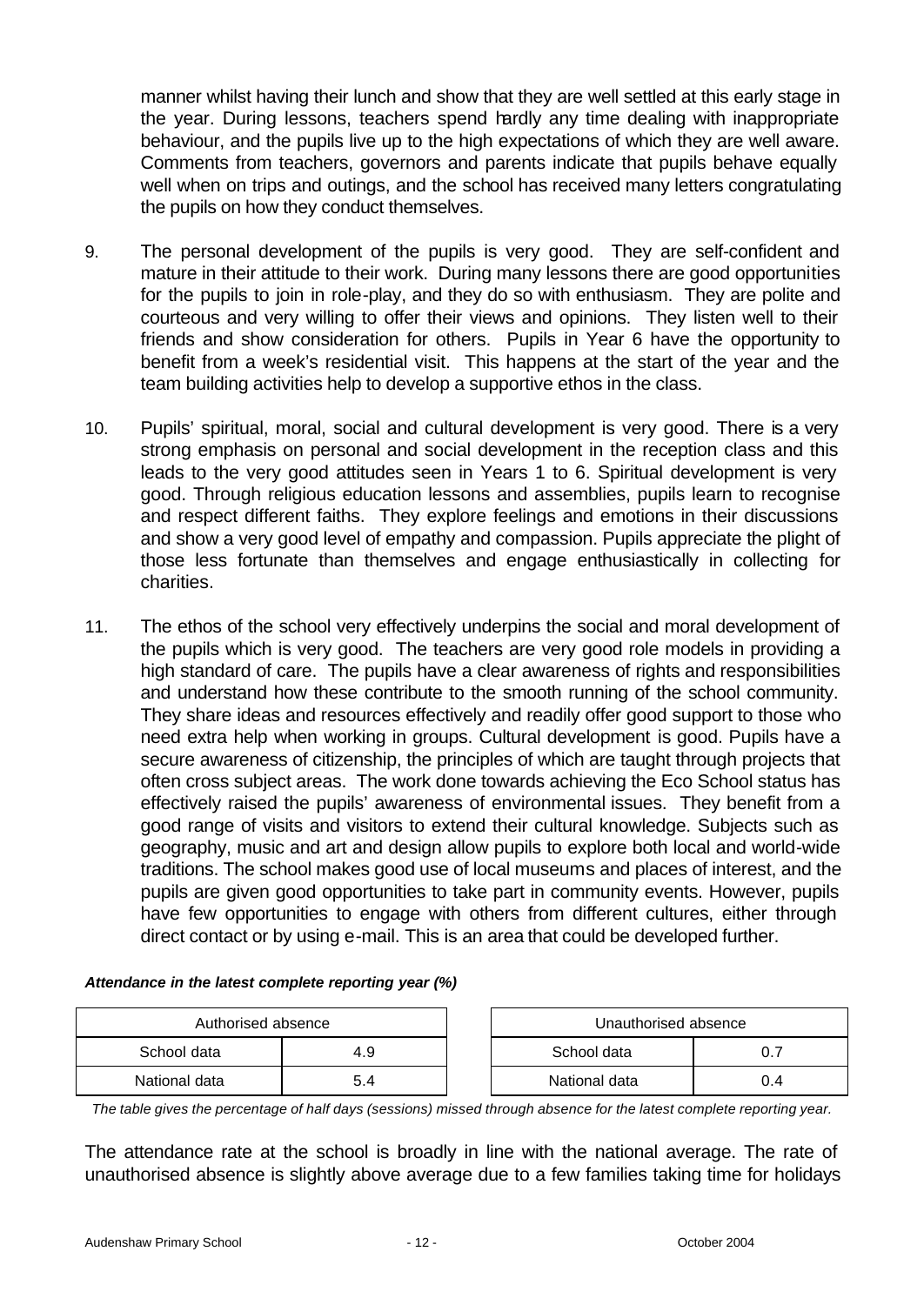manner whilst having their lunch and show that they are well settled at this early stage in the year. During lessons, teachers spend hardly any time dealing with inappropriate behaviour, and the pupils live up to the high expectations of which they are well aware. Comments from teachers, governors and parents indicate that pupils behave equally well when on trips and outings, and the school has received many letters congratulating the pupils on how they conduct themselves.

- 9. The personal development of the pupils is very good. They are self-confident and mature in their attitude to their work. During many lessons there are good opportunities for the pupils to join in role-play, and they do so with enthusiasm. They are polite and courteous and very willing to offer their views and opinions. They listen well to their friends and show consideration for others. Pupils in Year 6 have the opportunity to benefit from a week's residential visit. This happens at the start of the year and the team building activities help to develop a supportive ethos in the class.
- 10. Pupils' spiritual, moral, social and cultural development is very good. There is a very strong emphasis on personal and social development in the reception class and this leads to the very good attitudes seen in Years 1 to 6. Spiritual development is very good. Through religious education lessons and assemblies, pupils learn to recognise and respect different faiths. They explore feelings and emotions in their discussions and show a very good level of empathy and compassion. Pupils appreciate the plight of those less fortunate than themselves and engage enthusiastically in collecting for charities.
- 11. The ethos of the school very effectively underpins the social and moral development of the pupils which is very good. The teachers are very good role models in providing a high standard of care. The pupils have a clear awareness of rights and responsibilities and understand how these contribute to the smooth running of the school community. They share ideas and resources effectively and readily offer good support to those who need extra help when working in groups. Cultural development is good. Pupils have a secure awareness of citizenship, the principles of which are taught through projects that often cross subject areas. The work done towards achieving the Eco School status has effectively raised the pupils' awareness of environmental issues. They benefit from a good range of visits and visitors to extend their cultural knowledge. Subjects such as geography, music and art and design allow pupils to explore both local and world-wide traditions. The school makes good use of local museums and places of interest, and the pupils are given good opportunities to take part in community events. However, pupils have few opportunities to engage with others from different cultures, either through direct contact or by using e-mail. This is an area that could be developed further.

| Authorised absence |     | Unauthorised absence |               |     |
|--------------------|-----|----------------------|---------------|-----|
| School data        | 4.9 |                      | School data   |     |
| National data      | 5.4 |                      | National data | 0.4 |

| Attendance in the latest complete reporting year (%) |  |
|------------------------------------------------------|--|
|------------------------------------------------------|--|

| Authorised absence |     | Unauthorised absence |     |
|--------------------|-----|----------------------|-----|
| data               | 4.9 | School data          |     |
| data               | 5.4 | National data        | 0.4 |

*The table gives the percentage of half days (sessions) missed through absence for the latest complete reporting year.*

The attendance rate at the school is broadly in line with the national average. The rate of unauthorised absence is slightly above average due to a few families taking time for holidays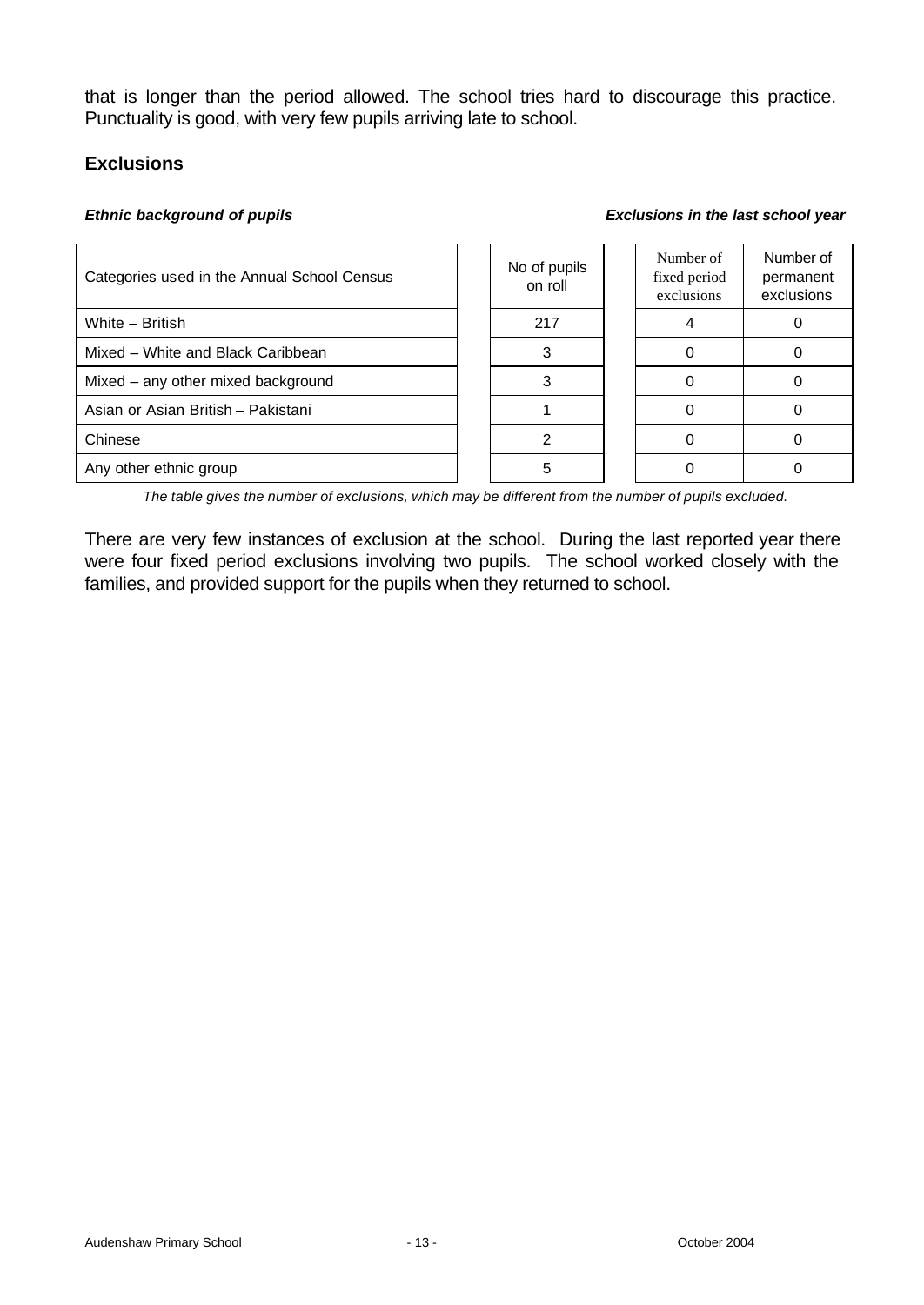that is longer than the period allowed. The school tries hard to discourage this practice. Punctuality is good, with very few pupils arriving late to school.

### **Exclusions**

#### *Ethnic background of pupils*

| Exclusions in the last school year |  |  |  |  |  |
|------------------------------------|--|--|--|--|--|
|------------------------------------|--|--|--|--|--|

| Categories used in the Annual School Census | No of pupils<br>on roll | Number of<br>fixed period<br>exclusions | Number of<br>permanent<br>exclusions |
|---------------------------------------------|-------------------------|-----------------------------------------|--------------------------------------|
| White - British                             | 217                     |                                         |                                      |
| Mixed - White and Black Caribbean           |                         |                                         |                                      |
| Mixed – any other mixed background          |                         |                                         |                                      |
| Asian or Asian British - Pakistani          |                         |                                         |                                      |
| Chinese                                     |                         |                                         |                                      |
| Any other ethnic group                      |                         |                                         |                                      |

*The table gives the number of exclusions, which may be different from the number of pupils excluded.*

There are very few instances of exclusion at the school. During the last reported year there were four fixed period exclusions involving two pupils. The school worked closely with the families, and provided support for the pupils when they returned to school.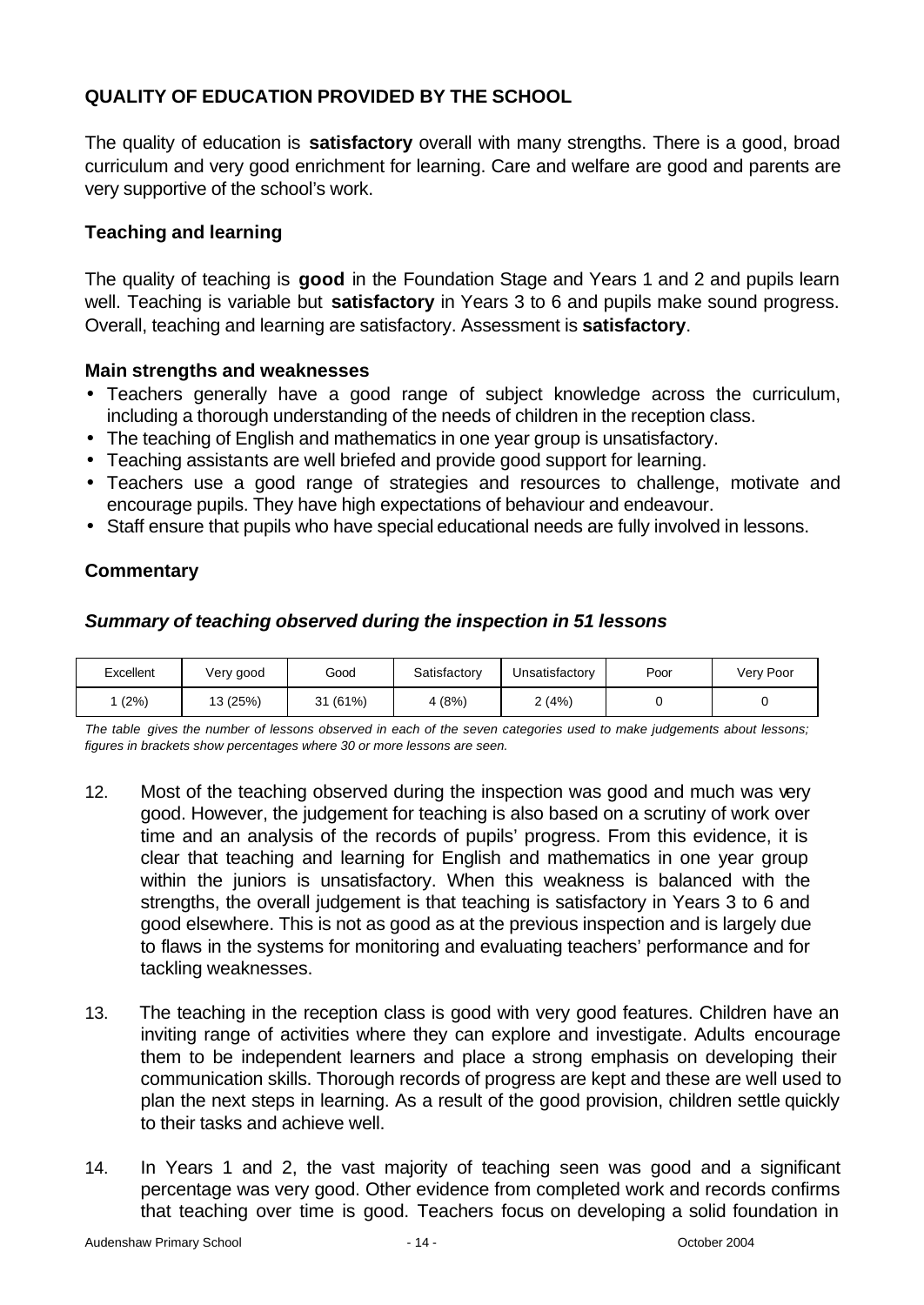## **QUALITY OF EDUCATION PROVIDED BY THE SCHOOL**

The quality of education is **satisfactory** overall with many strengths. There is a good, broad curriculum and very good enrichment for learning. Care and welfare are good and parents are very supportive of the school's work.

### **Teaching and learning**

The quality of teaching is **good** in the Foundation Stage and Years 1 and 2 and pupils learn well. Teaching is variable but **satisfactory** in Years 3 to 6 and pupils make sound progress. Overall, teaching and learning are satisfactory. Assessment is **satisfactory**.

### **Main strengths and weaknesses**

- Teachers generally have a good range of subject knowledge across the curriculum, including a thorough understanding of the needs of children in the reception class.
- The teaching of English and mathematics in one year group is unsatisfactory.
- Teaching assistants are well briefed and provide good support for learning.
- Teachers use a good range of strategies and resources to challenge, motivate and encourage pupils. They have high expectations of behaviour and endeavour.
- Staff ensure that pupils who have special educational needs are fully involved in lessons.

### **Commentary**

### *Summary of teaching observed during the inspection in 51 lessons*

| Excellent | Very good | Good               | Satisfactory | Jnsatisfactory | Poor | Very Poor |
|-----------|-----------|--------------------|--------------|----------------|------|-----------|
| (2%)      | 13 (25%)  | (61%)<br>つイ<br>ا ت | 4 (8%)       | 2(4%)          |      |           |

*The table gives the number of lessons observed in each of the seven categories used to make judgements about lessons; figures in brackets show percentages where 30 or more lessons are seen.*

- 12. Most of the teaching observed during the inspection was good and much was very good. However, the judgement for teaching is also based on a scrutiny of work over time and an analysis of the records of pupils' progress. From this evidence, it is clear that teaching and learning for English and mathematics in one year group within the juniors is unsatisfactory. When this weakness is balanced with the strengths, the overall judgement is that teaching is satisfactory in Years 3 to 6 and good elsewhere. This is not as good as at the previous inspection and is largely due to flaws in the systems for monitoring and evaluating teachers' performance and for tackling weaknesses.
- 13. The teaching in the reception class is good with very good features. Children have an inviting range of activities where they can explore and investigate. Adults encourage them to be independent learners and place a strong emphasis on developing their communication skills. Thorough records of progress are kept and these are well used to plan the next steps in learning. As a result of the good provision, children settle quickly to their tasks and achieve well.
- 14. In Years 1 and 2, the vast majority of teaching seen was good and a significant percentage was very good. Other evidence from completed work and records confirms that teaching over time is good. Teachers focus on developing a solid foundation in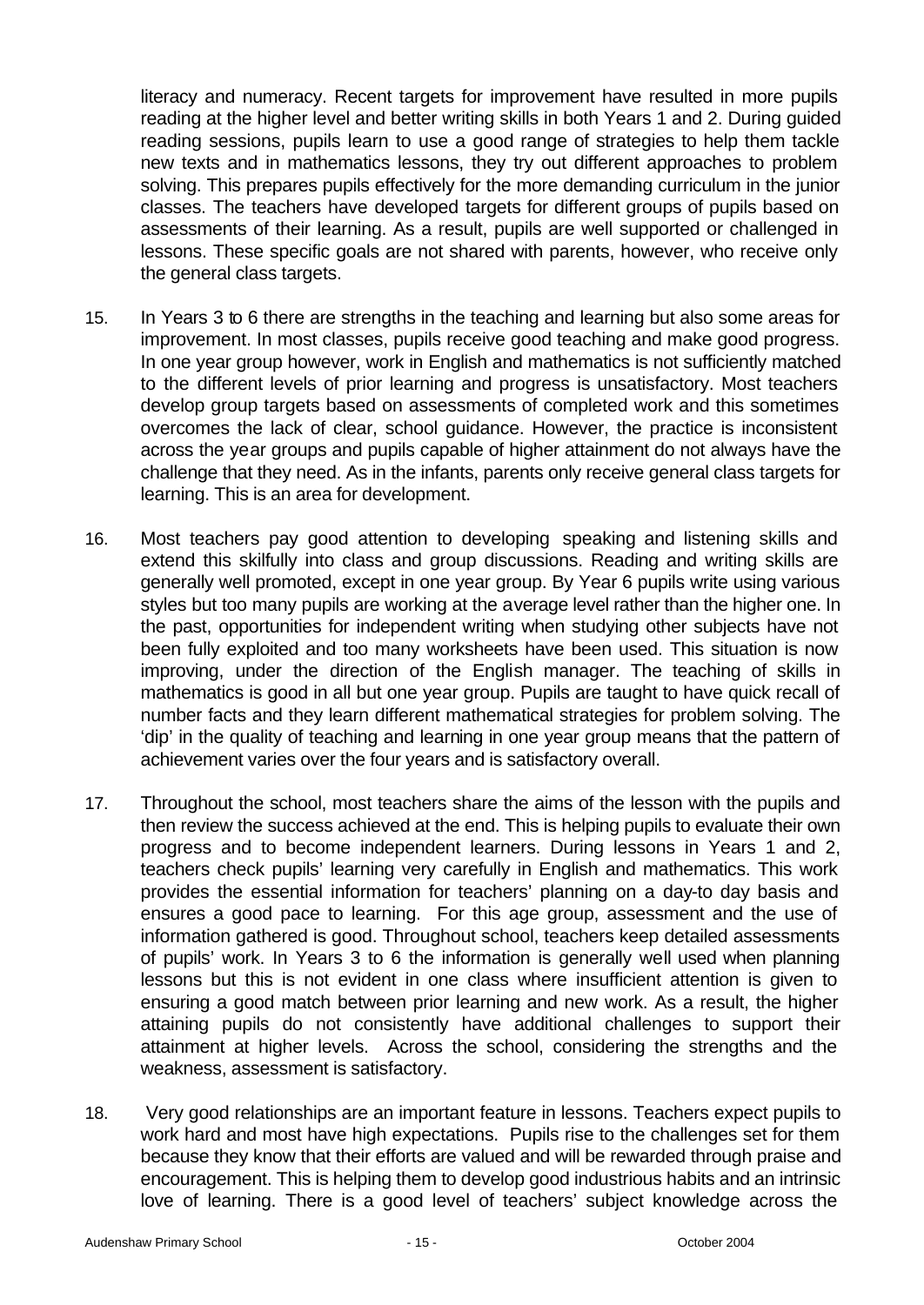literacy and numeracy. Recent targets for improvement have resulted in more pupils reading at the higher level and better writing skills in both Years 1 and 2. During guided reading sessions, pupils learn to use a good range of strategies to help them tackle new texts and in mathematics lessons, they try out different approaches to problem solving. This prepares pupils effectively for the more demanding curriculum in the junior classes. The teachers have developed targets for different groups of pupils based on assessments of their learning. As a result, pupils are well supported or challenged in lessons. These specific goals are not shared with parents, however, who receive only the general class targets.

- 15. In Years 3 to 6 there are strengths in the teaching and learning but also some areas for improvement. In most classes, pupils receive good teaching and make good progress. In one year group however, work in English and mathematics is not sufficiently matched to the different levels of prior learning and progress is unsatisfactory. Most teachers develop group targets based on assessments of completed work and this sometimes overcomes the lack of clear, school guidance. However, the practice is inconsistent across the year groups and pupils capable of higher attainment do not always have the challenge that they need. As in the infants, parents only receive general class targets for learning. This is an area for development.
- 16. Most teachers pay good attention to developing speaking and listening skills and extend this skilfully into class and group discussions. Reading and writing skills are generally well promoted, except in one year group. By Year 6 pupils write using various styles but too many pupils are working at the average level rather than the higher one. In the past, opportunities for independent writing when studying other subjects have not been fully exploited and too many worksheets have been used. This situation is now improving, under the direction of the English manager. The teaching of skills in mathematics is good in all but one year group. Pupils are taught to have quick recall of number facts and they learn different mathematical strategies for problem solving. The 'dip' in the quality of teaching and learning in one year group means that the pattern of achievement varies over the four years and is satisfactory overall.
- 17. Throughout the school, most teachers share the aims of the lesson with the pupils and then review the success achieved at the end. This is helping pupils to evaluate their own progress and to become independent learners. During lessons in Years 1 and 2, teachers check pupils' learning very carefully in English and mathematics. This work provides the essential information for teachers' planning on a day-to day basis and ensures a good pace to learning. For this age group, assessment and the use of information gathered is good. Throughout school, teachers keep detailed assessments of pupils' work. In Years 3 to 6 the information is generally well used when planning lessons but this is not evident in one class where insufficient attention is given to ensuring a good match between prior learning and new work. As a result, the higher attaining pupils do not consistently have additional challenges to support their attainment at higher levels. Across the school, considering the strengths and the weakness, assessment is satisfactory.
- 18. Very good relationships are an important feature in lessons. Teachers expect pupils to work hard and most have high expectations. Pupils rise to the challenges set for them because they know that their efforts are valued and will be rewarded through praise and encouragement. This is helping them to develop good industrious habits and an intrinsic love of learning. There is a good level of teachers' subject knowledge across the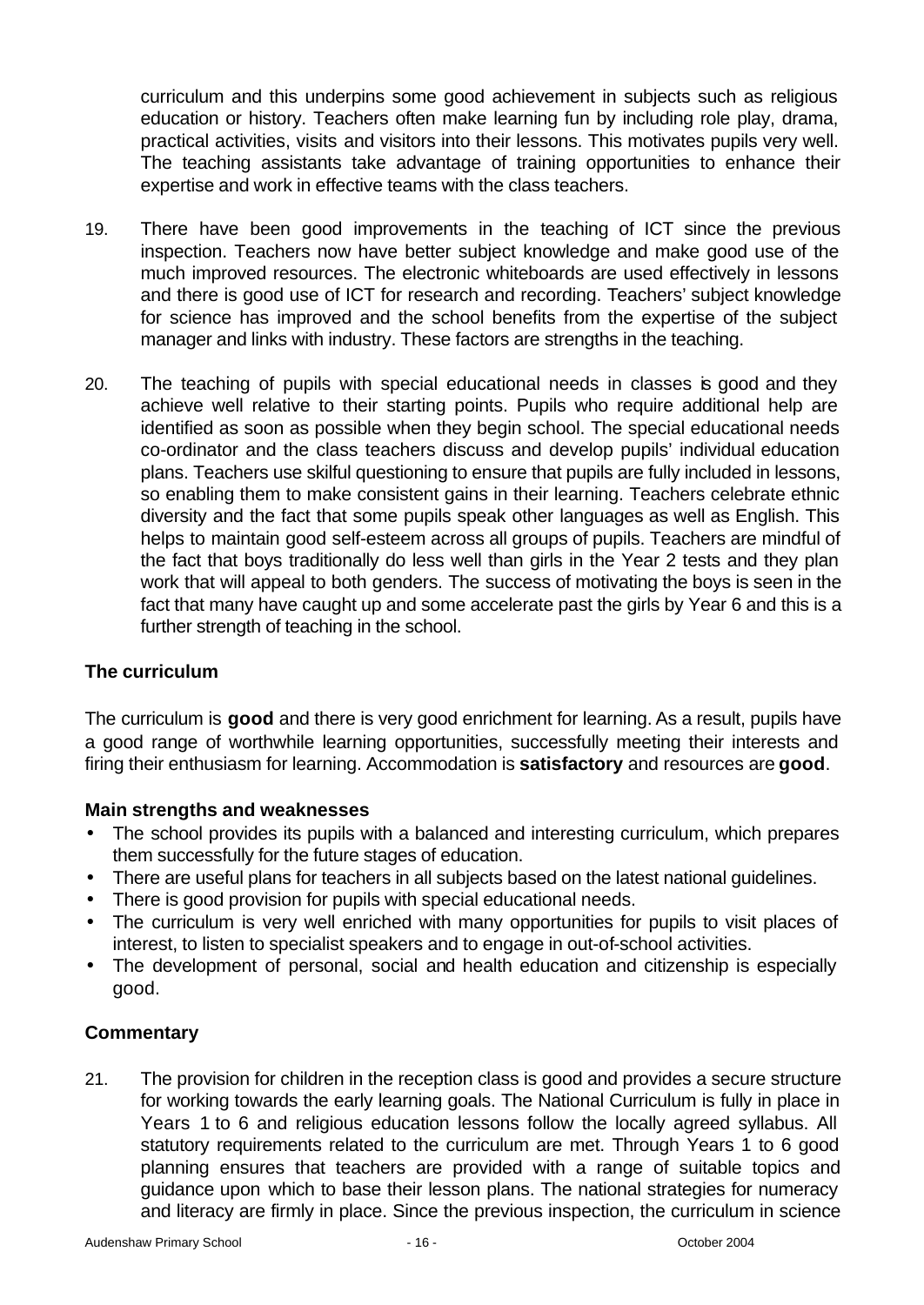curriculum and this underpins some good achievement in subjects such as religious education or history. Teachers often make learning fun by including role play, drama, practical activities, visits and visitors into their lessons. This motivates pupils very well. The teaching assistants take advantage of training opportunities to enhance their expertise and work in effective teams with the class teachers.

- 19. There have been good improvements in the teaching of ICT since the previous inspection. Teachers now have better subject knowledge and make good use of the much improved resources. The electronic whiteboards are used effectively in lessons and there is good use of ICT for research and recording. Teachers' subject knowledge for science has improved and the school benefits from the expertise of the subject manager and links with industry. These factors are strengths in the teaching.
- 20. The teaching of pupils with special educational needs in classes is good and they achieve well relative to their starting points. Pupils who require additional help are identified as soon as possible when they begin school. The special educational needs co-ordinator and the class teachers discuss and develop pupils' individual education plans. Teachers use skilful questioning to ensure that pupils are fully included in lessons, so enabling them to make consistent gains in their learning. Teachers celebrate ethnic diversity and the fact that some pupils speak other languages as well as English. This helps to maintain good self-esteem across all groups of pupils. Teachers are mindful of the fact that boys traditionally do less well than girls in the Year 2 tests and they plan work that will appeal to both genders. The success of motivating the boys is seen in the fact that many have caught up and some accelerate past the girls by Year 6 and this is a further strength of teaching in the school.

### **The curriculum**

The curriculum is **good** and there is very good enrichment for learning. As a result, pupils have a good range of worthwhile learning opportunities, successfully meeting their interests and firing their enthusiasm for learning. Accommodation is **satisfactory** and resources are **good**.

### **Main strengths and weaknesses**

- The school provides its pupils with a balanced and interesting curriculum, which prepares them successfully for the future stages of education.
- There are useful plans for teachers in all subjects based on the latest national guidelines.
- There is good provision for pupils with special educational needs.
- The curriculum is very well enriched with many opportunities for pupils to visit places of interest, to listen to specialist speakers and to engage in out-of-school activities.
- The development of personal, social and health education and citizenship is especially good.

### **Commentary**

21. The provision for children in the reception class is good and provides a secure structure for working towards the early learning goals. The National Curriculum is fully in place in Years 1 to 6 and religious education lessons follow the locally agreed syllabus. All statutory requirements related to the curriculum are met. Through Years 1 to 6 good planning ensures that teachers are provided with a range of suitable topics and guidance upon which to base their lesson plans. The national strategies for numeracy and literacy are firmly in place. Since the previous inspection, the curriculum in science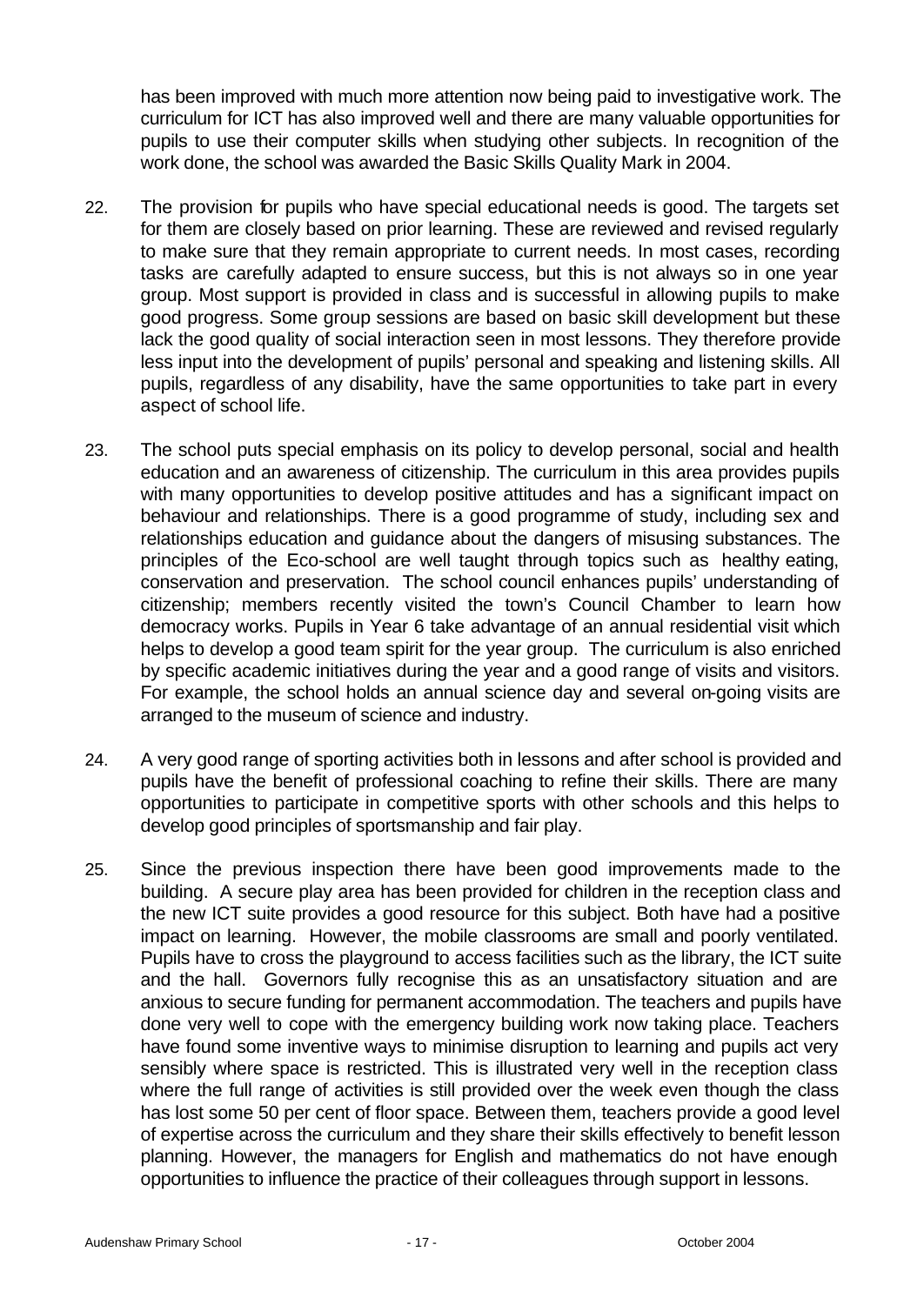has been improved with much more attention now being paid to investigative work. The curriculum for ICT has also improved well and there are many valuable opportunities for pupils to use their computer skills when studying other subjects. In recognition of the work done, the school was awarded the Basic Skills Quality Mark in 2004.

- 22. The provision for pupils who have special educational needs is good. The targets set for them are closely based on prior learning. These are reviewed and revised regularly to make sure that they remain appropriate to current needs. In most cases, recording tasks are carefully adapted to ensure success, but this is not always so in one year group. Most support is provided in class and is successful in allowing pupils to make good progress. Some group sessions are based on basic skill development but these lack the good quality of social interaction seen in most lessons. They therefore provide less input into the development of pupils' personal and speaking and listening skills. All pupils, regardless of any disability, have the same opportunities to take part in every aspect of school life.
- 23. The school puts special emphasis on its policy to develop personal, social and health education and an awareness of citizenship. The curriculum in this area provides pupils with many opportunities to develop positive attitudes and has a significant impact on behaviour and relationships. There is a good programme of study, including sex and relationships education and guidance about the dangers of misusing substances. The principles of the Eco-school are well taught through topics such as healthy eating, conservation and preservation. The school council enhances pupils' understanding of citizenship; members recently visited the town's Council Chamber to learn how democracy works. Pupils in Year 6 take advantage of an annual residential visit which helps to develop a good team spirit for the year group. The curriculum is also enriched by specific academic initiatives during the year and a good range of visits and visitors. For example, the school holds an annual science day and several on-going visits are arranged to the museum of science and industry.
- 24. A very good range of sporting activities both in lessons and after school is provided and pupils have the benefit of professional coaching to refine their skills. There are many opportunities to participate in competitive sports with other schools and this helps to develop good principles of sportsmanship and fair play.
- 25. Since the previous inspection there have been good improvements made to the building. A secure play area has been provided for children in the reception class and the new ICT suite provides a good resource for this subject. Both have had a positive impact on learning. However, the mobile classrooms are small and poorly ventilated. Pupils have to cross the playground to access facilities such as the library, the ICT suite and the hall. Governors fully recognise this as an unsatisfactory situation and are anxious to secure funding for permanent accommodation. The teachers and pupils have done very well to cope with the emergency building work now taking place. Teachers have found some inventive ways to minimise disruption to learning and pupils act very sensibly where space is restricted. This is illustrated very well in the reception class where the full range of activities is still provided over the week even though the class has lost some 50 per cent of floor space. Between them, teachers provide a good level of expertise across the curriculum and they share their skills effectively to benefit lesson planning. However, the managers for English and mathematics do not have enough opportunities to influence the practice of their colleagues through support in lessons.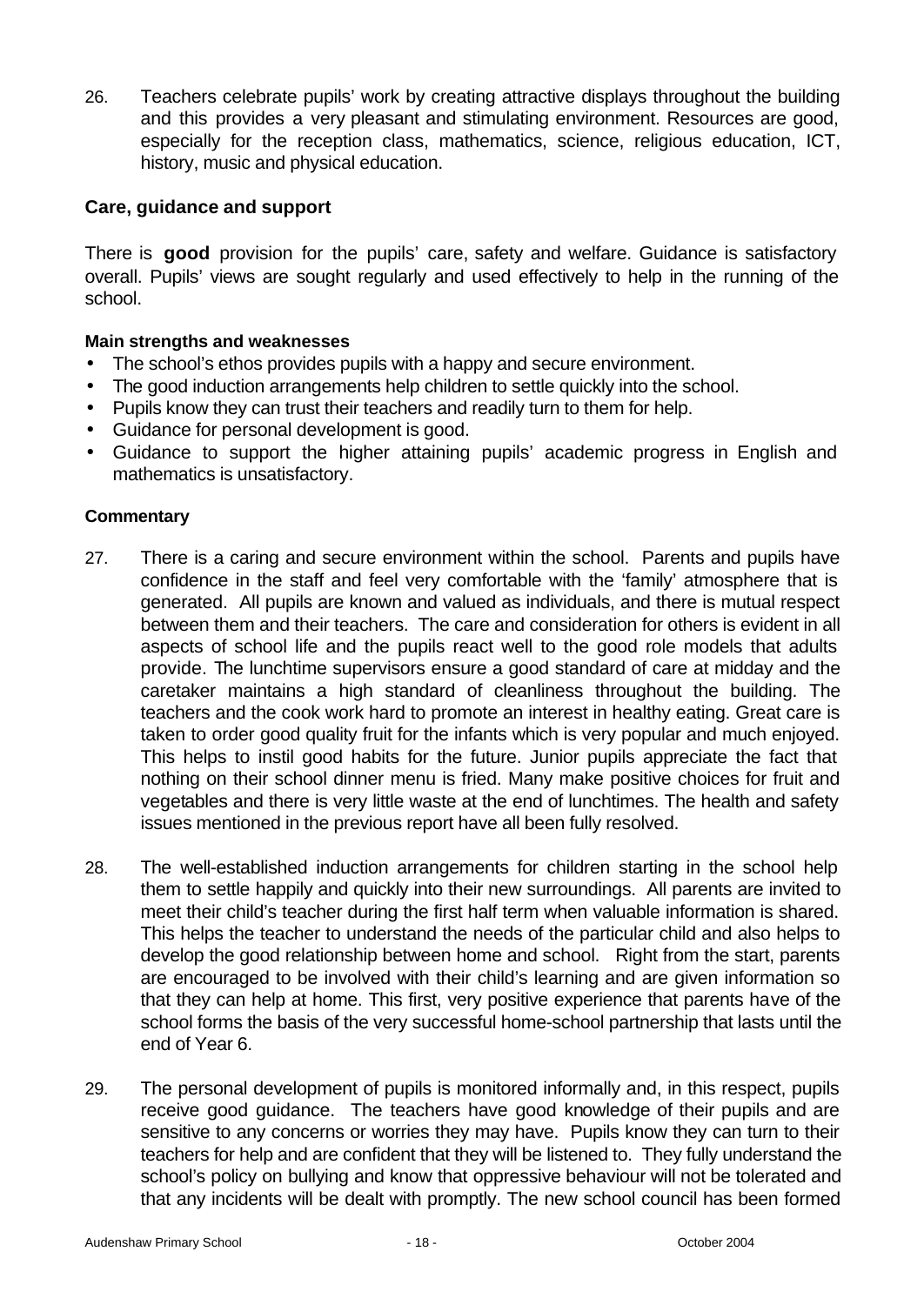26. Teachers celebrate pupils' work by creating attractive displays throughout the building and this provides a very pleasant and stimulating environment. Resources are good, especially for the reception class, mathematics, science, religious education, ICT, history, music and physical education.

### **Care, guidance and support**

There is **good** provision for the pupils' care, safety and welfare. Guidance is satisfactory overall. Pupils' views are sought regularly and used effectively to help in the running of the school.

#### **Main strengths and weaknesses**

- The school's ethos provides pupils with a happy and secure environment.
- The good induction arrangements help children to settle quickly into the school.
- Pupils know they can trust their teachers and readily turn to them for help.
- Guidance for personal development is good.
- Guidance to support the higher attaining pupils' academic progress in English and mathematics is unsatisfactory.

- 27. There is a caring and secure environment within the school. Parents and pupils have confidence in the staff and feel very comfortable with the 'family' atmosphere that is generated. All pupils are known and valued as individuals, and there is mutual respect between them and their teachers. The care and consideration for others is evident in all aspects of school life and the pupils react well to the good role models that adults provide. The lunchtime supervisors ensure a good standard of care at midday and the caretaker maintains a high standard of cleanliness throughout the building. The teachers and the cook work hard to promote an interest in healthy eating. Great care is taken to order good quality fruit for the infants which is very popular and much enjoyed. This helps to instil good habits for the future. Junior pupils appreciate the fact that nothing on their school dinner menu is fried. Many make positive choices for fruit and vegetables and there is very little waste at the end of lunchtimes. The health and safety issues mentioned in the previous report have all been fully resolved.
- 28. The well-established induction arrangements for children starting in the school help them to settle happily and quickly into their new surroundings. All parents are invited to meet their child's teacher during the first half term when valuable information is shared. This helps the teacher to understand the needs of the particular child and also helps to develop the good relationship between home and school. Right from the start, parents are encouraged to be involved with their child's learning and are given information so that they can help at home. This first, very positive experience that parents have of the school forms the basis of the very successful home-school partnership that lasts until the end of Year 6.
- 29. The personal development of pupils is monitored informally and, in this respect, pupils receive good guidance. The teachers have good knowledge of their pupils and are sensitive to any concerns or worries they may have. Pupils know they can turn to their teachers for help and are confident that they will be listened to. They fully understand the school's policy on bullying and know that oppressive behaviour will not be tolerated and that any incidents will be dealt with promptly. The new school council has been formed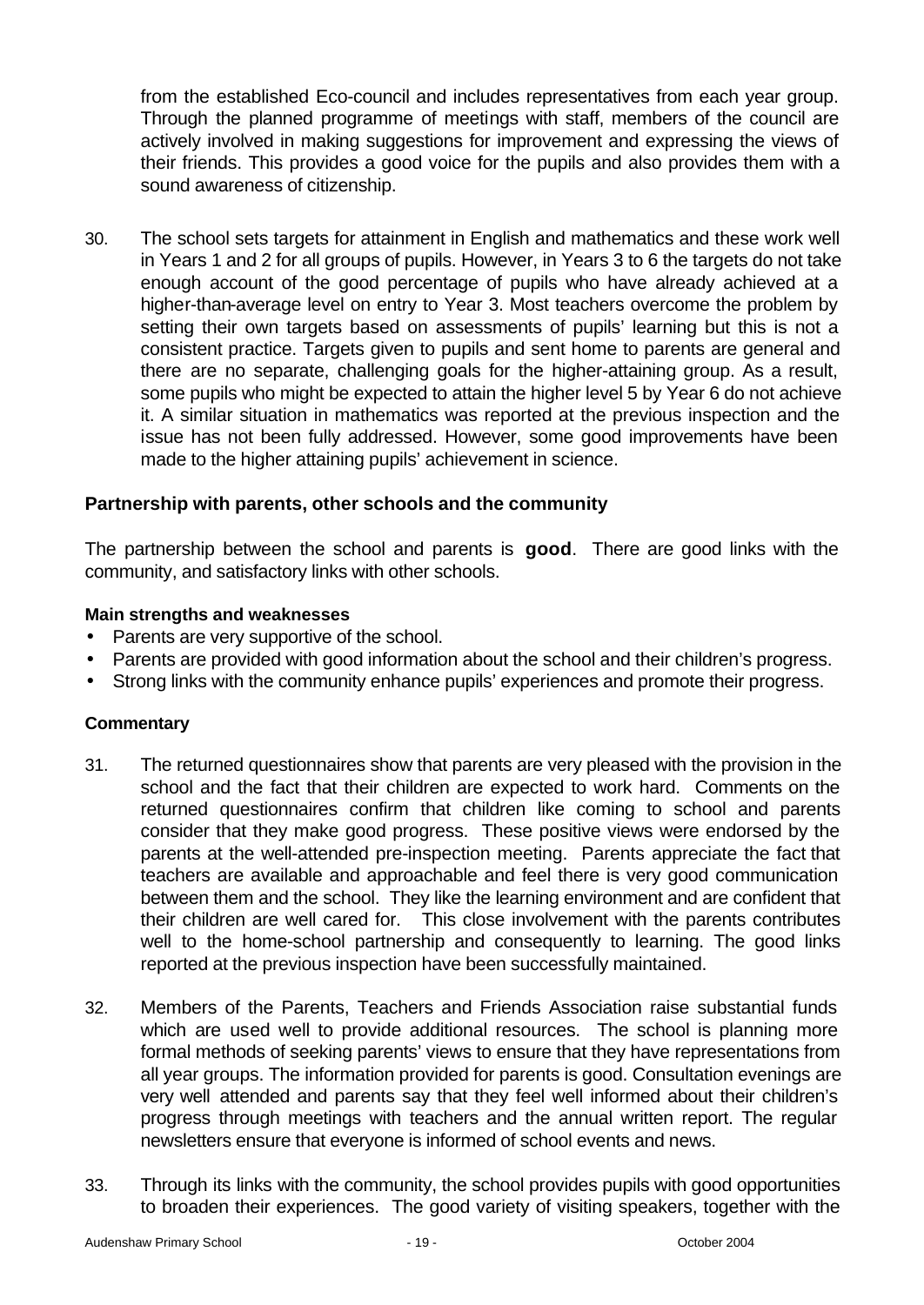from the established Eco-council and includes representatives from each year group. Through the planned programme of meetings with staff, members of the council are actively involved in making suggestions for improvement and expressing the views of their friends. This provides a good voice for the pupils and also provides them with a sound awareness of citizenship.

30. The school sets targets for attainment in English and mathematics and these work well in Years 1 and 2 for all groups of pupils. However, in Years 3 to 6 the targets do not take enough account of the good percentage of pupils who have already achieved at a higher-than-average level on entry to Year 3. Most teachers overcome the problem by setting their own targets based on assessments of pupils' learning but this is not a consistent practice. Targets given to pupils and sent home to parents are general and there are no separate, challenging goals for the higher-attaining group. As a result, some pupils who might be expected to attain the higher level 5 by Year 6 do not achieve it. A similar situation in mathematics was reported at the previous inspection and the issue has not been fully addressed. However, some good improvements have been made to the higher attaining pupils' achievement in science.

#### **Partnership with parents, other schools and the community**

The partnership between the school and parents is **good**. There are good links with the community, and satisfactory links with other schools.

#### **Main strengths and weaknesses**

- Parents are very supportive of the school.
- Parents are provided with good information about the school and their children's progress.
- Strong links with the community enhance pupils' experiences and promote their progress.

- 31. The returned questionnaires show that parents are very pleased with the provision in the school and the fact that their children are expected to work hard. Comments on the returned questionnaires confirm that children like coming to school and parents consider that they make good progress. These positive views were endorsed by the parents at the well-attended pre-inspection meeting. Parents appreciate the fact that teachers are available and approachable and feel there is very good communication between them and the school. They like the learning environment and are confident that their children are well cared for. This close involvement with the parents contributes well to the home-school partnership and consequently to learning. The good links reported at the previous inspection have been successfully maintained.
- 32. Members of the Parents, Teachers and Friends Association raise substantial funds which are used well to provide additional resources. The school is planning more formal methods of seeking parents' views to ensure that they have representations from all year groups. The information provided for parents is good. Consultation evenings are very well attended and parents say that they feel well informed about their children's progress through meetings with teachers and the annual written report. The regular newsletters ensure that everyone is informed of school events and news.
- 33. Through its links with the community, the school provides pupils with good opportunities to broaden their experiences. The good variety of visiting speakers, together with the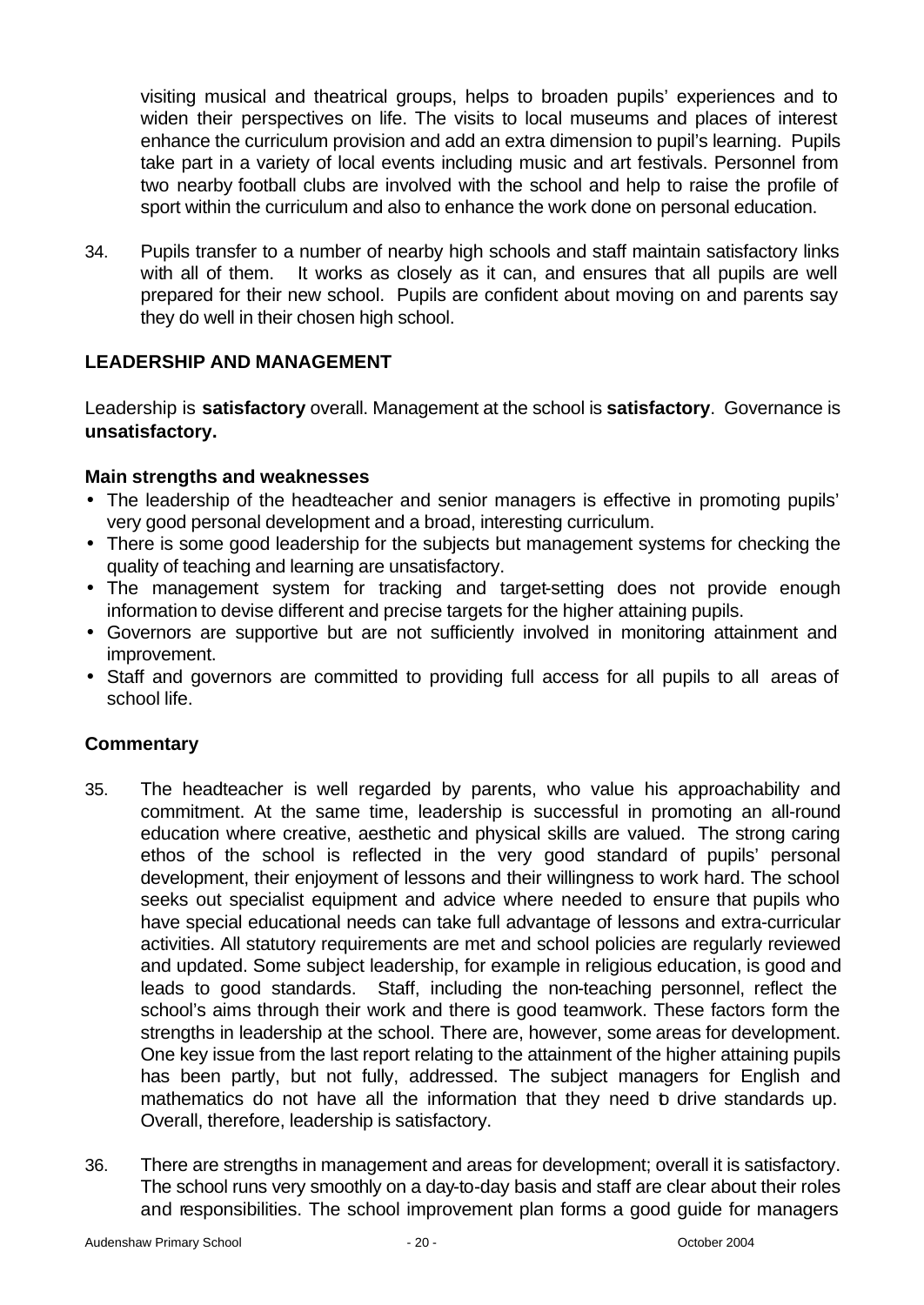visiting musical and theatrical groups, helps to broaden pupils' experiences and to widen their perspectives on life. The visits to local museums and places of interest enhance the curriculum provision and add an extra dimension to pupil's learning. Pupils take part in a variety of local events including music and art festivals. Personnel from two nearby football clubs are involved with the school and help to raise the profile of sport within the curriculum and also to enhance the work done on personal education.

34. Pupils transfer to a number of nearby high schools and staff maintain satisfactory links with all of them. It works as closely as it can, and ensures that all pupils are well prepared for their new school. Pupils are confident about moving on and parents say they do well in their chosen high school.

### **LEADERSHIP AND MANAGEMENT**

Leadership is **satisfactory** overall. Management at the school is **satisfactory**. Governance is **unsatisfactory.**

### **Main strengths and weaknesses**

- The leadership of the headteacher and senior managers is effective in promoting pupils' very good personal development and a broad, interesting curriculum.
- There is some good leadership for the subjects but management systems for checking the quality of teaching and learning are unsatisfactory.
- The management system for tracking and target-setting does not provide enough information to devise different and precise targets for the higher attaining pupils.
- Governors are supportive but are not sufficiently involved in monitoring attainment and improvement.
- Staff and governors are committed to providing full access for all pupils to all areas of school life.

- 35. The headteacher is well regarded by parents, who value his approachability and commitment. At the same time, leadership is successful in promoting an all-round education where creative, aesthetic and physical skills are valued. The strong caring ethos of the school is reflected in the very good standard of pupils' personal development, their enjoyment of lessons and their willingness to work hard. The school seeks out specialist equipment and advice where needed to ensure that pupils who have special educational needs can take full advantage of lessons and extra-curricular activities. All statutory requirements are met and school policies are regularly reviewed and updated. Some subject leadership, for example in religious education, is good and leads to good standards. Staff, including the non-teaching personnel, reflect the school's aims through their work and there is good teamwork. These factors form the strengths in leadership at the school. There are, however, some areas for development. One key issue from the last report relating to the attainment of the higher attaining pupils has been partly, but not fully, addressed. The subject managers for English and mathematics do not have all the information that they need to drive standards up. Overall, therefore, leadership is satisfactory.
- 36. There are strengths in management and areas for development; overall it is satisfactory. The school runs very smoothly on a day-to-day basis and staff are clear about their roles and responsibilities. The school improvement plan forms a good guide for managers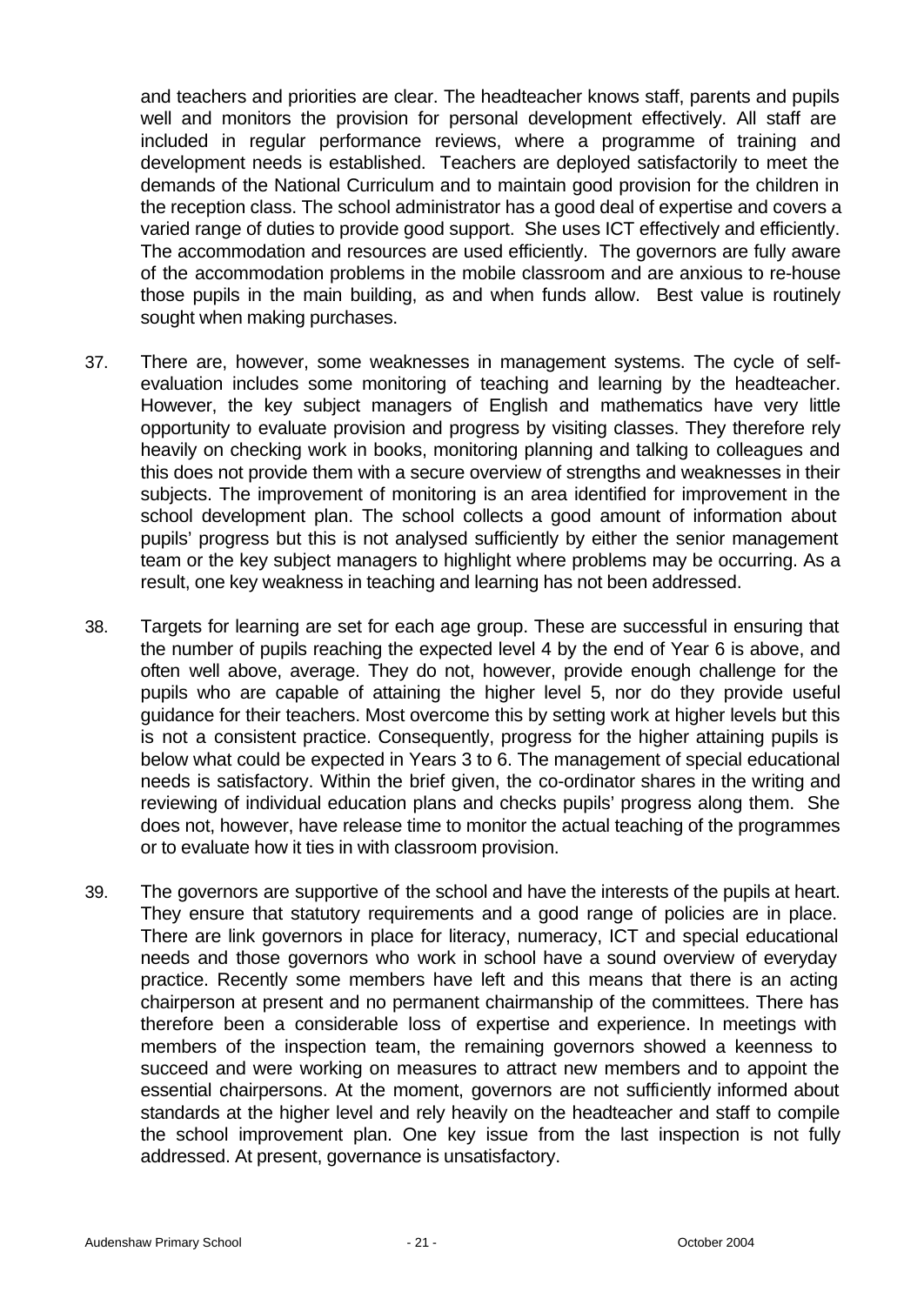and teachers and priorities are clear. The headteacher knows staff, parents and pupils well and monitors the provision for personal development effectively. All staff are included in regular performance reviews, where a programme of training and development needs is established. Teachers are deployed satisfactorily to meet the demands of the National Curriculum and to maintain good provision for the children in the reception class. The school administrator has a good deal of expertise and covers a varied range of duties to provide good support. She uses ICT effectively and efficiently. The accommodation and resources are used efficiently. The governors are fully aware of the accommodation problems in the mobile classroom and are anxious to re-house those pupils in the main building, as and when funds allow. Best value is routinely sought when making purchases.

- 37. There are, however, some weaknesses in management systems. The cycle of selfevaluation includes some monitoring of teaching and learning by the headteacher. However, the key subject managers of English and mathematics have very little opportunity to evaluate provision and progress by visiting classes. They therefore rely heavily on checking work in books, monitoring planning and talking to colleagues and this does not provide them with a secure overview of strengths and weaknesses in their subjects. The improvement of monitoring is an area identified for improvement in the school development plan. The school collects a good amount of information about pupils' progress but this is not analysed sufficiently by either the senior management team or the key subject managers to highlight where problems may be occurring. As a result, one key weakness in teaching and learning has not been addressed.
- 38. Targets for learning are set for each age group. These are successful in ensuring that the number of pupils reaching the expected level 4 by the end of Year 6 is above, and often well above, average. They do not, however, provide enough challenge for the pupils who are capable of attaining the higher level 5, nor do they provide useful guidance for their teachers. Most overcome this by setting work at higher levels but this is not a consistent practice. Consequently, progress for the higher attaining pupils is below what could be expected in Years 3 to 6. The management of special educational needs is satisfactory. Within the brief given, the co-ordinator shares in the writing and reviewing of individual education plans and checks pupils' progress along them. She does not, however, have release time to monitor the actual teaching of the programmes or to evaluate how it ties in with classroom provision.
- 39. The governors are supportive of the school and have the interests of the pupils at heart. They ensure that statutory requirements and a good range of policies are in place. There are link governors in place for literacy, numeracy, ICT and special educational needs and those governors who work in school have a sound overview of everyday practice. Recently some members have left and this means that there is an acting chairperson at present and no permanent chairmanship of the committees. There has therefore been a considerable loss of expertise and experience. In meetings with members of the inspection team, the remaining governors showed a keenness to succeed and were working on measures to attract new members and to appoint the essential chairpersons. At the moment, governors are not sufficiently informed about standards at the higher level and rely heavily on the headteacher and staff to compile the school improvement plan. One key issue from the last inspection is not fully addressed. At present, governance is unsatisfactory.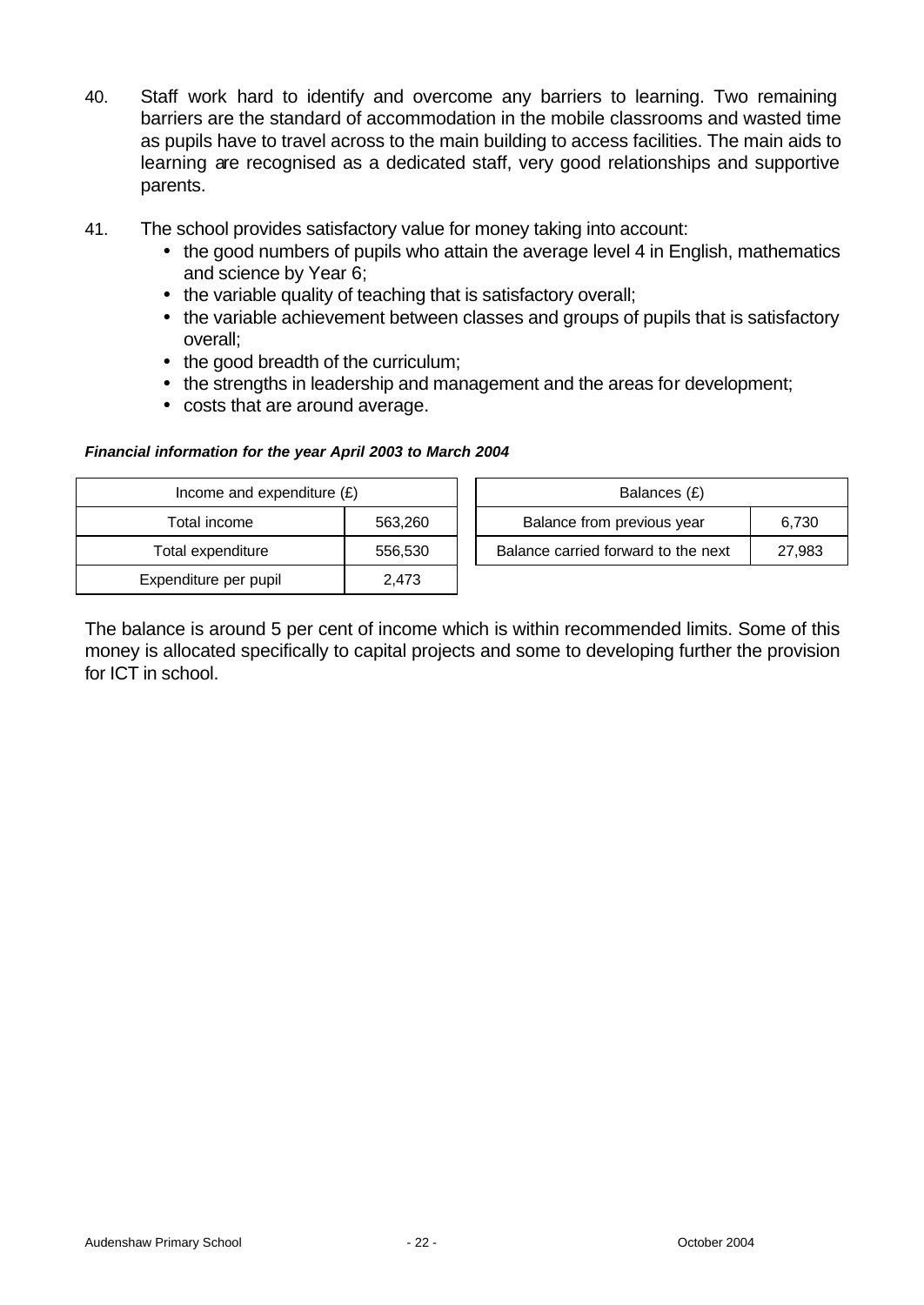- 40. Staff work hard to identify and overcome any barriers to learning. Two remaining barriers are the standard of accommodation in the mobile classrooms and wasted time as pupils have to travel across to the main building to access facilities. The main aids to learning are recognised as a dedicated staff, very good relationships and supportive parents.
- 41. The school provides satisfactory value for money taking into account:
	- the good numbers of pupils who attain the average level 4 in English, mathematics and science by Year 6;
	- the variable quality of teaching that is satisfactory overall;
	- the variable achievement between classes and groups of pupils that is satisfactory overall;
	- the good breadth of the curriculum;
	- the strengths in leadership and management and the areas for development;
	- costs that are around average.

#### *Financial information for the year April 2003 to March 2004*

| Income and expenditure $(E)$ |         | Balances (£)                                  |  |  |
|------------------------------|---------|-----------------------------------------------|--|--|
| Total income                 | 563,260 | Balance from previous year<br>6,730           |  |  |
| Total expenditure            | 556,530 | Balance carried forward to the next<br>27,983 |  |  |
| Expenditure per pupil        | 2.473   |                                               |  |  |

The balance is around 5 per cent of income which is within recommended limits. Some of this money is allocated specifically to capital projects and some to developing further the provision for ICT in school.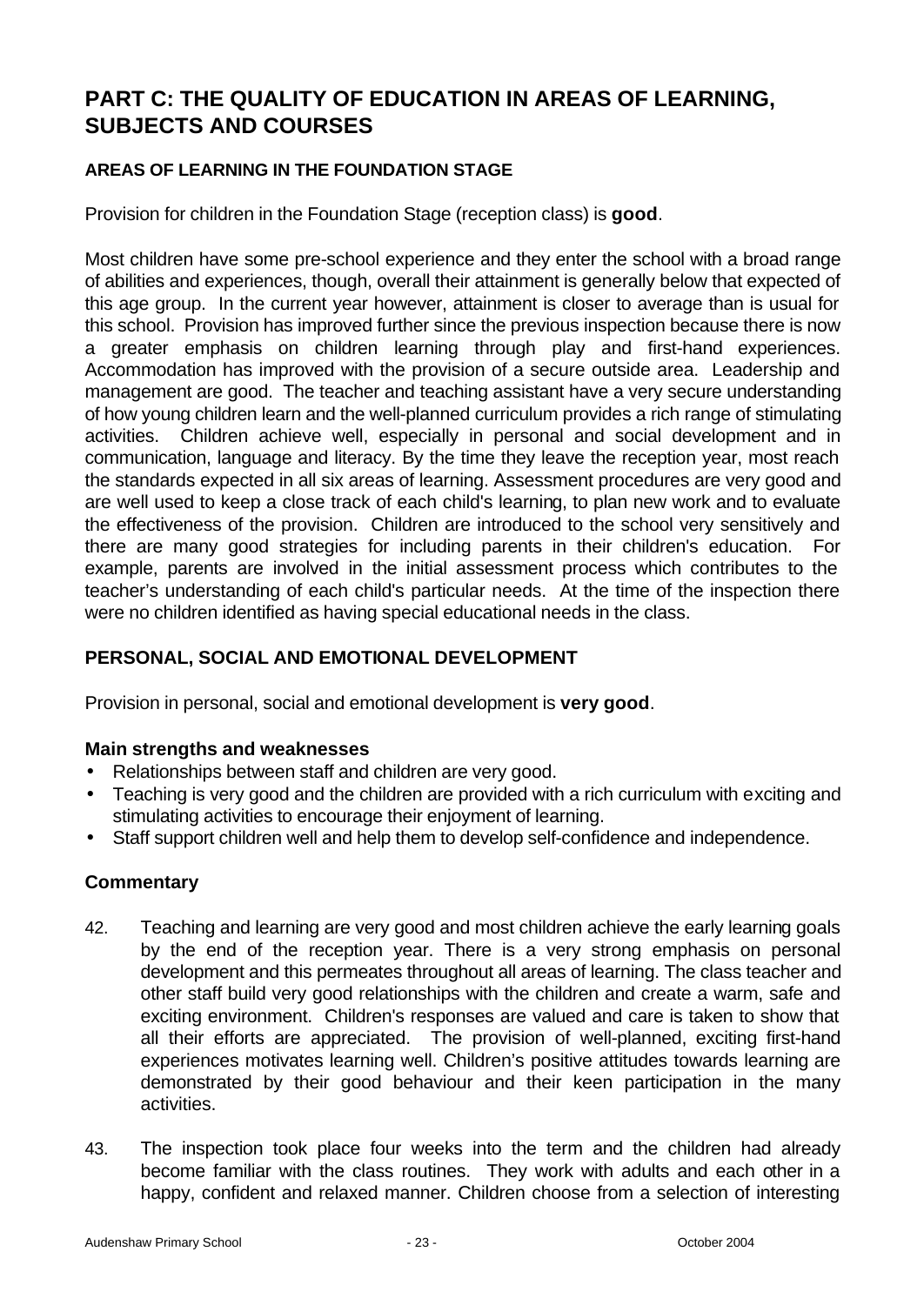# **PART C: THE QUALITY OF EDUCATION IN AREAS OF LEARNING, SUBJECTS AND COURSES**

### **AREAS OF LEARNING IN THE FOUNDATION STAGE**

Provision for children in the Foundation Stage (reception class) is **good**.

Most children have some pre-school experience and they enter the school with a broad range of abilities and experiences, though, overall their attainment is generally below that expected of this age group. In the current year however, attainment is closer to average than is usual for this school. Provision has improved further since the previous inspection because there is now a greater emphasis on children learning through play and first-hand experiences. Accommodation has improved with the provision of a secure outside area. Leadership and management are good. The teacher and teaching assistant have a very secure understanding of how young children learn and the well-planned curriculum provides a rich range of stimulating activities. Children achieve well, especially in personal and social development and in communication, language and literacy. By the time they leave the reception year, most reach the standards expected in all six areas of learning. Assessment procedures are very good and are well used to keep a close track of each child's learning, to plan new work and to evaluate the effectiveness of the provision. Children are introduced to the school very sensitively and there are many good strategies for including parents in their children's education. For example, parents are involved in the initial assessment process which contributes to the teacher's understanding of each child's particular needs. At the time of the inspection there were no children identified as having special educational needs in the class.

## **PERSONAL, SOCIAL AND EMOTIONAL DEVELOPMENT**

Provision in personal, social and emotional development is **very good**.

### **Main strengths and weaknesses**

- Relationships between staff and children are very good.
- Teaching is very good and the children are provided with a rich curriculum with exciting and stimulating activities to encourage their enjoyment of learning.
- Staff support children well and help them to develop self-confidence and independence.

- 42. Teaching and learning are very good and most children achieve the early learning goals by the end of the reception year. There is a very strong emphasis on personal development and this permeates throughout all areas of learning. The class teacher and other staff build very good relationships with the children and create a warm, safe and exciting environment. Children's responses are valued and care is taken to show that all their efforts are appreciated. The provision of well-planned, exciting first-hand experiences motivates learning well. Children's positive attitudes towards learning are demonstrated by their good behaviour and their keen participation in the many activities.
- 43. The inspection took place four weeks into the term and the children had already become familiar with the class routines. They work with adults and each other in a happy, confident and relaxed manner. Children choose from a selection of interesting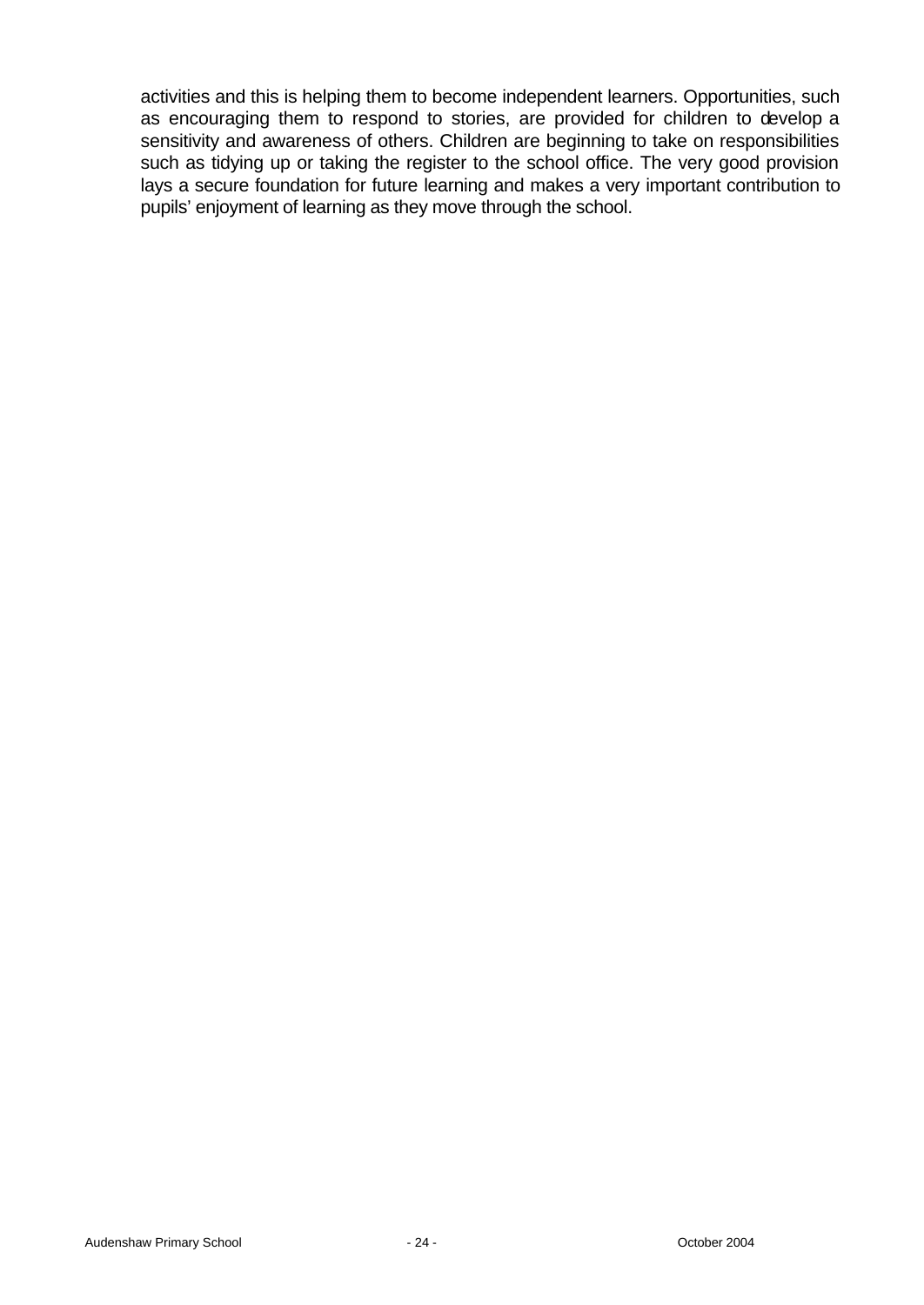activities and this is helping them to become independent learners. Opportunities, such as encouraging them to respond to stories, are provided for children to develop a sensitivity and awareness of others. Children are beginning to take on responsibilities such as tidying up or taking the register to the school office. The very good provision lays a secure foundation for future learning and makes a very important contribution to pupils' enjoyment of learning as they move through the school.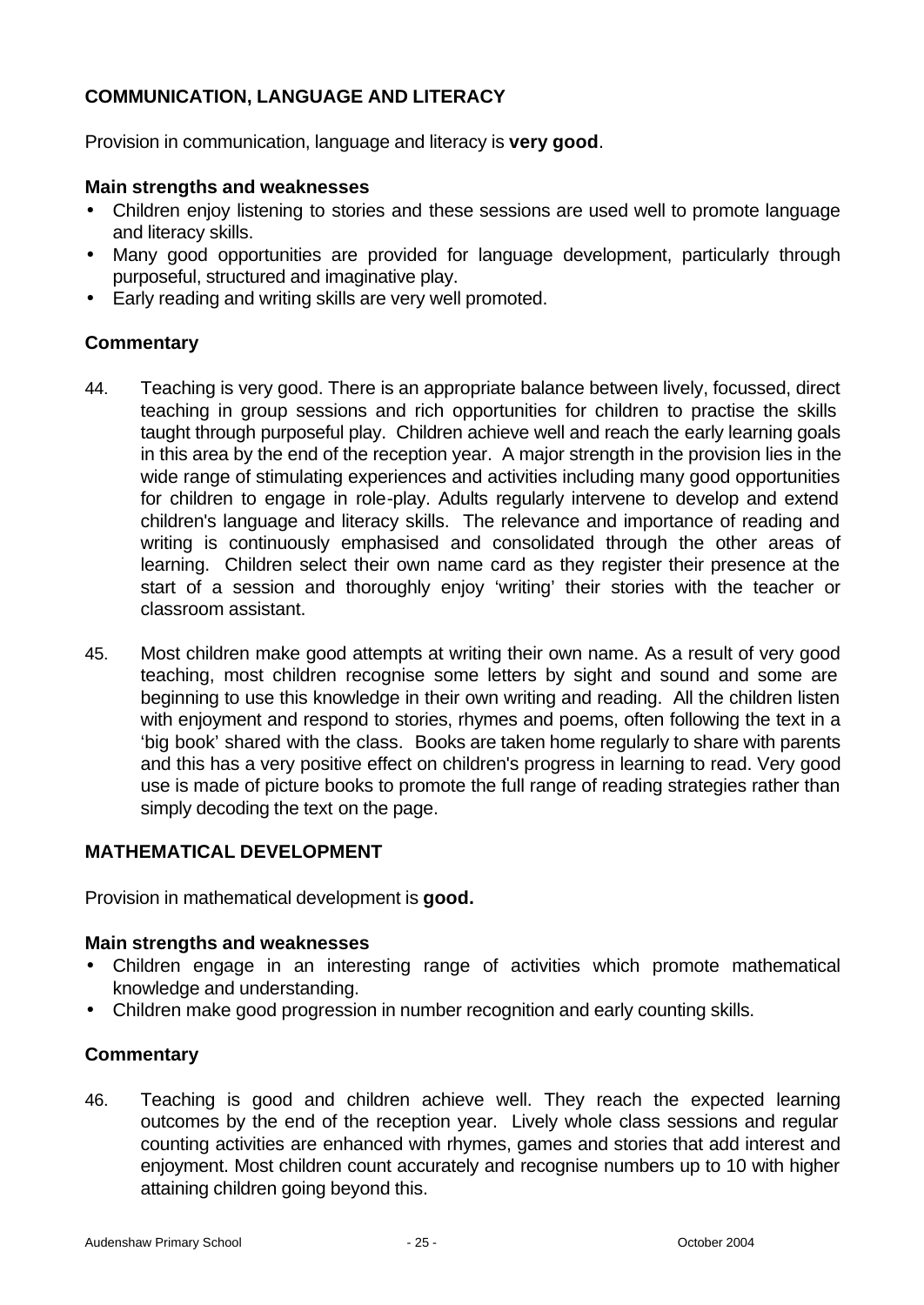## **COMMUNICATION, LANGUAGE AND LITERACY**

Provision in communication, language and literacy is **very good**.

### **Main strengths and weaknesses**

- Children enjoy listening to stories and these sessions are used well to promote language and literacy skills.
- Many good opportunities are provided for language development, particularly through purposeful, structured and imaginative play.
- Early reading and writing skills are very well promoted.

### **Commentary**

- 44. Teaching is very good. There is an appropriate balance between lively, focussed, direct teaching in group sessions and rich opportunities for children to practise the skills taught through purposeful play. Children achieve well and reach the early learning goals in this area by the end of the reception year. A major strength in the provision lies in the wide range of stimulating experiences and activities including many good opportunities for children to engage in role-play. Adults regularly intervene to develop and extend children's language and literacy skills. The relevance and importance of reading and writing is continuously emphasised and consolidated through the other areas of learning. Children select their own name card as they register their presence at the start of a session and thoroughly enjoy 'writing' their stories with the teacher or classroom assistant.
- 45. Most children make good attempts at writing their own name. As a result of very good teaching, most children recognise some letters by sight and sound and some are beginning to use this knowledge in their own writing and reading. All the children listen with enjoyment and respond to stories, rhymes and poems, often following the text in a 'big book' shared with the class. Books are taken home regularly to share with parents and this has a very positive effect on children's progress in learning to read. Very good use is made of picture books to promote the full range of reading strategies rather than simply decoding the text on the page.

### **MATHEMATICAL DEVELOPMENT**

Provision in mathematical development is **good.** 

### **Main strengths and weaknesses**

- Children engage in an interesting range of activities which promote mathematical knowledge and understanding.
- Children make good progression in number recognition and early counting skills.

### **Commentary**

46. Teaching is good and children achieve well. They reach the expected learning outcomes by the end of the reception year. Lively whole class sessions and regular counting activities are enhanced with rhymes, games and stories that add interest and enjoyment. Most children count accurately and recognise numbers up to 10 with higher attaining children going beyond this.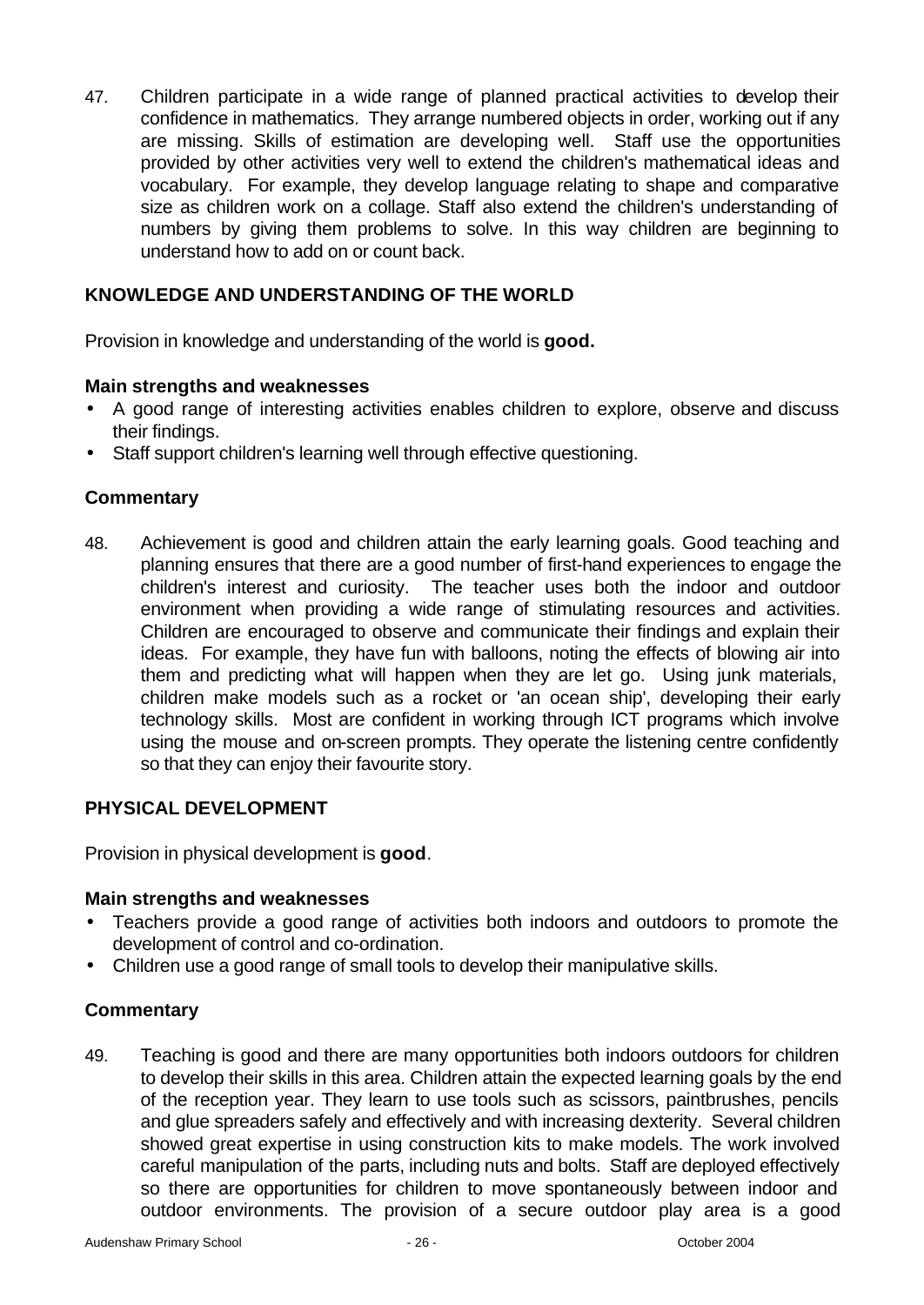47. Children participate in a wide range of planned practical activities to develop their confidence in mathematics. They arrange numbered objects in order, working out if any are missing. Skills of estimation are developing well. Staff use the opportunities provided by other activities very well to extend the children's mathematical ideas and vocabulary. For example, they develop language relating to shape and comparative size as children work on a collage. Staff also extend the children's understanding of numbers by giving them problems to solve. In this way children are beginning to understand how to add on or count back.

## **KNOWLEDGE AND UNDERSTANDING OF THE WORLD**

Provision in knowledge and understanding of the world is **good.** 

### **Main strengths and weaknesses**

- A good range of interesting activities enables children to explore, observe and discuss their findings.
- Staff support children's learning well through effective questioning.

### **Commentary**

48. Achievement is good and children attain the early learning goals. Good teaching and planning ensures that there are a good number of first-hand experiences to engage the children's interest and curiosity. The teacher uses both the indoor and outdoor environment when providing a wide range of stimulating resources and activities. Children are encouraged to observe and communicate their findings and explain their ideas. For example, they have fun with balloons, noting the effects of blowing air into them and predicting what will happen when they are let go. Using junk materials, children make models such as a rocket or 'an ocean ship', developing their early technology skills. Most are confident in working through ICT programs which involve using the mouse and on-screen prompts. They operate the listening centre confidently so that they can enjoy their favourite story.

### **PHYSICAL DEVELOPMENT**

Provision in physical development is **good**.

### **Main strengths and weaknesses**

- Teachers provide a good range of activities both indoors and outdoors to promote the development of control and co-ordination.
- Children use a good range of small tools to develop their manipulative skills.

### **Commentary**

49. Teaching is good and there are many opportunities both indoors outdoors for children to develop their skills in this area. Children attain the expected learning goals by the end of the reception year. They learn to use tools such as scissors, paintbrushes, pencils and glue spreaders safely and effectively and with increasing dexterity. Several children showed great expertise in using construction kits to make models. The work involved careful manipulation of the parts, including nuts and bolts. Staff are deployed effectively so there are opportunities for children to move spontaneously between indoor and outdoor environments. The provision of a secure outdoor play area is a good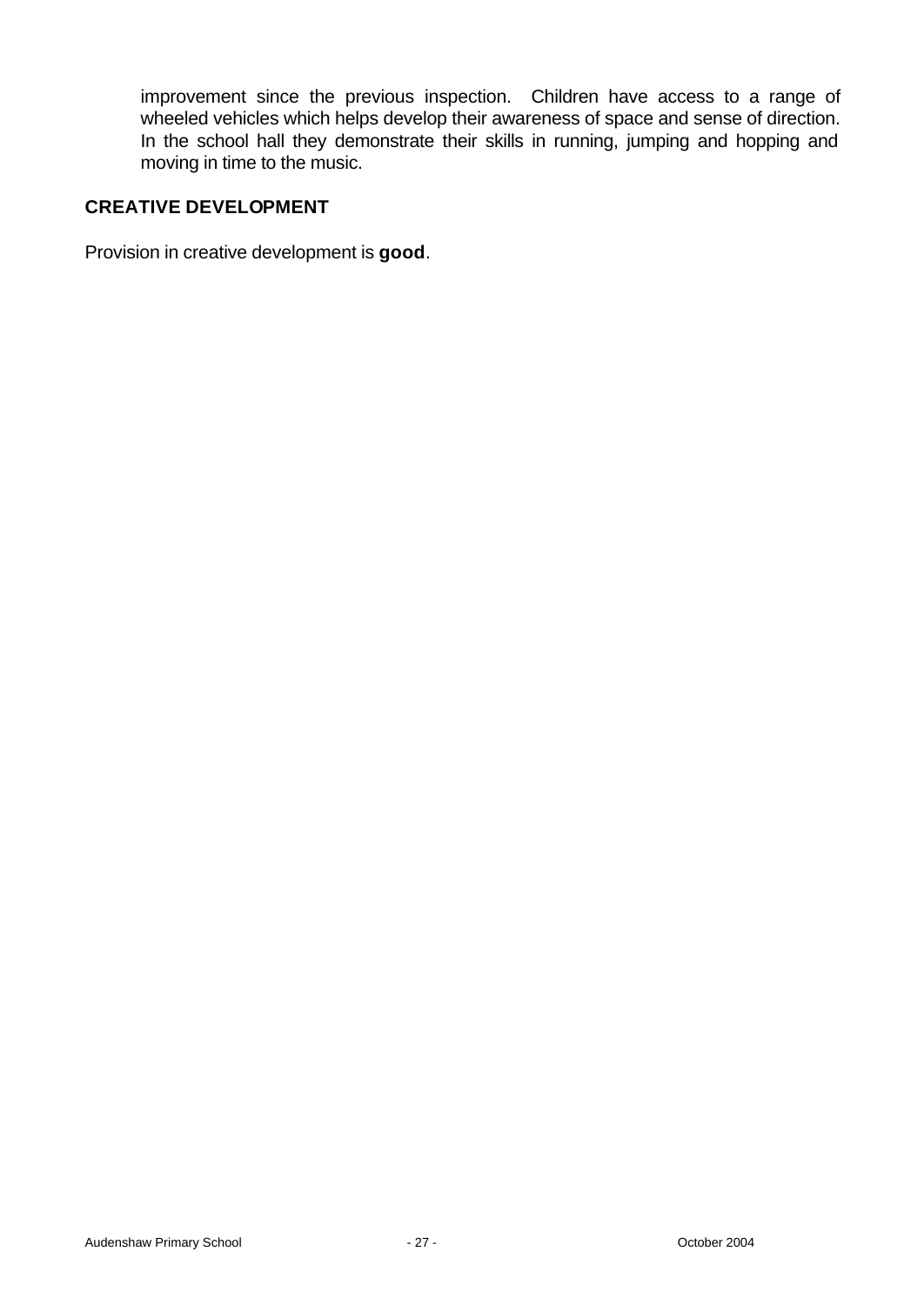improvement since the previous inspection. Children have access to a range of wheeled vehicles which helps develop their awareness of space and sense of direction. In the school hall they demonstrate their skills in running, jumping and hopping and moving in time to the music.

### **CREATIVE DEVELOPMENT**

Provision in creative development is **good**.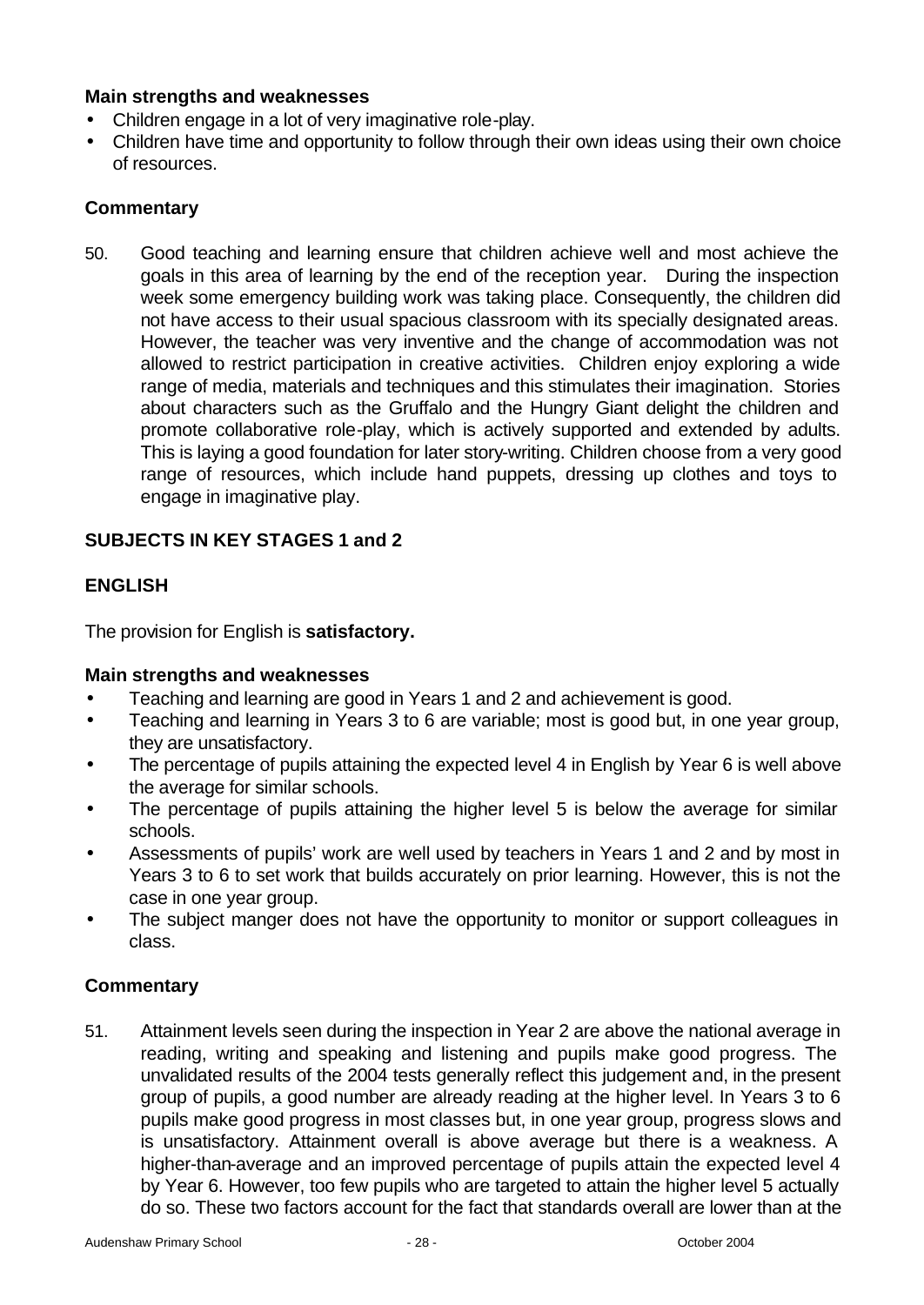### **Main strengths and weaknesses**

- Children engage in a lot of very imaginative role-play.
- Children have time and opportunity to follow through their own ideas using their own choice of resources.

### **Commentary**

50. Good teaching and learning ensure that children achieve well and most achieve the goals in this area of learning by the end of the reception year. During the inspection week some emergency building work was taking place. Consequently, the children did not have access to their usual spacious classroom with its specially designated areas. However, the teacher was very inventive and the change of accommodation was not allowed to restrict participation in creative activities. Children enjoy exploring a wide range of media, materials and techniques and this stimulates their imagination. Stories about characters such as the Gruffalo and the Hungry Giant delight the children and promote collaborative role-play, which is actively supported and extended by adults. This is laying a good foundation for later story-writing. Children choose from a very good range of resources, which include hand puppets, dressing up clothes and toys to engage in imaginative play.

### **SUBJECTS IN KEY STAGES 1 and 2**

### **ENGLISH**

The provision for English is **satisfactory.**

### **Main strengths and weaknesses**

- Teaching and learning are good in Years 1 and 2 and achievement is good.
- Teaching and learning in Years 3 to 6 are variable; most is good but, in one year group, they are unsatisfactory.
- The percentage of pupils attaining the expected level 4 in English by Year 6 is well above the average for similar schools.
- The percentage of pupils attaining the higher level 5 is below the average for similar schools.
- Assessments of pupils' work are well used by teachers in Years 1 and 2 and by most in Years 3 to 6 to set work that builds accurately on prior learning. However, this is not the case in one year group.
- The subject manger does not have the opportunity to monitor or support colleagues in class.

### **Commentary**

51. Attainment levels seen during the inspection in Year 2 are above the national average in reading, writing and speaking and listening and pupils make good progress. The unvalidated results of the 2004 tests generally reflect this judgement and, in the present group of pupils, a good number are already reading at the higher level. In Years 3 to 6 pupils make good progress in most classes but, in one year group, progress slows and is unsatisfactory. Attainment overall is above average but there is a weakness. A higher-than-average and an improved percentage of pupils attain the expected level 4 by Year 6. However, too few pupils who are targeted to attain the higher level 5 actually do so. These two factors account for the fact that standards overall are lower than at the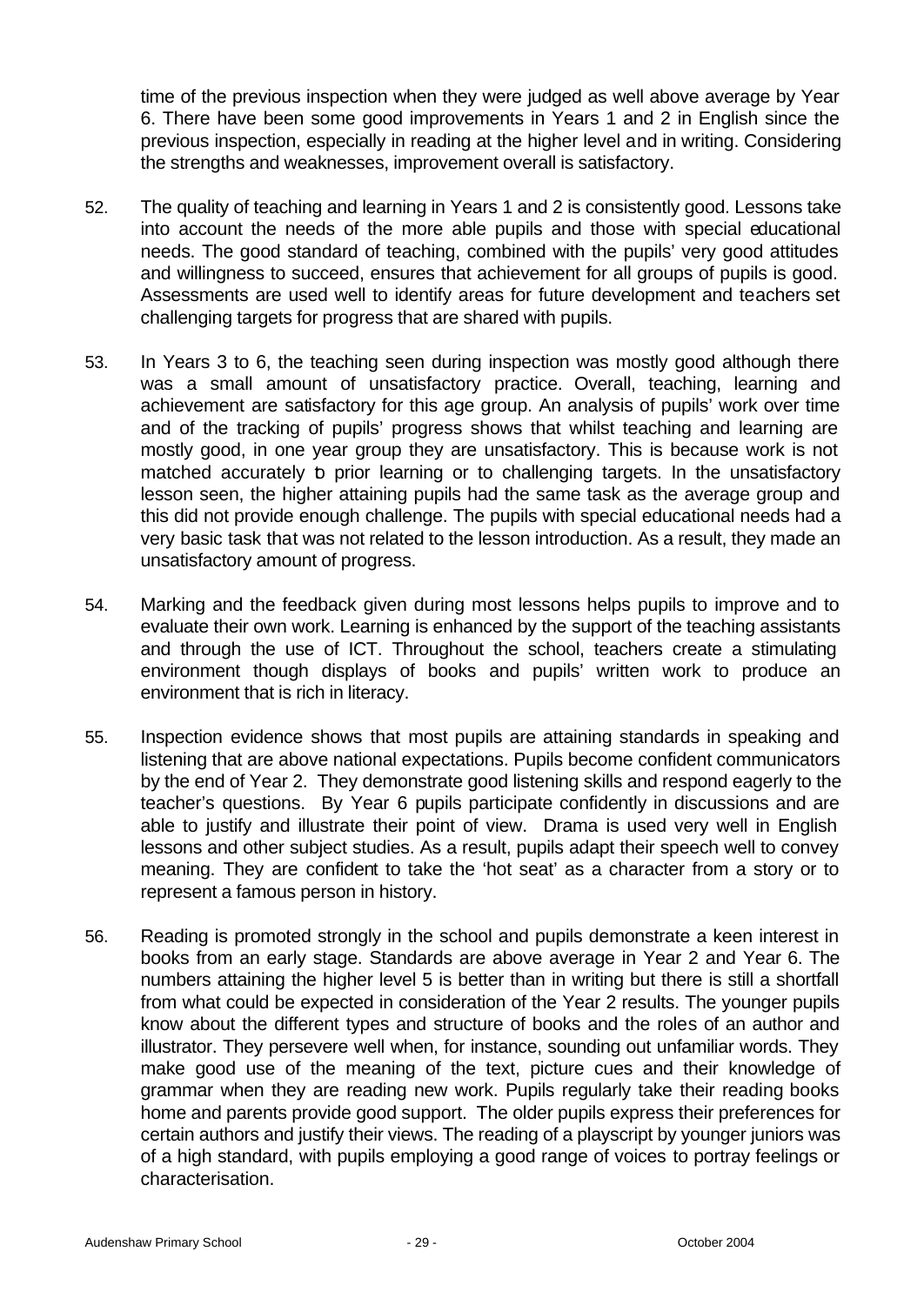time of the previous inspection when they were judged as well above average by Year 6. There have been some good improvements in Years 1 and 2 in English since the previous inspection, especially in reading at the higher level and in writing. Considering the strengths and weaknesses, improvement overall is satisfactory.

- 52. The quality of teaching and learning in Years 1 and 2 is consistently good. Lessons take into account the needs of the more able pupils and those with special educational needs. The good standard of teaching, combined with the pupils' very good attitudes and willingness to succeed, ensures that achievement for all groups of pupils is good. Assessments are used well to identify areas for future development and teachers set challenging targets for progress that are shared with pupils.
- 53. In Years 3 to 6, the teaching seen during inspection was mostly good although there was a small amount of unsatisfactory practice. Overall, teaching, learning and achievement are satisfactory for this age group. An analysis of pupils' work over time and of the tracking of pupils' progress shows that whilst teaching and learning are mostly good, in one year group they are unsatisfactory. This is because work is not matched accurately b prior learning or to challenging targets. In the unsatisfactory lesson seen, the higher attaining pupils had the same task as the average group and this did not provide enough challenge. The pupils with special educational needs had a very basic task that was not related to the lesson introduction. As a result, they made an unsatisfactory amount of progress.
- 54. Marking and the feedback given during most lessons helps pupils to improve and to evaluate their own work. Learning is enhanced by the support of the teaching assistants and through the use of ICT. Throughout the school, teachers create a stimulating environment though displays of books and pupils' written work to produce an environment that is rich in literacy.
- 55. Inspection evidence shows that most pupils are attaining standards in speaking and listening that are above national expectations. Pupils become confident communicators by the end of Year 2. They demonstrate good listening skills and respond eagerly to the teacher's questions. By Year 6 pupils participate confidently in discussions and are able to justify and illustrate their point of view. Drama is used very well in English lessons and other subject studies. As a result, pupils adapt their speech well to convey meaning. They are confident to take the 'hot seat' as a character from a story or to represent a famous person in history.
- 56. Reading is promoted strongly in the school and pupils demonstrate a keen interest in books from an early stage. Standards are above average in Year 2 and Year 6. The numbers attaining the higher level 5 is better than in writing but there is still a shortfall from what could be expected in consideration of the Year 2 results. The younger pupils know about the different types and structure of books and the roles of an author and illustrator. They persevere well when, for instance, sounding out unfamiliar words. They make good use of the meaning of the text, picture cues and their knowledge of grammar when they are reading new work. Pupils regularly take their reading books home and parents provide good support. The older pupils express their preferences for certain authors and justify their views. The reading of a playscript by younger juniors was of a high standard, with pupils employing a good range of voices to portray feelings or characterisation.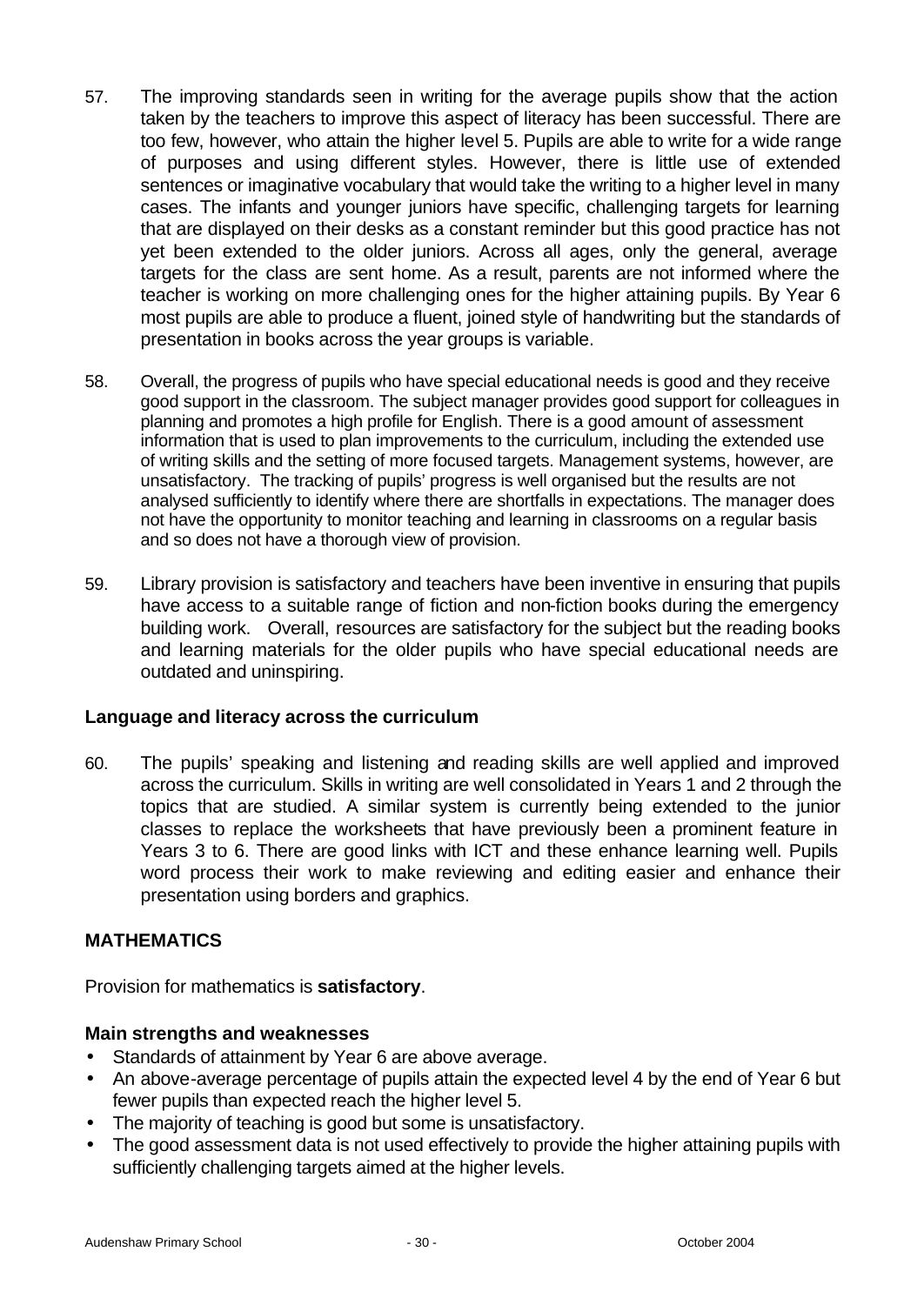- 57. The improving standards seen in writing for the average pupils show that the action taken by the teachers to improve this aspect of literacy has been successful. There are too few, however, who attain the higher level 5. Pupils are able to write for a wide range of purposes and using different styles. However, there is little use of extended sentences or imaginative vocabulary that would take the writing to a higher level in many cases. The infants and younger juniors have specific, challenging targets for learning that are displayed on their desks as a constant reminder but this good practice has not yet been extended to the older juniors. Across all ages, only the general, average targets for the class are sent home. As a result, parents are not informed where the teacher is working on more challenging ones for the higher attaining pupils. By Year 6 most pupils are able to produce a fluent, joined style of handwriting but the standards of presentation in books across the year groups is variable.
- 58. Overall, the progress of pupils who have special educational needs is good and they receive good support in the classroom. The subject manager provides good support for colleagues in planning and promotes a high profile for English. There is a good amount of assessment information that is used to plan improvements to the curriculum, including the extended use of writing skills and the setting of more focused targets. Management systems, however, are unsatisfactory. The tracking of pupils' progress is well organised but the results are not analysed sufficiently to identify where there are shortfalls in expectations. The manager does not have the opportunity to monitor teaching and learning in classrooms on a regular basis and so does not have a thorough view of provision.
- 59. Library provision is satisfactory and teachers have been inventive in ensuring that pupils have access to a suitable range of fiction and non-fiction books during the emergency building work. Overall, resources are satisfactory for the subject but the reading books and learning materials for the older pupils who have special educational needs are outdated and uninspiring.

### **Language and literacy across the curriculum**

60. The pupils' speaking and listening and reading skills are well applied and improved across the curriculum. Skills in writing are well consolidated in Years 1 and 2 through the topics that are studied. A similar system is currently being extended to the junior classes to replace the worksheets that have previously been a prominent feature in Years 3 to 6. There are good links with ICT and these enhance learning well. Pupils word process their work to make reviewing and editing easier and enhance their presentation using borders and graphics.

### **MATHEMATICS**

Provision for mathematics is **satisfactory**.

### **Main strengths and weaknesses**

- Standards of attainment by Year 6 are above average.
- An above-average percentage of pupils attain the expected level 4 by the end of Year 6 but fewer pupils than expected reach the higher level 5.
- The majority of teaching is good but some is unsatisfactory.
- The good assessment data is not used effectively to provide the higher attaining pupils with sufficiently challenging targets aimed at the higher levels.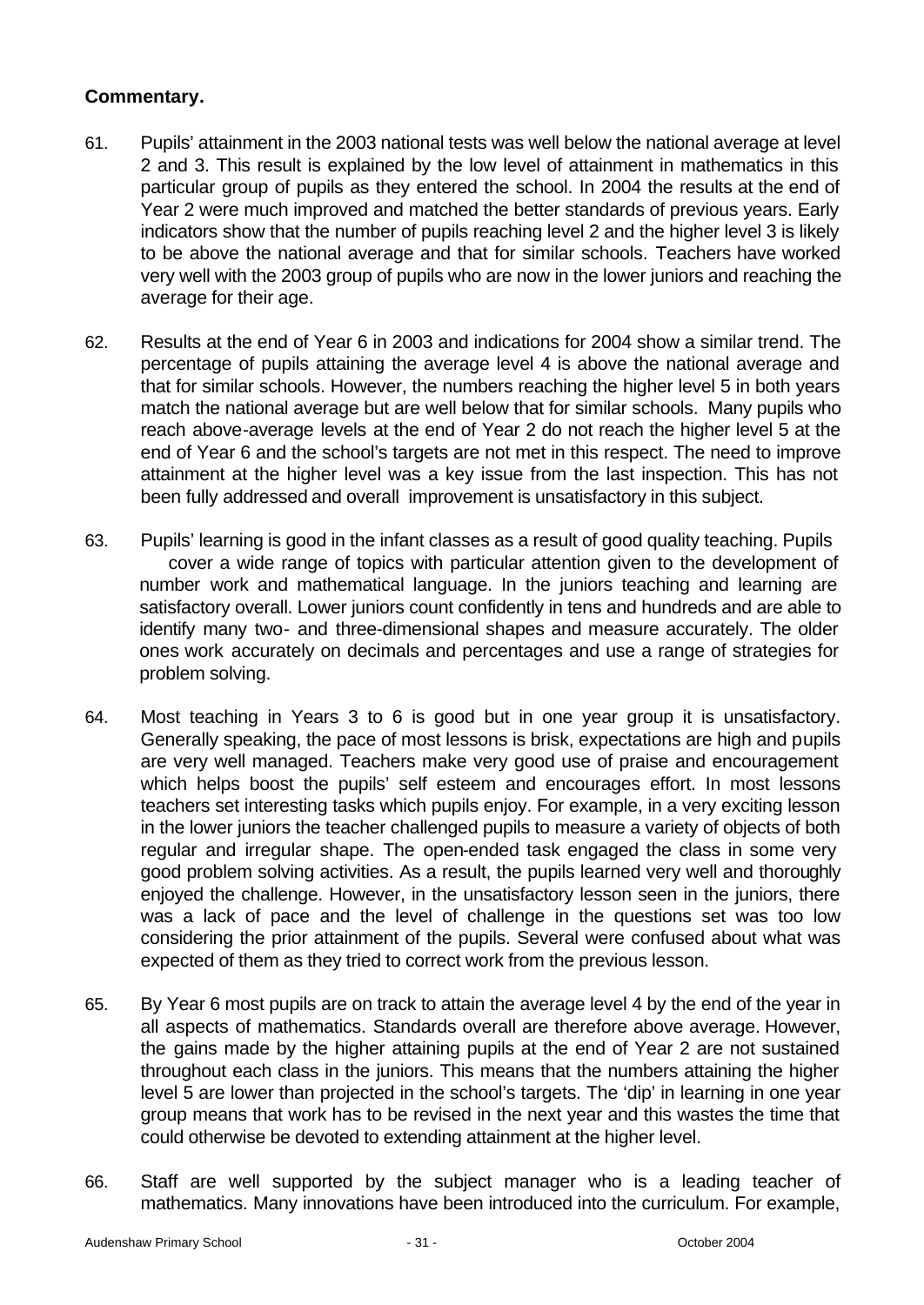- 61. Pupils' attainment in the 2003 national tests was well below the national average at level 2 and 3. This result is explained by the low level of attainment in mathematics in this particular group of pupils as they entered the school. In 2004 the results at the end of Year 2 were much improved and matched the better standards of previous years. Early indicators show that the number of pupils reaching level 2 and the higher level 3 is likely to be above the national average and that for similar schools. Teachers have worked very well with the 2003 group of pupils who are now in the lower juniors and reaching the average for their age.
- 62. Results at the end of Year 6 in 2003 and indications for 2004 show a similar trend. The percentage of pupils attaining the average level 4 is above the national average and that for similar schools. However, the numbers reaching the higher level 5 in both years match the national average but are well below that for similar schools. Many pupils who reach above-average levels at the end of Year 2 do not reach the higher level 5 at the end of Year 6 and the school's targets are not met in this respect. The need to improve attainment at the higher level was a key issue from the last inspection. This has not been fully addressed and overall improvement is unsatisfactory in this subject.
- 63. Pupils' learning is good in the infant classes as a result of good quality teaching. Pupils cover a wide range of topics with particular attention given to the development of number work and mathematical language. In the juniors teaching and learning are satisfactory overall. Lower juniors count confidently in tens and hundreds and are able to identify many two- and three-dimensional shapes and measure accurately. The older ones work accurately on decimals and percentages and use a range of strategies for problem solving.
- 64. Most teaching in Years 3 to 6 is good but in one year group it is unsatisfactory. Generally speaking, the pace of most lessons is brisk, expectations are high and pupils are very well managed. Teachers make very good use of praise and encouragement which helps boost the pupils' self esteem and encourages effort. In most lessons teachers set interesting tasks which pupils enjoy. For example, in a very exciting lesson in the lower juniors the teacher challenged pupils to measure a variety of objects of both regular and irregular shape. The open-ended task engaged the class in some very good problem solving activities. As a result, the pupils learned very well and thoroughly enjoyed the challenge. However, in the unsatisfactory lesson seen in the juniors, there was a lack of pace and the level of challenge in the questions set was too low considering the prior attainment of the pupils. Several were confused about what was expected of them as they tried to correct work from the previous lesson.
- 65. By Year 6 most pupils are on track to attain the average level 4 by the end of the year in all aspects of mathematics. Standards overall are therefore above average. However, the gains made by the higher attaining pupils at the end of Year 2 are not sustained throughout each class in the juniors. This means that the numbers attaining the higher level 5 are lower than projected in the school's targets. The 'dip' in learning in one year group means that work has to be revised in the next year and this wastes the time that could otherwise be devoted to extending attainment at the higher level.
- 66. Staff are well supported by the subject manager who is a leading teacher of mathematics. Many innovations have been introduced into the curriculum. For example,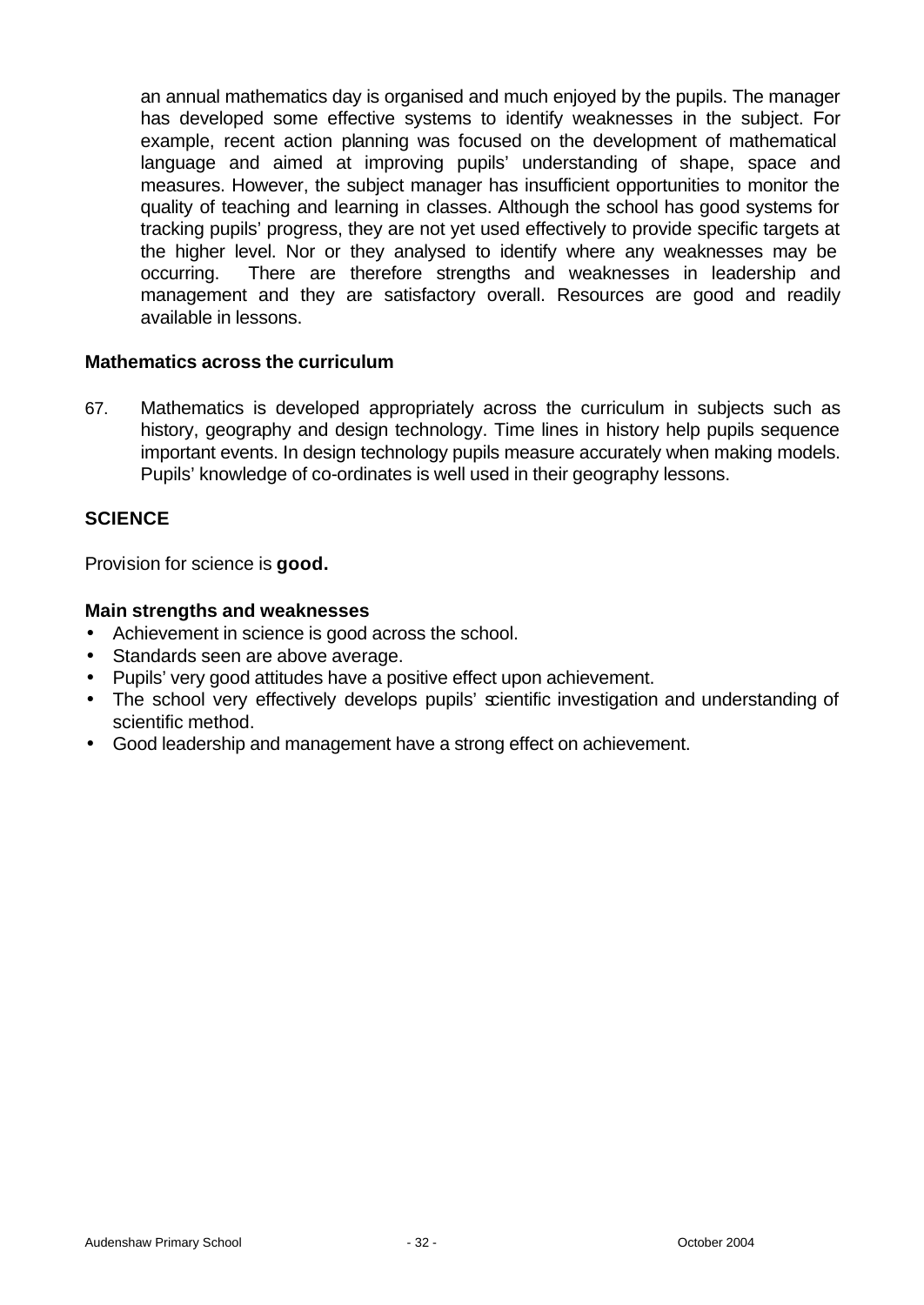an annual mathematics day is organised and much enjoyed by the pupils. The manager has developed some effective systems to identify weaknesses in the subject. For example, recent action planning was focused on the development of mathematical language and aimed at improving pupils' understanding of shape, space and measures. However, the subject manager has insufficient opportunities to monitor the quality of teaching and learning in classes. Although the school has good systems for tracking pupils' progress, they are not yet used effectively to provide specific targets at the higher level. Nor or they analysed to identify where any weaknesses may be occurring. There are therefore strengths and weaknesses in leadership and management and they are satisfactory overall. Resources are good and readily available in lessons.

#### **Mathematics across the curriculum**

67. Mathematics is developed appropriately across the curriculum in subjects such as history, geography and design technology. Time lines in history help pupils sequence important events. In design technology pupils measure accurately when making models. Pupils' knowledge of co-ordinates is well used in their geography lessons.

### **SCIENCE**

Provision for science is **good.**

#### **Main strengths and weaknesses**

- Achievement in science is good across the school.
- Standards seen are above average.
- Pupils' very good attitudes have a positive effect upon achievement.
- The school very effectively develops pupils' scientific investigation and understanding of scientific method.
- Good leadership and management have a strong effect on achievement.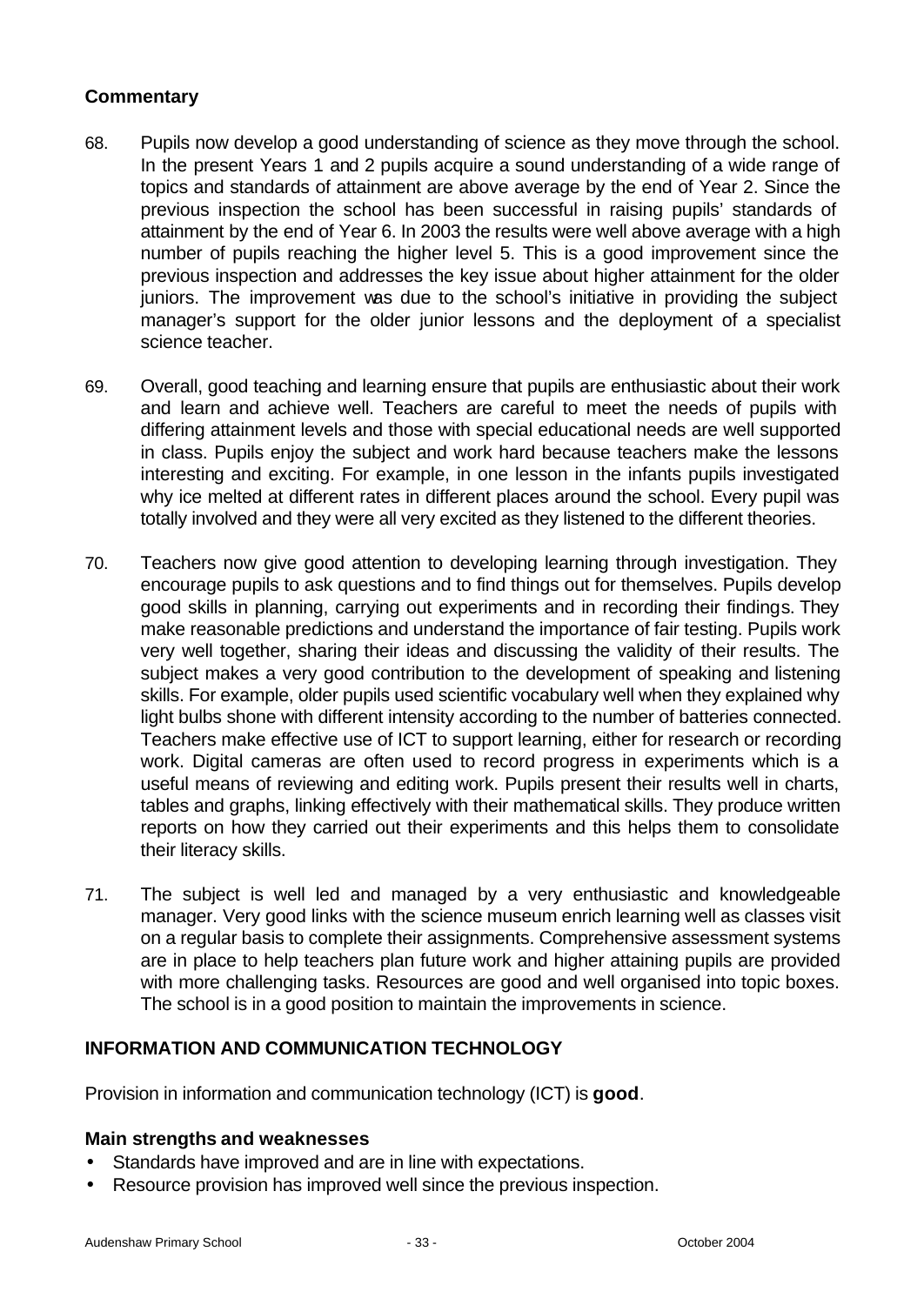### **Commentary**

- 68. Pupils now develop a good understanding of science as they move through the school. In the present Years 1 and 2 pupils acquire a sound understanding of a wide range of topics and standards of attainment are above average by the end of Year 2. Since the previous inspection the school has been successful in raising pupils' standards of attainment by the end of Year 6. In 2003 the results were well above average with a high number of pupils reaching the higher level 5. This is a good improvement since the previous inspection and addresses the key issue about higher attainment for the older juniors. The improvement was due to the school's initiative in providing the subject manager's support for the older junior lessons and the deployment of a specialist science teacher.
- 69. Overall, good teaching and learning ensure that pupils are enthusiastic about their work and learn and achieve well. Teachers are careful to meet the needs of pupils with differing attainment levels and those with special educational needs are well supported in class. Pupils enjoy the subject and work hard because teachers make the lessons interesting and exciting. For example, in one lesson in the infants pupils investigated why ice melted at different rates in different places around the school. Every pupil was totally involved and they were all very excited as they listened to the different theories.
- 70. Teachers now give good attention to developing learning through investigation. They encourage pupils to ask questions and to find things out for themselves. Pupils develop good skills in planning, carrying out experiments and in recording their findings. They make reasonable predictions and understand the importance of fair testing. Pupils work very well together, sharing their ideas and discussing the validity of their results. The subject makes a very good contribution to the development of speaking and listening skills. For example, older pupils used scientific vocabulary well when they explained why light bulbs shone with different intensity according to the number of batteries connected. Teachers make effective use of ICT to support learning, either for research or recording work. Digital cameras are often used to record progress in experiments which is a useful means of reviewing and editing work. Pupils present their results well in charts, tables and graphs, linking effectively with their mathematical skills. They produce written reports on how they carried out their experiments and this helps them to consolidate their literacy skills.
- 71. The subject is well led and managed by a very enthusiastic and knowledgeable manager. Very good links with the science museum enrich learning well as classes visit on a regular basis to complete their assignments. Comprehensive assessment systems are in place to help teachers plan future work and higher attaining pupils are provided with more challenging tasks. Resources are good and well organised into topic boxes. The school is in a good position to maintain the improvements in science.

### **INFORMATION AND COMMUNICATION TECHNOLOGY**

Provision in information and communication technology (ICT) is **good**.

### **Main strengths and weaknesses**

- Standards have improved and are in line with expectations.
- Resource provision has improved well since the previous inspection.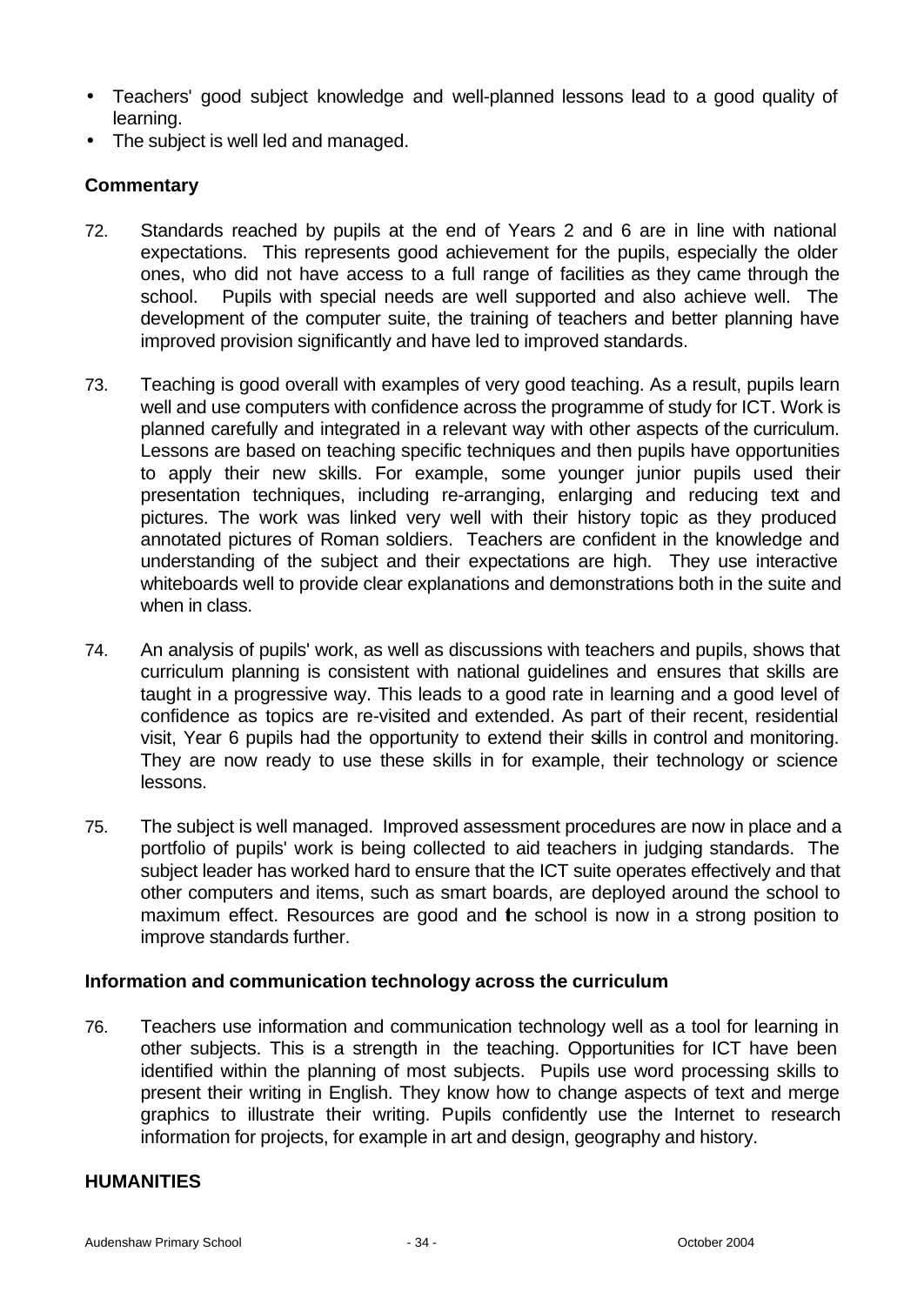- Teachers' good subject knowledge and well-planned lessons lead to a good quality of learning.
- The subject is well led and managed.

### **Commentary**

- 72. Standards reached by pupils at the end of Years 2 and 6 are in line with national expectations. This represents good achievement for the pupils, especially the older ones, who did not have access to a full range of facilities as they came through the school. Pupils with special needs are well supported and also achieve well. The development of the computer suite, the training of teachers and better planning have improved provision significantly and have led to improved standards.
- 73. Teaching is good overall with examples of very good teaching. As a result, pupils learn well and use computers with confidence across the programme of study for ICT. Work is planned carefully and integrated in a relevant way with other aspects of the curriculum. Lessons are based on teaching specific techniques and then pupils have opportunities to apply their new skills. For example, some younger junior pupils used their presentation techniques, including re-arranging, enlarging and reducing text and pictures. The work was linked very well with their history topic as they produced annotated pictures of Roman soldiers. Teachers are confident in the knowledge and understanding of the subject and their expectations are high. They use interactive whiteboards well to provide clear explanations and demonstrations both in the suite and when in class.
- 74. An analysis of pupils' work, as well as discussions with teachers and pupils, shows that curriculum planning is consistent with national guidelines and ensures that skills are taught in a progressive way. This leads to a good rate in learning and a good level of confidence as topics are re-visited and extended. As part of their recent, residential visit, Year 6 pupils had the opportunity to extend their skills in control and monitoring. They are now ready to use these skills in for example, their technology or science lessons.
- 75. The subject is well managed. Improved assessment procedures are now in place and a portfolio of pupils' work is being collected to aid teachers in judging standards. The subject leader has worked hard to ensure that the ICT suite operates effectively and that other computers and items, such as smart boards, are deployed around the school to maximum effect. Resources are good and the school is now in a strong position to improve standards further.

### **Information and communication technology across the curriculum**

76. Teachers use information and communication technology well as a tool for learning in other subjects. This is a strength in the teaching. Opportunities for ICT have been identified within the planning of most subjects. Pupils use word processing skills to present their writing in English. They know how to change aspects of text and merge graphics to illustrate their writing. Pupils confidently use the Internet to research information for projects, for example in art and design, geography and history.

#### **HUMANITIES**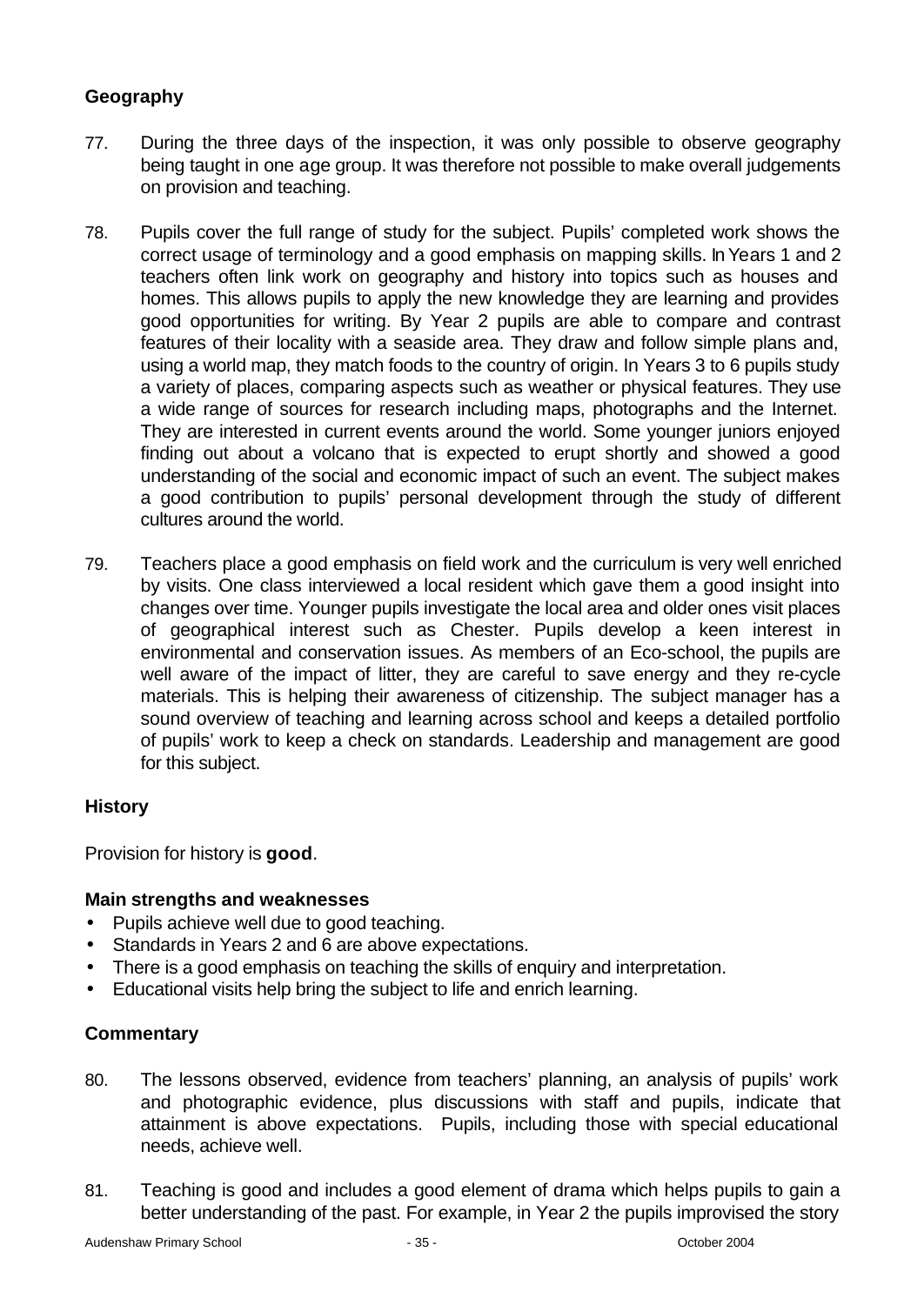### **Geography**

- 77. During the three days of the inspection, it was only possible to observe geography being taught in one age group. It was therefore not possible to make overall judgements on provision and teaching.
- 78. Pupils cover the full range of study for the subject. Pupils' completed work shows the correct usage of terminology and a good emphasis on mapping skills. In Years 1 and 2 teachers often link work on geography and history into topics such as houses and homes. This allows pupils to apply the new knowledge they are learning and provides good opportunities for writing. By Year 2 pupils are able to compare and contrast features of their locality with a seaside area. They draw and follow simple plans and, using a world map, they match foods to the country of origin. In Years 3 to 6 pupils study a variety of places, comparing aspects such as weather or physical features. They use a wide range of sources for research including maps, photographs and the Internet. They are interested in current events around the world. Some younger juniors enjoyed finding out about a volcano that is expected to erupt shortly and showed a good understanding of the social and economic impact of such an event. The subject makes a good contribution to pupils' personal development through the study of different cultures around the world.
- 79. Teachers place a good emphasis on field work and the curriculum is very well enriched by visits. One class interviewed a local resident which gave them a good insight into changes over time. Younger pupils investigate the local area and older ones visit places of geographical interest such as Chester. Pupils develop a keen interest in environmental and conservation issues. As members of an Eco-school, the pupils are well aware of the impact of litter, they are careful to save energy and they re-cycle materials. This is helping their awareness of citizenship. The subject manager has a sound overview of teaching and learning across school and keeps a detailed portfolio of pupils' work to keep a check on standards. Leadership and management are good for this subject.

### **History**

Provision for history is **good**.

### **Main strengths and weaknesses**

- Pupils achieve well due to good teaching.
- Standards in Years 2 and 6 are above expectations.
- There is a good emphasis on teaching the skills of enquiry and interpretation.
- Educational visits help bring the subject to life and enrich learning.

- 80. The lessons observed, evidence from teachers' planning, an analysis of pupils' work and photographic evidence, plus discussions with staff and pupils, indicate that attainment is above expectations. Pupils, including those with special educational needs, achieve well.
- 81. Teaching is good and includes a good element of drama which helps pupils to gain a better understanding of the past. For example, in Year 2 the pupils improvised the story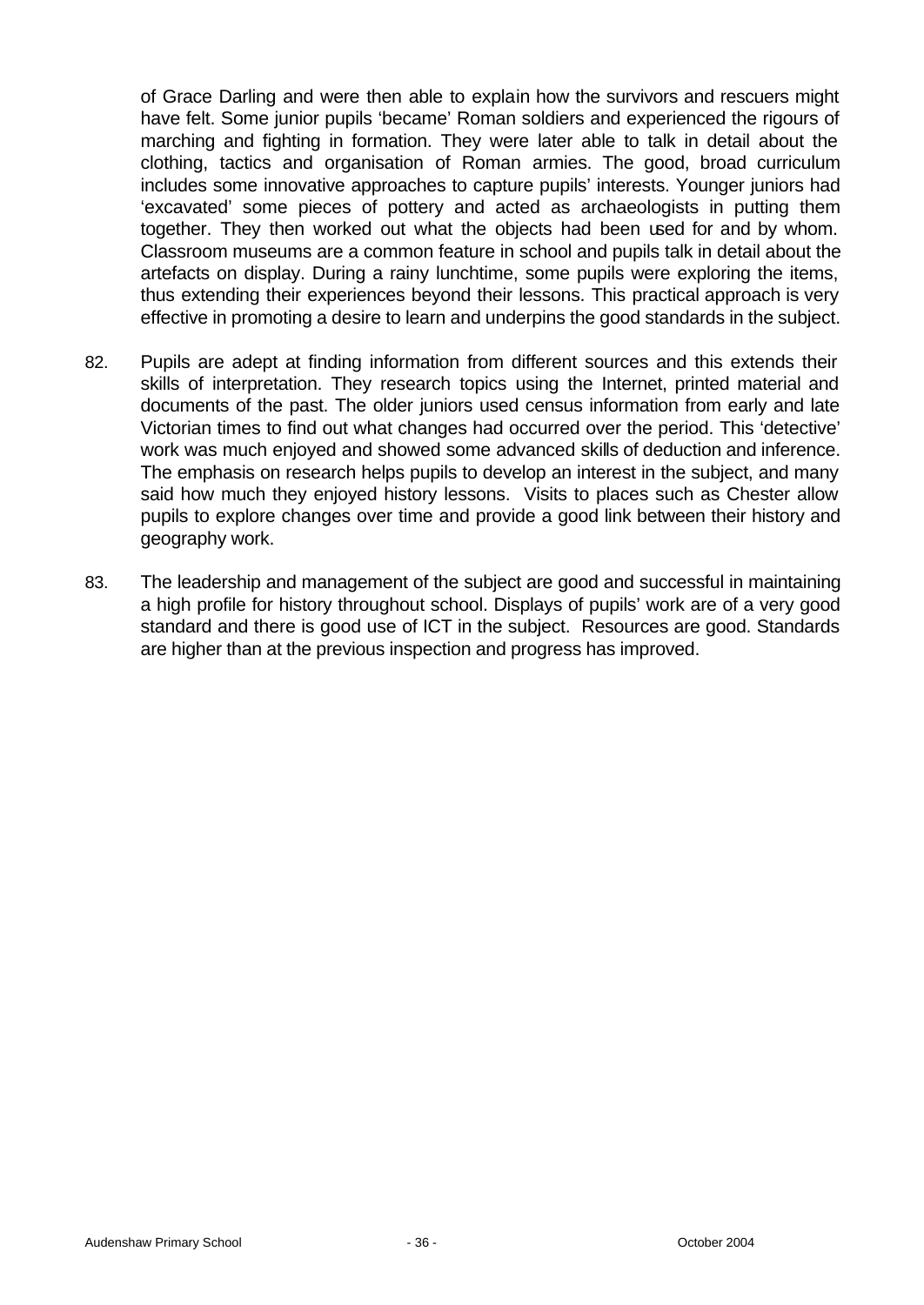of Grace Darling and were then able to explain how the survivors and rescuers might have felt. Some junior pupils 'became' Roman soldiers and experienced the rigours of marching and fighting in formation. They were later able to talk in detail about the clothing, tactics and organisation of Roman armies. The good, broad curriculum includes some innovative approaches to capture pupils' interests. Younger juniors had 'excavated' some pieces of pottery and acted as archaeologists in putting them together. They then worked out what the objects had been used for and by whom. Classroom museums are a common feature in school and pupils talk in detail about the artefacts on display. During a rainy lunchtime, some pupils were exploring the items, thus extending their experiences beyond their lessons. This practical approach is very effective in promoting a desire to learn and underpins the good standards in the subject.

- 82. Pupils are adept at finding information from different sources and this extends their skills of interpretation. They research topics using the Internet, printed material and documents of the past. The older juniors used census information from early and late Victorian times to find out what changes had occurred over the period. This 'detective' work was much enjoyed and showed some advanced skills of deduction and inference. The emphasis on research helps pupils to develop an interest in the subject, and many said how much they enjoyed history lessons. Visits to places such as Chester allow pupils to explore changes over time and provide a good link between their history and geography work.
- 83. The leadership and management of the subject are good and successful in maintaining a high profile for history throughout school. Displays of pupils' work are of a very good standard and there is good use of ICT in the subject. Resources are good. Standards are higher than at the previous inspection and progress has improved.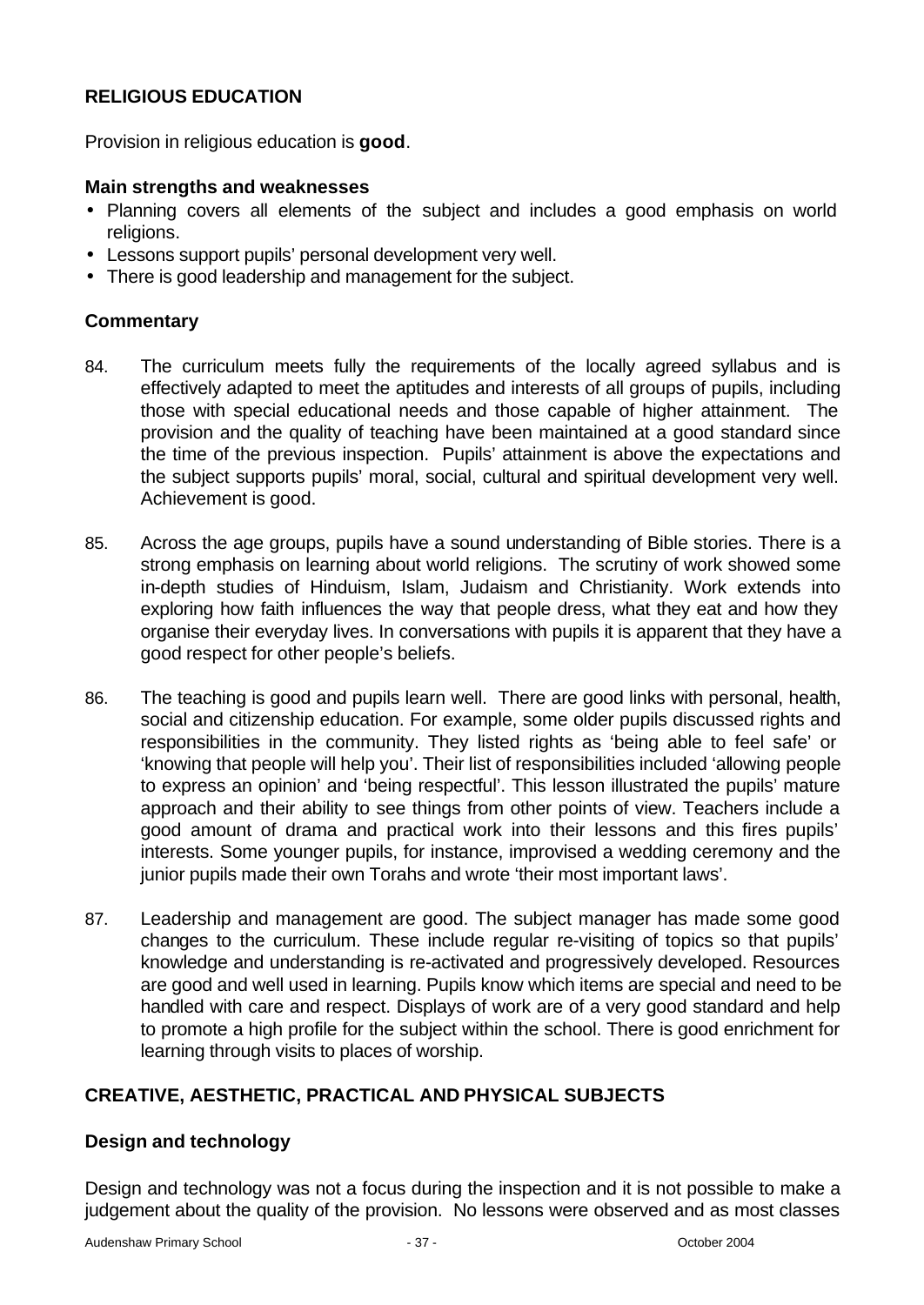## **RELIGIOUS EDUCATION**

Provision in religious education is **good**.

### **Main strengths and weaknesses**

- Planning covers all elements of the subject and includes a good emphasis on world religions.
- Lessons support pupils' personal development very well.
- There is good leadership and management for the subject.

### **Commentary**

- 84. The curriculum meets fully the requirements of the locally agreed syllabus and is effectively adapted to meet the aptitudes and interests of all groups of pupils, including those with special educational needs and those capable of higher attainment. The provision and the quality of teaching have been maintained at a good standard since the time of the previous inspection. Pupils' attainment is above the expectations and the subject supports pupils' moral, social, cultural and spiritual development very well. Achievement is good.
- 85. Across the age groups, pupils have a sound understanding of Bible stories. There is a strong emphasis on learning about world religions. The scrutiny of work showed some in-depth studies of Hinduism, Islam, Judaism and Christianity. Work extends into exploring how faith influences the way that people dress, what they eat and how they organise their everyday lives. In conversations with pupils it is apparent that they have a good respect for other people's beliefs.
- 86. The teaching is good and pupils learn well. There are good links with personal, health, social and citizenship education. For example, some older pupils discussed rights and responsibilities in the community. They listed rights as 'being able to feel safe' or 'knowing that people will help you'. Their list of responsibilities included 'allowing people to express an opinion' and 'being respectful'. This lesson illustrated the pupils' mature approach and their ability to see things from other points of view. Teachers include a good amount of drama and practical work into their lessons and this fires pupils' interests. Some younger pupils, for instance, improvised a wedding ceremony and the junior pupils made their own Torahs and wrote 'their most important laws'.
- 87. Leadership and management are good. The subject manager has made some good changes to the curriculum. These include regular re-visiting of topics so that pupils' knowledge and understanding is re-activated and progressively developed. Resources are good and well used in learning. Pupils know which items are special and need to be handled with care and respect. Displays of work are of a very good standard and help to promote a high profile for the subject within the school. There is good enrichment for learning through visits to places of worship.

### **CREATIVE, AESTHETIC, PRACTICAL AND PHYSICAL SUBJECTS**

### **Design and technology**

Design and technology was not a focus during the inspection and it is not possible to make a judgement about the quality of the provision. No lessons were observed and as most classes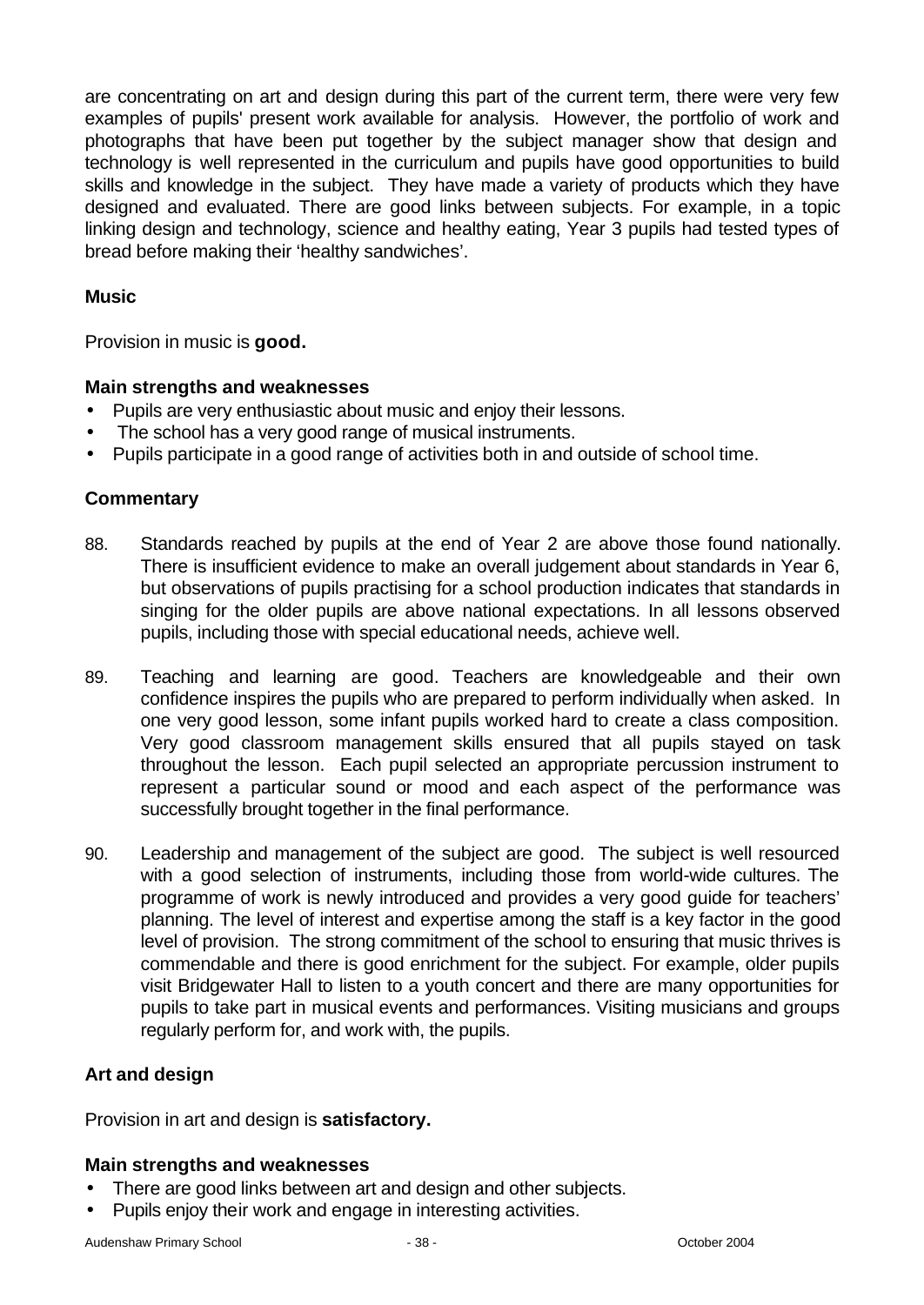are concentrating on art and design during this part of the current term, there were very few examples of pupils' present work available for analysis. However, the portfolio of work and photographs that have been put together by the subject manager show that design and technology is well represented in the curriculum and pupils have good opportunities to build skills and knowledge in the subject. They have made a variety of products which they have designed and evaluated. There are good links between subjects. For example, in a topic linking design and technology, science and healthy eating, Year 3 pupils had tested types of bread before making their 'healthy sandwiches'.

### **Music**

Provision in music is **good.**

### **Main strengths and weaknesses**

- Pupils are very enthusiastic about music and enjoy their lessons.
- The school has a very good range of musical instruments.
- Pupils participate in a good range of activities both in and outside of school time.

### **Commentary**

- 88. Standards reached by pupils at the end of Year 2 are above those found nationally. There is insufficient evidence to make an overall judgement about standards in Year 6, but observations of pupils practising for a school production indicates that standards in singing for the older pupils are above national expectations. In all lessons observed pupils, including those with special educational needs, achieve well.
- 89. Teaching and learning are good. Teachers are knowledgeable and their own confidence inspires the pupils who are prepared to perform individually when asked. In one very good lesson, some infant pupils worked hard to create a class composition. Very good classroom management skills ensured that all pupils stayed on task throughout the lesson. Each pupil selected an appropriate percussion instrument to represent a particular sound or mood and each aspect of the performance was successfully brought together in the final performance.
- 90. Leadership and management of the subject are good. The subject is well resourced with a good selection of instruments, including those from world-wide cultures. The programme of work is newly introduced and provides a very good guide for teachers' planning. The level of interest and expertise among the staff is a key factor in the good level of provision. The strong commitment of the school to ensuring that music thrives is commendable and there is good enrichment for the subject. For example, older pupils visit Bridgewater Hall to listen to a youth concert and there are many opportunities for pupils to take part in musical events and performances. Visiting musicians and groups regularly perform for, and work with, the pupils.

### **Art and design**

Provision in art and design is **satisfactory.**

# **Main strengths and weaknesses**

- There are good links between art and design and other subjects.
- Pupils enjoy their work and engage in interesting activities.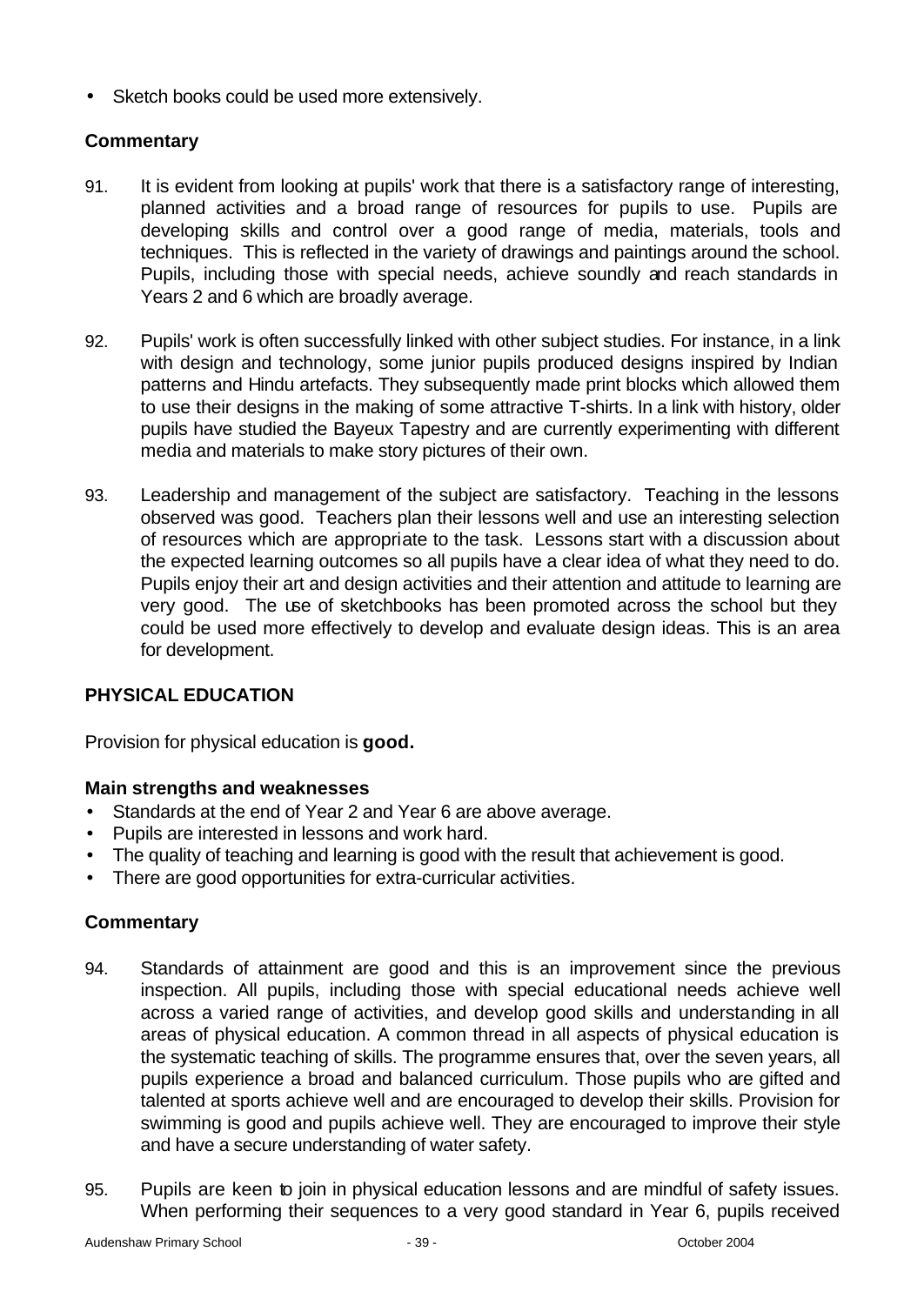• Sketch books could be used more extensively.

## **Commentary**

- 91. It is evident from looking at pupils' work that there is a satisfactory range of interesting, planned activities and a broad range of resources for pupils to use. Pupils are developing skills and control over a good range of media, materials, tools and techniques. This is reflected in the variety of drawings and paintings around the school. Pupils, including those with special needs, achieve soundly and reach standards in Years 2 and 6 which are broadly average.
- 92. Pupils' work is often successfully linked with other subject studies. For instance, in a link with design and technology, some junior pupils produced designs inspired by Indian patterns and Hindu artefacts. They subsequently made print blocks which allowed them to use their designs in the making of some attractive T-shirts. In a link with history, older pupils have studied the Bayeux Tapestry and are currently experimenting with different media and materials to make story pictures of their own.
- 93. Leadership and management of the subject are satisfactory. Teaching in the lessons observed was good. Teachers plan their lessons well and use an interesting selection of resources which are appropriate to the task. Lessons start with a discussion about the expected learning outcomes so all pupils have a clear idea of what they need to do. Pupils enjoy their art and design activities and their attention and attitude to learning are very good. The use of sketchbooks has been promoted across the school but they could be used more effectively to develop and evaluate design ideas. This is an area for development.

### **PHYSICAL EDUCATION**

Provision for physical education is **good.**

### **Main strengths and weaknesses**

- Standards at the end of Year 2 and Year 6 are above average.
- Pupils are interested in lessons and work hard.
- The quality of teaching and learning is good with the result that achievement is good.
- There are good opportunities for extra-curricular activities.

- 94. Standards of attainment are good and this is an improvement since the previous inspection. All pupils, including those with special educational needs achieve well across a varied range of activities, and develop good skills and understanding in all areas of physical education. A common thread in all aspects of physical education is the systematic teaching of skills. The programme ensures that, over the seven years, all pupils experience a broad and balanced curriculum. Those pupils who are gifted and talented at sports achieve well and are encouraged to develop their skills. Provision for swimming is good and pupils achieve well. They are encouraged to improve their style and have a secure understanding of water safety.
- 95. Pupils are keen to join in physical education lessons and are mindful of safety issues. When performing their sequences to a very good standard in Year 6, pupils received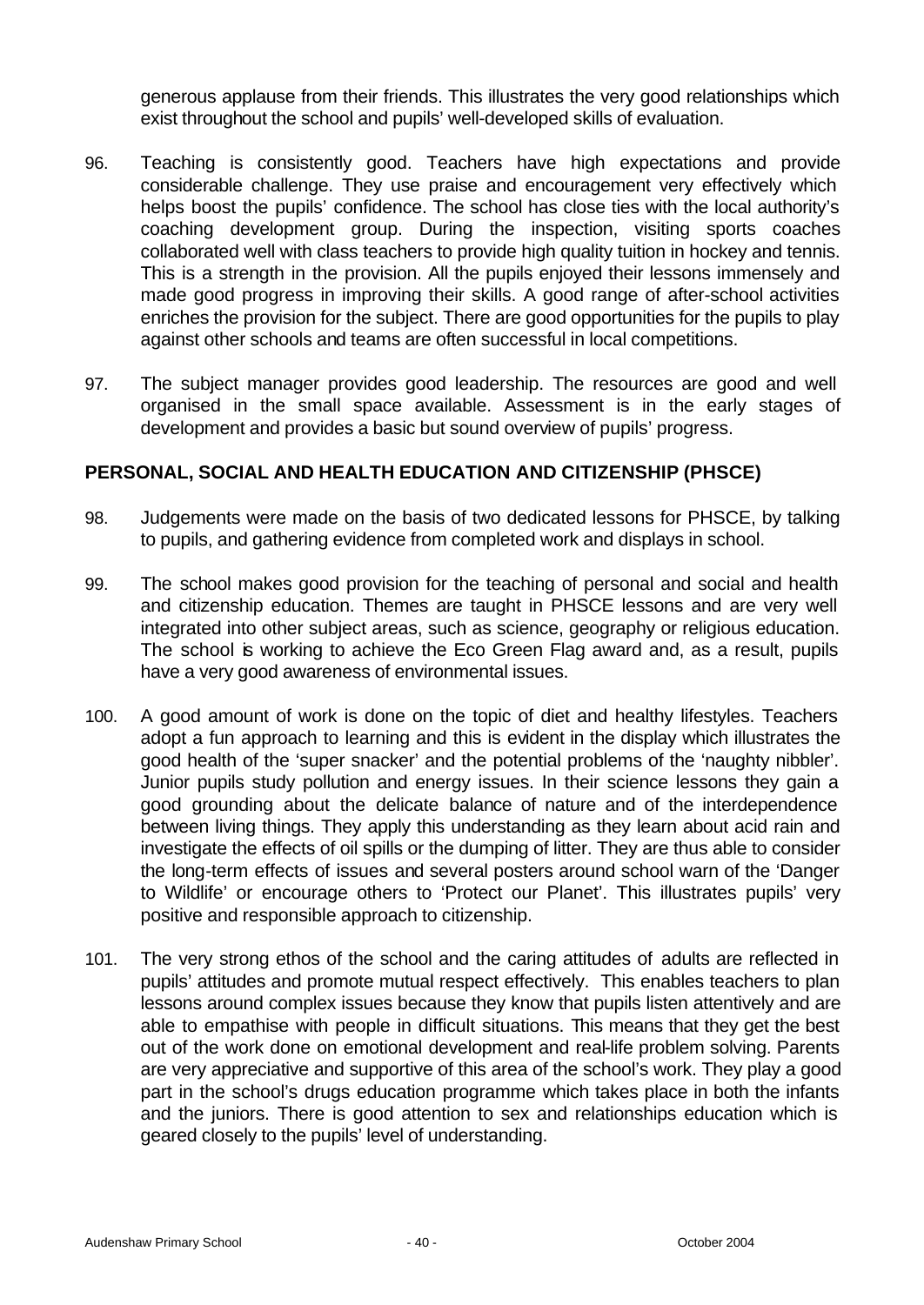generous applause from their friends. This illustrates the very good relationships which exist throughout the school and pupils' well-developed skills of evaluation.

- 96. Teaching is consistently good. Teachers have high expectations and provide considerable challenge. They use praise and encouragement very effectively which helps boost the pupils' confidence. The school has close ties with the local authority's coaching development group. During the inspection, visiting sports coaches collaborated well with class teachers to provide high quality tuition in hockey and tennis. This is a strength in the provision. All the pupils enjoyed their lessons immensely and made good progress in improving their skills. A good range of after-school activities enriches the provision for the subject. There are good opportunities for the pupils to play against other schools and teams are often successful in local competitions.
- 97. The subject manager provides good leadership. The resources are good and well organised in the small space available. Assessment is in the early stages of development and provides a basic but sound overview of pupils' progress.

### **PERSONAL, SOCIAL AND HEALTH EDUCATION AND CITIZENSHIP (PHSCE)**

- 98. Judgements were made on the basis of two dedicated lessons for PHSCE, by talking to pupils, and gathering evidence from completed work and displays in school.
- 99. The school makes good provision for the teaching of personal and social and health and citizenship education. Themes are taught in PHSCE lessons and are very well integrated into other subject areas, such as science, geography or religious education. The school is working to achieve the Eco Green Flag award and, as a result, pupils have a very good awareness of environmental issues.
- 100. A good amount of work is done on the topic of diet and healthy lifestyles. Teachers adopt a fun approach to learning and this is evident in the display which illustrates the good health of the 'super snacker' and the potential problems of the 'naughty nibbler'. Junior pupils study pollution and energy issues. In their science lessons they gain a good grounding about the delicate balance of nature and of the interdependence between living things. They apply this understanding as they learn about acid rain and investigate the effects of oil spills or the dumping of litter. They are thus able to consider the long-term effects of issues and several posters around school warn of the 'Danger to Wildlife' or encourage others to 'Protect our Planet'. This illustrates pupils' very positive and responsible approach to citizenship.
- 101. The very strong ethos of the school and the caring attitudes of adults are reflected in pupils' attitudes and promote mutual respect effectively. This enables teachers to plan lessons around complex issues because they know that pupils listen attentively and are able to empathise with people in difficult situations. This means that they get the best out of the work done on emotional development and real-life problem solving. Parents are very appreciative and supportive of this area of the school's work. They play a good part in the school's drugs education programme which takes place in both the infants and the juniors. There is good attention to sex and relationships education which is geared closely to the pupils' level of understanding.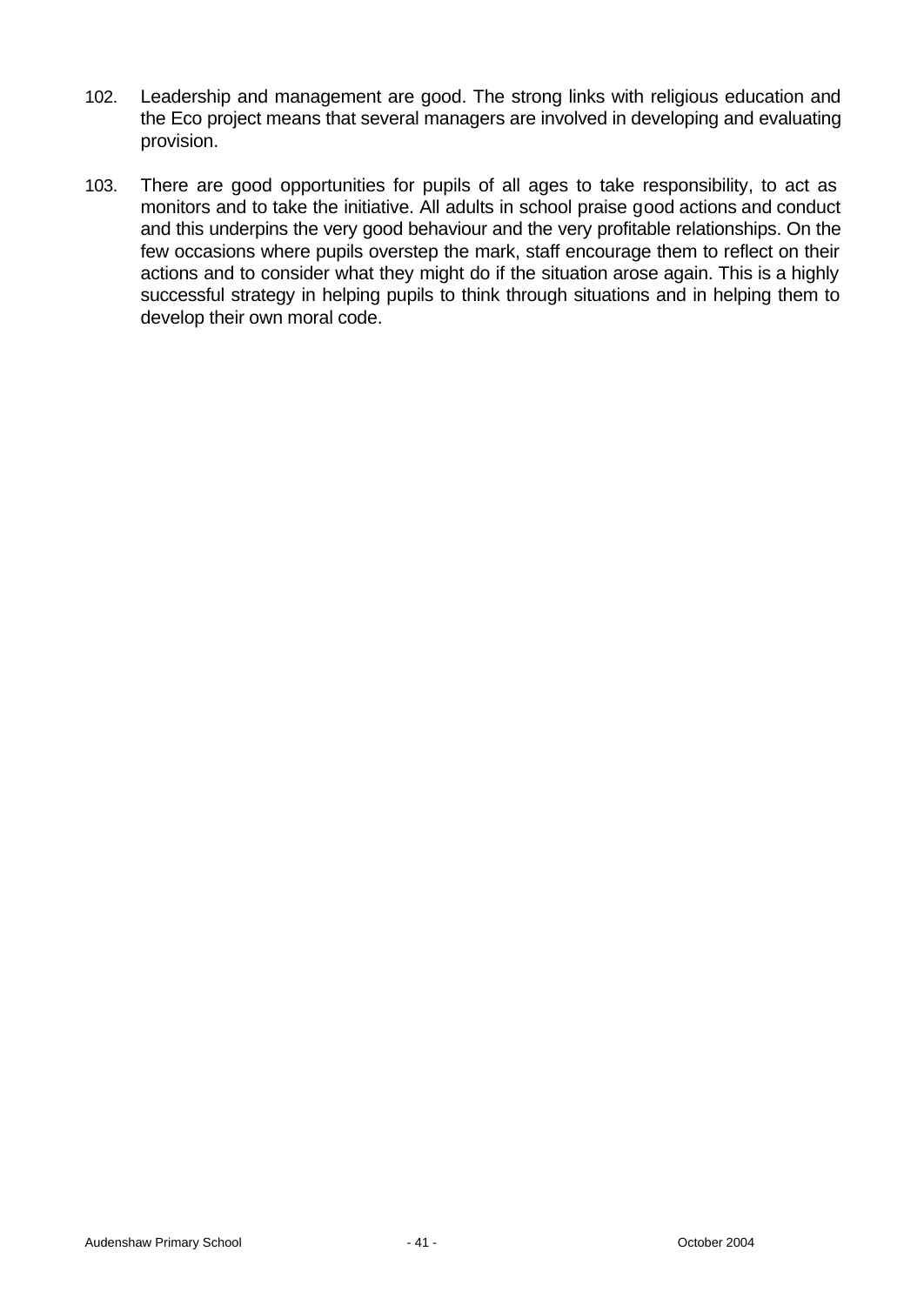- 102. Leadership and management are good. The strong links with religious education and the Eco project means that several managers are involved in developing and evaluating provision.
- 103. There are good opportunities for pupils of all ages to take responsibility, to act as monitors and to take the initiative. All adults in school praise good actions and conduct and this underpins the very good behaviour and the very profitable relationships. On the few occasions where pupils overstep the mark, staff encourage them to reflect on their actions and to consider what they might do if the situation arose again. This is a highly successful strategy in helping pupils to think through situations and in helping them to develop their own moral code.